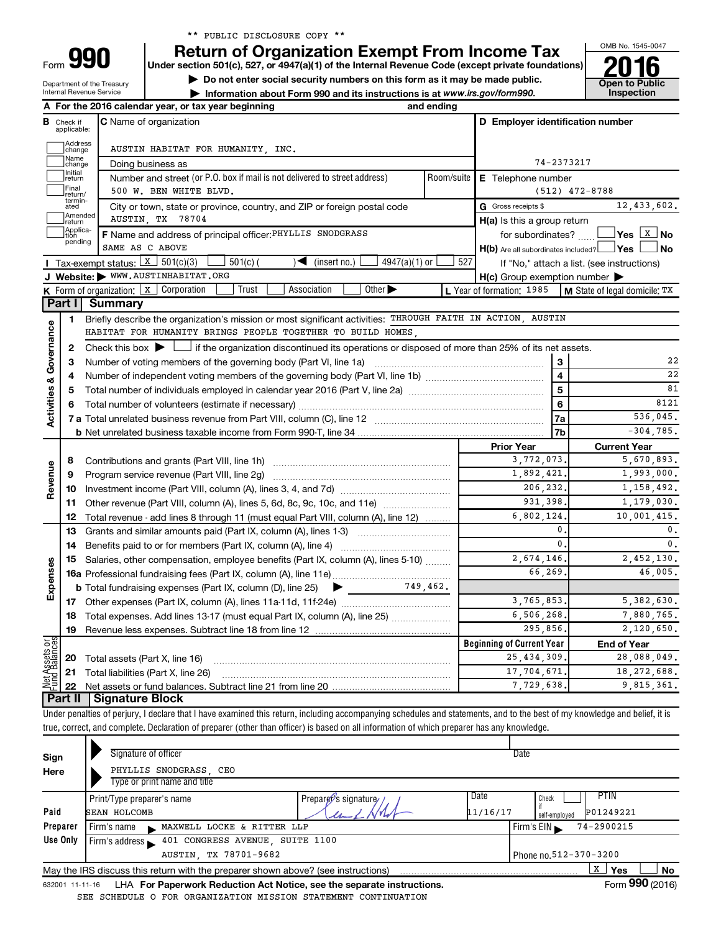|  |  | ** PUBLIC DISCLOSURE COPY ** |  |  |
|--|--|------------------------------|--|--|
|--|--|------------------------------|--|--|

**Under section 501(c), 527, or 4947(a)(1) of the Internal Revenue Code (except private foundations) Return of Organization Exempt From Income Tax**<br>Under section 501(c), 527, or 4947(a)(1) of the Internal Revenue Code (except private foundations)<br> **2016** 

Department of the Treasury

Form

**1** Do not enter social security numbers on this form as it may be made public. **Open to Public** 

OMB No. 1545-0047

|                         |                               | <b>Internal Revenue Service</b>                     | Information about Form 990 and its instructions is at www.irs.gov/form990.                                                                                                 |          |                                                         | Inspection                                                                  |  |  |  |  |
|-------------------------|-------------------------------|-----------------------------------------------------|----------------------------------------------------------------------------------------------------------------------------------------------------------------------------|----------|---------------------------------------------------------|-----------------------------------------------------------------------------|--|--|--|--|
|                         |                               | A For the 2016 calendar year, or tax year beginning |                                                                                                                                                                            |          |                                                         |                                                                             |  |  |  |  |
|                         | <b>B</b> Check if applicable: |                                                     | <b>C</b> Name of organization<br>D Employer identification number                                                                                                          |          |                                                         |                                                                             |  |  |  |  |
|                         | Address<br> change            |                                                     | AUSTIN HABITAT FOR HUMANITY, INC.                                                                                                                                          |          |                                                         |                                                                             |  |  |  |  |
|                         | Name<br>change                |                                                     | Doing business as                                                                                                                                                          |          | 74-2373217                                              |                                                                             |  |  |  |  |
|                         | Initial<br>return             |                                                     | Number and street (or P.O. box if mail is not delivered to street address)                                                                                                 |          | Room/suite   E Telephone number                         |                                                                             |  |  |  |  |
|                         | Final<br>return/              |                                                     | 500 W. BEN WHITE BLVD.                                                                                                                                                     |          |                                                         | $(512)$ 472-8788                                                            |  |  |  |  |
|                         | termin-<br>ated               |                                                     | City or town, state or province, country, and ZIP or foreign postal code                                                                                                   |          | G Gross receipts \$                                     | 12,433,602.                                                                 |  |  |  |  |
|                         | Amended<br>return             |                                                     | AUSTIN, TX 78704                                                                                                                                                           |          | H(a) Is this a group return                             |                                                                             |  |  |  |  |
|                         | Applica-<br>tion              |                                                     | F Name and address of principal officer: PHYLLIS SNODGRASS                                                                                                                 |          | for subordinates?                                       |                                                                             |  |  |  |  |
|                         | pending                       |                                                     | SAME AS C ABOVE                                                                                                                                                            |          | $H(b)$ Are all subordinates included? $\Box$ Yes $\Box$ | ⊿ No                                                                        |  |  |  |  |
|                         |                               | <b>I</b> Tax-exempt status: $X \ 501(c)(3)$         | $4947(a)(1)$ or<br>$501(c)$ (<br>) ◀<br>(insert no.)                                                                                                                       | 527      |                                                         | If "No," attach a list. (see instructions)                                  |  |  |  |  |
|                         |                               |                                                     | J Website: WWW.AUSTINHABITAT.ORG                                                                                                                                           |          | $H(c)$ Group exemption number $\blacktriangleright$     |                                                                             |  |  |  |  |
|                         |                               |                                                     | K Form of organization: $x$ Corporation<br>Trust<br>Other $\blacktriangleright$<br>Association                                                                             |          |                                                         | <b>L</b> Year of formation: $1985$   <b>M</b> State of legal domicile: $TX$ |  |  |  |  |
|                         | Part I                        | <b>Summary</b>                                      |                                                                                                                                                                            |          |                                                         |                                                                             |  |  |  |  |
|                         | 1.                            |                                                     | Briefly describe the organization's mission or most significant activities: THROUGH FAITH IN ACTION, AUSTIN                                                                |          |                                                         |                                                                             |  |  |  |  |
|                         |                               |                                                     | HABITAT FOR HUMANITY BRINGS PEOPLE TOGETHER TO BUILD HOMES,                                                                                                                |          |                                                         |                                                                             |  |  |  |  |
| Governance              | 2                             |                                                     | Check this box $\blacktriangleright$ $\Box$ if the organization discontinued its operations or disposed of more than 25% of its net assets.                                |          |                                                         |                                                                             |  |  |  |  |
|                         | 3                             |                                                     |                                                                                                                                                                            |          | 3                                                       | 22                                                                          |  |  |  |  |
|                         | 4                             |                                                     | $\overline{\mathbf{4}}$                                                                                                                                                    | 22       |                                                         |                                                                             |  |  |  |  |
|                         | 5                             |                                                     |                                                                                                                                                                            |          | 5                                                       | 81                                                                          |  |  |  |  |
|                         |                               |                                                     | 6                                                                                                                                                                          | 8121     |                                                         |                                                                             |  |  |  |  |
| <b>Activities &amp;</b> |                               |                                                     | 7a                                                                                                                                                                         | 536,045. |                                                         |                                                                             |  |  |  |  |
|                         |                               |                                                     |                                                                                                                                                                            |          | 7b                                                      | $-304, 785.$                                                                |  |  |  |  |
|                         |                               |                                                     |                                                                                                                                                                            |          | <b>Prior Year</b>                                       | <b>Current Year</b>                                                         |  |  |  |  |
|                         | 8                             |                                                     |                                                                                                                                                                            |          | 3,772,073.                                              | 5,670,893.                                                                  |  |  |  |  |
| Revenue                 | 9                             |                                                     |                                                                                                                                                                            |          | 1,892,421.                                              | 1,993,000.                                                                  |  |  |  |  |
|                         | 10                            |                                                     |                                                                                                                                                                            |          | 206,232.                                                | 1,158,492.                                                                  |  |  |  |  |
|                         | 11                            |                                                     | Other revenue (Part VIII, column (A), lines 5, 6d, 8c, 9c, 10c, and 11e)                                                                                                   |          | 931.398.                                                | 1,179,030.                                                                  |  |  |  |  |
|                         | 12                            |                                                     | Total revenue - add lines 8 through 11 (must equal Part VIII, column (A), line 12)                                                                                         |          | 6,802,124.                                              | 10,001,415.                                                                 |  |  |  |  |
|                         | 13                            |                                                     | Grants and similar amounts paid (Part IX, column (A), lines 1-3) <i>multimaron community</i>                                                                               |          | $\mathbf{0}$ .                                          | 0.                                                                          |  |  |  |  |
|                         | 14                            |                                                     |                                                                                                                                                                            |          | 0.                                                      | 0.                                                                          |  |  |  |  |
| Expenses                | 15                            |                                                     | Salaries, other compensation, employee benefits (Part IX, column (A), lines 5-10)                                                                                          |          | 2,674,146.                                              | 2,452,130.                                                                  |  |  |  |  |
|                         |                               |                                                     |                                                                                                                                                                            |          | 66.269.                                                 | 46,005.                                                                     |  |  |  |  |
|                         |                               |                                                     | 749.462.<br><b>b</b> Total fundraising expenses (Part IX, column (D), line $25$ )                                                                                          |          |                                                         |                                                                             |  |  |  |  |
|                         |                               |                                                     |                                                                                                                                                                            |          | 3,765,853.                                              | 5, 382, 630.                                                                |  |  |  |  |
|                         |                               |                                                     | 18 Total expenses. Add lines 13-17 (must equal Part IX, column (A), line 25)                                                                                               |          | 6,506,268.                                              | 7,880,765.                                                                  |  |  |  |  |
|                         | 19                            |                                                     |                                                                                                                                                                            |          | 295,856.                                                | 2,120,650.                                                                  |  |  |  |  |
|                         |                               |                                                     |                                                                                                                                                                            |          | <b>Beginning of Current Year</b>                        | <b>End of Year</b>                                                          |  |  |  |  |
| Net Assets or           | 20                            |                                                     | Total assets (Part X, line 16)                                                                                                                                             |          | 25, 434, 309<br>17,704,671.                             | 28,088,049.<br>18, 272, 688.                                                |  |  |  |  |
|                         | 21                            |                                                     | Total liabilities (Part X, line 26)                                                                                                                                        |          | 7,729,638.                                              | 9,815,361.                                                                  |  |  |  |  |
|                         | 22<br><b>Part II</b>          | <b>Signature Block</b>                              |                                                                                                                                                                            |          |                                                         |                                                                             |  |  |  |  |
|                         |                               |                                                     | Under penalties of perjury, I declare that I have examined this return, including accompanying schedules and statements, and to the best of my knowledge and belief, it is |          |                                                         |                                                                             |  |  |  |  |
|                         |                               |                                                     |                                                                                                                                                                            |          |                                                         |                                                                             |  |  |  |  |

true, correct, and complete. Declaration of preparer (other than officer) is based on all information of which preparer has any knowledge.

| Sign                                           | Signature of officer                                                                                         |                      |          | Date          |                |    |  |  |  |  |
|------------------------------------------------|--------------------------------------------------------------------------------------------------------------|----------------------|----------|---------------|----------------|----|--|--|--|--|
| Here                                           | PHYLLIS SNODGRASS, CEO                                                                                       |                      |          |               |                |    |  |  |  |  |
|                                                | Type or print name and title                                                                                 |                      |          |               |                |    |  |  |  |  |
|                                                | Print/Type preparer's name                                                                                   | Preparer's signature | Date     | Check         | PTIN           |    |  |  |  |  |
| Paid                                           | <b>SEAN HOLCOMB</b>                                                                                          |                      | 11/16/17 | self-emploved | P01249221      |    |  |  |  |  |
| Preparer                                       | MAXWELL LOCKE & RITTER LLP<br>Firm's name                                                                    |                      |          | Firm's $EIN$  | $74 - 2900215$ |    |  |  |  |  |
| Use Only                                       | 401 CONGRESS AVENUE, SUITE 1100<br>Firm's address                                                            |                      |          |               |                |    |  |  |  |  |
| AUSTIN, TX 78701-9682<br>Phone no.512-370-3200 |                                                                                                              |                      |          |               |                |    |  |  |  |  |
|                                                | May the IRS discuss this return with the preparer shown above? (see instructions)                            |                      |          |               | X<br>Yes       | No |  |  |  |  |
|                                                | Form 990 (2016)<br>LHA For Paperwork Reduction Act Notice, see the separate instructions.<br>632001 11-11-16 |                      |          |               |                |    |  |  |  |  |

SEE SCHEDULE O FOR ORGANIZATION MISSION STATEMENT CONTINUATION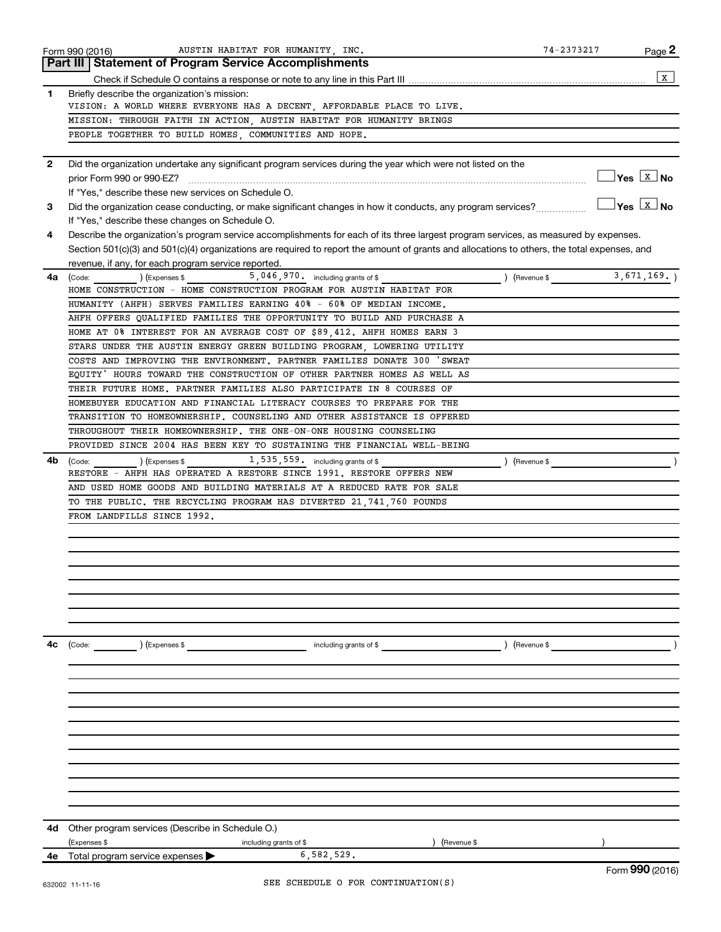|              | AUSTIN HABITAT FOR HUMANITY, INC.<br>Form 990 (2016)                                                                                         | 74-2373217    | Page 2                                                 |
|--------------|----------------------------------------------------------------------------------------------------------------------------------------------|---------------|--------------------------------------------------------|
|              | Part III   Statement of Program Service Accomplishments                                                                                      |               |                                                        |
|              |                                                                                                                                              |               | X                                                      |
| 1            | Briefly describe the organization's mission:                                                                                                 |               |                                                        |
|              | VISION: A WORLD WHERE EVERYONE HAS A DECENT, AFFORDABLE PLACE TO LIVE.                                                                       |               |                                                        |
|              | MISSION: THROUGH FAITH IN ACTION, AUSTIN HABITAT FOR HUMANITY BRINGS                                                                         |               |                                                        |
|              | PEOPLE TOGETHER TO BUILD HOMES, COMMUNITIES AND HOPE.                                                                                        |               |                                                        |
| $\mathbf{2}$ | Did the organization undertake any significant program services during the year which were not listed on the                                 |               |                                                        |
|              | prior Form 990 or 990-EZ?                                                                                                                    |               | $\sqrt{\mathsf{Yes}\ \boxed{\mathrm{X}\ \mathsf{No}}}$ |
|              | If "Yes," describe these new services on Schedule O.                                                                                         |               |                                                        |
| 3            | Did the organization cease conducting, or make significant changes in how it conducts, any program services?                                 |               | ∣Yes │X │No                                            |
|              |                                                                                                                                              |               |                                                        |
|              | If "Yes," describe these changes on Schedule O.                                                                                              |               |                                                        |
| 4            | Describe the organization's program service accomplishments for each of its three largest program services, as measured by expenses.         |               |                                                        |
|              | Section 501(c)(3) and 501(c)(4) organizations are required to report the amount of grants and allocations to others, the total expenses, and |               |                                                        |
|              | revenue, if any, for each program service reported.                                                                                          |               |                                                        |
| 4a           | $\frac{1}{2}$ (Code: ) (Expenses \$ 5,046,970. including grants of \$                                                                        | (Revenue \$   | 3,671,169.                                             |
|              | HOME CONSTRUCTION - HOME CONSTRUCTION PROGRAM FOR AUSTIN HABITAT FOR                                                                         |               |                                                        |
|              | HUMANITY (AHFH) SERVES FAMILIES EARNING 40% - 60% OF MEDIAN INCOME.                                                                          |               |                                                        |
|              | AHFH OFFERS QUALIFIED FAMILIES THE OPPORTUNITY TO BUILD AND PURCHASE A                                                                       |               |                                                        |
|              | HOME AT 0% INTEREST FOR AN AVERAGE COST OF \$89,412. AHFH HOMES EARN 3                                                                       |               |                                                        |
|              | STARS UNDER THE AUSTIN ENERGY GREEN BUILDING PROGRAM, LOWERING UTILITY                                                                       |               |                                                        |
|              | COSTS AND IMPROVING THE ENVIRONMENT. PARTNER FAMILIES DONATE 300 'SWEAT                                                                      |               |                                                        |
|              | EQUITY' HOURS TOWARD THE CONSTRUCTION OF OTHER PARTNER HOMES AS WELL AS                                                                      |               |                                                        |
|              | THEIR FUTURE HOME. PARTNER FAMILIES ALSO PARTICIPATE IN 8 COURSES OF                                                                         |               |                                                        |
|              | HOMEBUYER EDUCATION AND FINANCIAL LITERACY COURSES TO PREPARE FOR THE                                                                        |               |                                                        |
|              | TRANSITION TO HOMEOWNERSHIP. COUNSELING AND OTHER ASSISTANCE IS OFFERED                                                                      |               |                                                        |
|              |                                                                                                                                              |               |                                                        |
|              | THROUGHOUT THEIR HOMEOWNERSHIP. THE ONE-ON-ONE HOUSING COUNSELING                                                                            |               |                                                        |
|              | PROVIDED SINCE 2004 HAS BEEN KEY TO SUSTAINING THE FINANCIAL WELL-BEING                                                                      |               |                                                        |
| 4b           | 1,535,559. including grants of \$<br>) (Expenses \$<br>(Code:                                                                                | ) (Revenue \$ |                                                        |
|              | RESTORE - AHFH HAS OPERATED A RESTORE SINCE 1991. RESTORE OFFERS NEW                                                                         |               |                                                        |
|              | AND USED HOME GOODS AND BUILDING MATERIALS AT A REDUCED RATE FOR SALE                                                                        |               |                                                        |
|              | TO THE PUBLIC. THE RECYCLING PROGRAM HAS DIVERTED 21,741,760 POUNDS                                                                          |               |                                                        |
|              | FROM LANDFILLS SINCE 1992.                                                                                                                   |               |                                                        |
|              |                                                                                                                                              |               |                                                        |
|              |                                                                                                                                              |               |                                                        |
|              |                                                                                                                                              |               |                                                        |
|              |                                                                                                                                              |               |                                                        |
|              |                                                                                                                                              |               |                                                        |
|              |                                                                                                                                              |               |                                                        |
|              |                                                                                                                                              |               |                                                        |
|              |                                                                                                                                              |               |                                                        |
|              |                                                                                                                                              |               |                                                        |
| 4с           | (Code:<br>) (Expenses \$<br>including grants of \$<br>) (Revenue \$                                                                          |               |                                                        |
|              |                                                                                                                                              |               |                                                        |
|              |                                                                                                                                              |               |                                                        |
|              |                                                                                                                                              |               |                                                        |
|              |                                                                                                                                              |               |                                                        |
|              |                                                                                                                                              |               |                                                        |
|              |                                                                                                                                              |               |                                                        |
|              |                                                                                                                                              |               |                                                        |
|              |                                                                                                                                              |               |                                                        |
|              |                                                                                                                                              |               |                                                        |
|              |                                                                                                                                              |               |                                                        |
|              |                                                                                                                                              |               |                                                        |
|              |                                                                                                                                              |               |                                                        |
|              |                                                                                                                                              |               |                                                        |
|              | Other program services (Describe in Schedule O.)                                                                                             |               |                                                        |
| 4d           |                                                                                                                                              |               |                                                        |
|              | (Expenses \$<br>Revenue \$<br>including grants of \$<br>6,582,529.<br>4e Total program service expenses                                      |               |                                                        |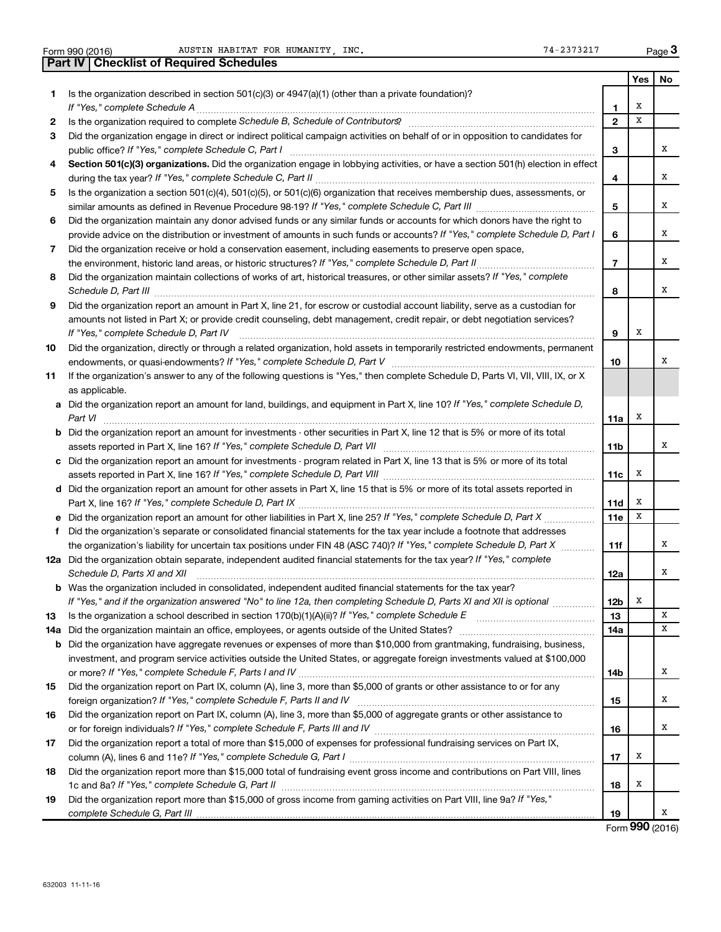|     | 74-2373217<br>AUSTIN HABITAT FOR HUMANITY INC.<br>Form 990 (2016)                                                                                                                                                                                                                                                                                                    |                 |     | Page 3 |
|-----|----------------------------------------------------------------------------------------------------------------------------------------------------------------------------------------------------------------------------------------------------------------------------------------------------------------------------------------------------------------------|-----------------|-----|--------|
|     | <b>Checklist of Required Schedules</b><br>Part IV                                                                                                                                                                                                                                                                                                                    |                 |     |        |
|     |                                                                                                                                                                                                                                                                                                                                                                      |                 | Yes | No     |
| 1   | Is the organization described in section 501(c)(3) or 4947(a)(1) (other than a private foundation)?                                                                                                                                                                                                                                                                  |                 |     |        |
|     |                                                                                                                                                                                                                                                                                                                                                                      | 1               | х   |        |
| 2   |                                                                                                                                                                                                                                                                                                                                                                      | $\overline{2}$  | x   |        |
| 3   | Did the organization engage in direct or indirect political campaign activities on behalf of or in opposition to candidates for                                                                                                                                                                                                                                      |                 |     |        |
|     |                                                                                                                                                                                                                                                                                                                                                                      | 3               |     | x      |
| 4   | Section 501(c)(3) organizations. Did the organization engage in lobbying activities, or have a section 501(h) election in effect                                                                                                                                                                                                                                     |                 |     |        |
|     |                                                                                                                                                                                                                                                                                                                                                                      | 4               |     | x      |
| 5   | Is the organization a section 501(c)(4), 501(c)(5), or 501(c)(6) organization that receives membership dues, assessments, or                                                                                                                                                                                                                                         |                 |     |        |
|     |                                                                                                                                                                                                                                                                                                                                                                      | 5               |     | x      |
| 6   | Did the organization maintain any donor advised funds or any similar funds or accounts for which donors have the right to                                                                                                                                                                                                                                            |                 |     | x      |
|     | provide advice on the distribution or investment of amounts in such funds or accounts? If "Yes," complete Schedule D, Part I                                                                                                                                                                                                                                         | 6               |     |        |
| 7   | Did the organization receive or hold a conservation easement, including easements to preserve open space,                                                                                                                                                                                                                                                            | $\overline{7}$  |     | x      |
| 8   | Did the organization maintain collections of works of art, historical treasures, or other similar assets? If "Yes," complete                                                                                                                                                                                                                                         |                 |     |        |
|     |                                                                                                                                                                                                                                                                                                                                                                      | 8               |     | x      |
| 9   | Schedule D, Part III <b>Marting Communities</b> and the contract of the contract of the contract of the contract of the contract of the contract of the contract of the contract of the contract of the contract of the contract of<br>Did the organization report an amount in Part X, line 21, for escrow or custodial account liability, serve as a custodian for |                 |     |        |
|     | amounts not listed in Part X; or provide credit counseling, debt management, credit repair, or debt negotiation services?                                                                                                                                                                                                                                            |                 |     |        |
|     | If "Yes." complete Schedule D, Part IV                                                                                                                                                                                                                                                                                                                               | 9               | х   |        |
| 10  | Did the organization, directly or through a related organization, hold assets in temporarily restricted endowments, permanent                                                                                                                                                                                                                                        |                 |     |        |
|     |                                                                                                                                                                                                                                                                                                                                                                      | 10              |     | х      |
| 11  | If the organization's answer to any of the following questions is "Yes," then complete Schedule D, Parts VI, VII, VIII, IX, or X                                                                                                                                                                                                                                     |                 |     |        |
|     | as applicable.                                                                                                                                                                                                                                                                                                                                                       |                 |     |        |
|     | a Did the organization report an amount for land, buildings, and equipment in Part X, line 10? If "Yes," complete Schedule D,                                                                                                                                                                                                                                        |                 |     |        |
|     |                                                                                                                                                                                                                                                                                                                                                                      | 11a             | х   |        |
|     | <b>b</b> Did the organization report an amount for investments - other securities in Part X, line 12 that is 5% or more of its total                                                                                                                                                                                                                                 |                 |     |        |
|     |                                                                                                                                                                                                                                                                                                                                                                      | 11 <sub>b</sub> |     | x      |
|     | c Did the organization report an amount for investments - program related in Part X, line 13 that is 5% or more of its total                                                                                                                                                                                                                                         |                 |     |        |
|     |                                                                                                                                                                                                                                                                                                                                                                      | 11с             | х   |        |
|     | d Did the organization report an amount for other assets in Part X, line 15 that is 5% or more of its total assets reported in                                                                                                                                                                                                                                       |                 |     |        |
|     |                                                                                                                                                                                                                                                                                                                                                                      | 11d             | х   |        |
|     |                                                                                                                                                                                                                                                                                                                                                                      | 11e             | x   |        |
| f   | Did the organization's separate or consolidated financial statements for the tax year include a footnote that addresses                                                                                                                                                                                                                                              |                 |     |        |
|     | the organization's liability for uncertain tax positions under FIN 48 (ASC 740)? If "Yes," complete Schedule D, Part X                                                                                                                                                                                                                                               | 11f             |     | х      |
|     | 12a Did the organization obtain separate, independent audited financial statements for the tax year? If "Yes," complete                                                                                                                                                                                                                                              |                 |     | X      |
|     | Schedule D, Parts XI and XII<br><b>b</b> Was the organization included in consolidated, independent audited financial statements for the tax year?                                                                                                                                                                                                                   | 12a             |     |        |
|     | If "Yes," and if the organization answered "No" to line 12a, then completing Schedule D, Parts XI and XII is optional                                                                                                                                                                                                                                                | 12b             | Х   |        |
| 13  |                                                                                                                                                                                                                                                                                                                                                                      | 13              |     | х      |
| 14a |                                                                                                                                                                                                                                                                                                                                                                      | 14a             |     | х      |
| b   | Did the organization have aggregate revenues or expenses of more than \$10,000 from grantmaking, fundraising, business,                                                                                                                                                                                                                                              |                 |     |        |
|     | investment, and program service activities outside the United States, or aggregate foreign investments valued at \$100,000                                                                                                                                                                                                                                           |                 |     |        |
|     |                                                                                                                                                                                                                                                                                                                                                                      | 14b             |     | х      |
| 15  | Did the organization report on Part IX, column (A), line 3, more than \$5,000 of grants or other assistance to or for any                                                                                                                                                                                                                                            |                 |     |        |
|     |                                                                                                                                                                                                                                                                                                                                                                      | 15              |     | х      |
| 16  | Did the organization report on Part IX, column (A), line 3, more than \$5,000 of aggregate grants or other assistance to                                                                                                                                                                                                                                             |                 |     |        |
|     |                                                                                                                                                                                                                                                                                                                                                                      | 16              |     | х      |
| 17  | Did the organization report a total of more than \$15,000 of expenses for professional fundraising services on Part IX,                                                                                                                                                                                                                                              |                 |     |        |
|     |                                                                                                                                                                                                                                                                                                                                                                      | 17              | х   |        |
| 18  | Did the organization report more than \$15,000 total of fundraising event gross income and contributions on Part VIII, lines                                                                                                                                                                                                                                         |                 |     |        |
|     |                                                                                                                                                                                                                                                                                                                                                                      | 18              | х   |        |
| 19  | Did the organization report more than \$15,000 of gross income from gaming activities on Part VIII, line 9a? If "Yes,"                                                                                                                                                                                                                                               |                 |     |        |
|     |                                                                                                                                                                                                                                                                                                                                                                      | 19              |     | x      |

Form (2016) **990**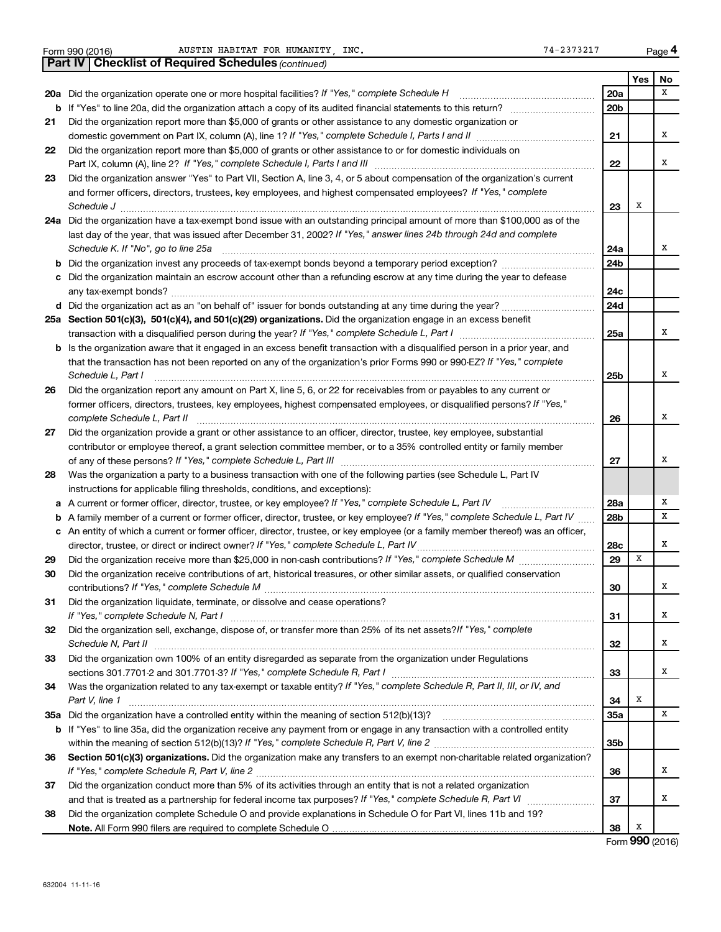|  | Form 990 (2016) |  |
|--|-----------------|--|

|    | <b>Part IV   Checklist of Required Schedules (continued)</b>                                                                        |                 |     |    |
|----|-------------------------------------------------------------------------------------------------------------------------------------|-----------------|-----|----|
|    |                                                                                                                                     |                 | Yes | No |
|    | 20a Did the organization operate one or more hospital facilities? If "Yes," complete Schedule H                                     | 20a             |     | x  |
|    |                                                                                                                                     | 20 <sub>b</sub> |     |    |
| 21 | Did the organization report more than \$5,000 of grants or other assistance to any domestic organization or                         |                 |     |    |
|    |                                                                                                                                     | 21              |     | х  |
| 22 | Did the organization report more than \$5,000 of grants or other assistance to or for domestic individuals on                       |                 |     |    |
|    |                                                                                                                                     | 22              |     | х  |
| 23 | Did the organization answer "Yes" to Part VII, Section A, line 3, 4, or 5 about compensation of the organization's current          |                 |     |    |
|    | and former officers, directors, trustees, key employees, and highest compensated employees? If "Yes," complete                      |                 |     |    |
|    | Schedule J <b>Execute Schedule J Execute Schedule J</b>                                                                             | 23              | X   |    |
|    | 24a Did the organization have a tax-exempt bond issue with an outstanding principal amount of more than \$100,000 as of the         |                 |     |    |
|    | last day of the year, that was issued after December 31, 2002? If "Yes," answer lines 24b through 24d and complete                  |                 |     |    |
|    | Schedule K. If "No", go to line 25a                                                                                                 | 24a             |     | х  |
|    |                                                                                                                                     | 24b             |     |    |
|    | c Did the organization maintain an escrow account other than a refunding escrow at any time during the year to defease              |                 |     |    |
|    |                                                                                                                                     | 24c             |     |    |
|    |                                                                                                                                     | 24d             |     |    |
|    | 25a Section 501(c)(3), 501(c)(4), and 501(c)(29) organizations. Did the organization engage in an excess benefit                    |                 |     |    |
|    |                                                                                                                                     | 25a             |     | х  |
|    | <b>b</b> Is the organization aware that it engaged in an excess benefit transaction with a disqualified person in a prior year, and |                 |     |    |
|    | that the transaction has not been reported on any of the organization's prior Forms 990 or 990-EZ? If "Yes," complete               |                 |     |    |
|    | Schedule L, Part I                                                                                                                  | 25b             |     | х  |
| 26 | Did the organization report any amount on Part X, line 5, 6, or 22 for receivables from or payables to any current or               |                 |     |    |
|    | former officers, directors, trustees, key employees, highest compensated employees, or disqualified persons? If "Yes,"              |                 |     |    |
|    | complete Schedule L, Part II                                                                                                        | 26              |     | х  |
| 27 | Did the organization provide a grant or other assistance to an officer, director, trustee, key employee, substantial                |                 |     |    |
|    | contributor or employee thereof, a grant selection committee member, or to a 35% controlled entity or family member                 |                 |     |    |
|    |                                                                                                                                     | 27              |     | х  |
| 28 | Was the organization a party to a business transaction with one of the following parties (see Schedule L, Part IV                   |                 |     |    |
|    | instructions for applicable filing thresholds, conditions, and exceptions):                                                         |                 |     |    |
| а  | A current or former officer, director, trustee, or key employee? If "Yes," complete Schedule L, Part IV                             | 28a             |     | Χ  |
|    | A family member of a current or former officer, director, trustee, or key employee? If "Yes," complete Schedule L, Part IV          | 28b             |     | х  |
|    | c An entity of which a current or former officer, director, trustee, or key employee (or a family member thereof) was an officer,   |                 |     |    |
|    | director, trustee, or direct or indirect owner? If "Yes," complete Schedule L, Part IV                                              | 28c             |     | x  |
| 29 |                                                                                                                                     | 29              | x   |    |
| 30 | Did the organization receive contributions of art, historical treasures, or other similar assets, or qualified conservation         |                 |     |    |
|    |                                                                                                                                     | 30              |     | х  |
| 31 | Did the organization liquidate, terminate, or dissolve and cease operations?                                                        |                 |     |    |
|    |                                                                                                                                     | 31              |     | х  |
| 32 | Did the organization sell, exchange, dispose of, or transfer more than 25% of its net assets? If "Yes," complete                    |                 |     |    |
|    |                                                                                                                                     | 32              |     | x  |
| 33 | Did the organization own 100% of an entity disregarded as separate from the organization under Regulations                          |                 |     | x  |
|    | Was the organization related to any tax-exempt or taxable entity? If "Yes," complete Schedule R, Part II, III, or IV, and           | 33              |     |    |
| 34 |                                                                                                                                     |                 | Х   |    |
|    | Part V, line 1                                                                                                                      | 34              |     | х  |
|    |                                                                                                                                     | <b>35a</b>      |     |    |
|    | b If "Yes" to line 35a, did the organization receive any payment from or engage in any transaction with a controlled entity         | 35b             |     |    |
|    | Section 501(c)(3) organizations. Did the organization make any transfers to an exempt non-charitable related organization?          |                 |     |    |
| 36 |                                                                                                                                     | 36              |     | x  |
| 37 | Did the organization conduct more than 5% of its activities through an entity that is not a related organization                    |                 |     |    |
|    |                                                                                                                                     | 37              |     | x  |
| 38 | Did the organization complete Schedule O and provide explanations in Schedule O for Part VI, lines 11b and 19?                      |                 |     |    |
|    |                                                                                                                                     | 38              | X   |    |
|    |                                                                                                                                     |                 |     |    |

Form (2016) **990**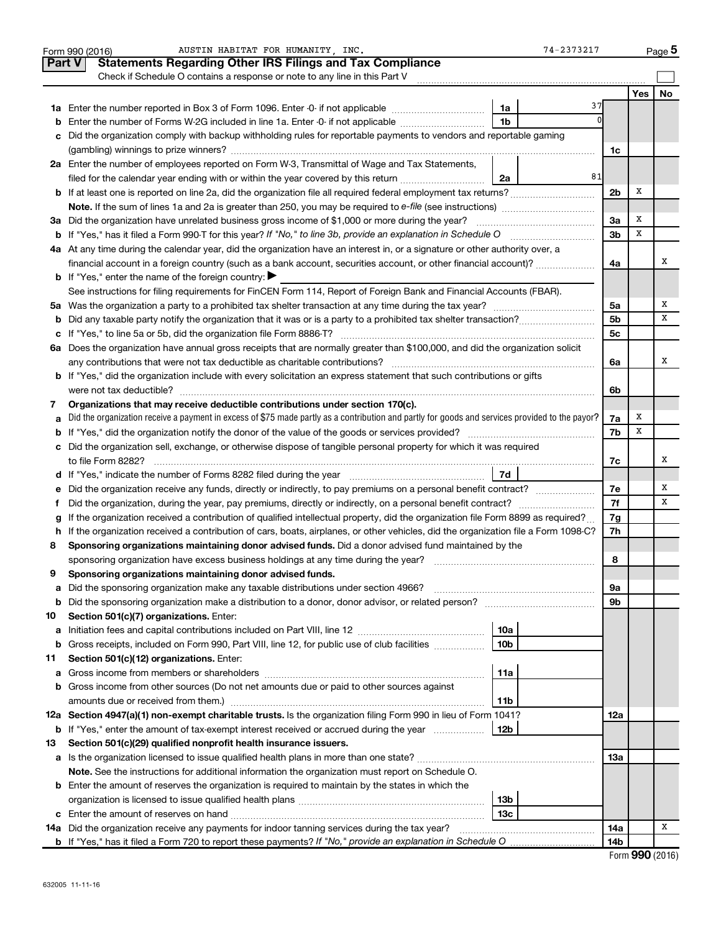|         | AUSTIN HABITAT FOR HUMANITY, INC.<br>74-2373217<br>Form 990 (2016)                                                                              |                |        | Page 5 |
|---------|-------------------------------------------------------------------------------------------------------------------------------------------------|----------------|--------|--------|
|         | <b>Statements Regarding Other IRS Filings and Tax Compliance</b><br><b>Part V</b>                                                               |                |        |        |
|         | Check if Schedule O contains a response or note to any line in this Part V                                                                      |                |        |        |
|         |                                                                                                                                                 |                | Yes    | No     |
|         | 37<br>1a                                                                                                                                        |                |        |        |
| b       | 1 <sub>b</sub><br>Enter the number of Forms W-2G included in line 1a. Enter -0- if not applicable                                               |                |        |        |
| с       | Did the organization comply with backup withholding rules for reportable payments to vendors and reportable gaming                              |                |        |        |
|         |                                                                                                                                                 | 1c             |        |        |
|         | 2a Enter the number of employees reported on Form W-3, Transmittal of Wage and Tax Statements,                                                  |                |        |        |
|         | 81<br>filed for the calendar year ending with or within the year covered by this return<br>2a                                                   |                |        |        |
|         |                                                                                                                                                 | 2 <sub>b</sub> | X      |        |
|         |                                                                                                                                                 |                |        |        |
|         | 3a Did the organization have unrelated business gross income of \$1,000 or more during the year?                                                | За             | Х      |        |
|         |                                                                                                                                                 | 3b             | х      |        |
|         | 4a At any time during the calendar year, did the organization have an interest in, or a signature or other authority over, a                    |                |        |        |
|         | financial account in a foreign country (such as a bank account, securities account, or other financial account)?                                | 4a             |        | Χ      |
|         | <b>b</b> If "Yes," enter the name of the foreign country: $\blacktriangleright$                                                                 |                |        |        |
|         | See instructions for filing requirements for FinCEN Form 114, Report of Foreign Bank and Financial Accounts (FBAR).                             |                |        |        |
|         |                                                                                                                                                 | 5a             |        | Χ      |
| b       |                                                                                                                                                 | 5b             |        | х      |
| с       |                                                                                                                                                 | 5c             |        |        |
|         | 6a Does the organization have annual gross receipts that are normally greater than \$100,000, and did the organization solicit                  |                |        |        |
|         |                                                                                                                                                 | 6a             |        | х      |
|         | <b>b</b> If "Yes," did the organization include with every solicitation an express statement that such contributions or gifts                   |                |        |        |
|         |                                                                                                                                                 | 6b             |        |        |
| 7       | Organizations that may receive deductible contributions under section 170(c).                                                                   |                |        |        |
| а       | Did the organization receive a payment in excess of \$75 made partly as a contribution and partly for goods and services provided to the payor? | 7a             | X<br>х |        |
| b       |                                                                                                                                                 | 7b             |        |        |
|         | c Did the organization sell, exchange, or otherwise dispose of tangible personal property for which it was required                             |                |        | х      |
|         |                                                                                                                                                 | 7c             |        |        |
|         | Did the organization receive any funds, directly or indirectly, to pay premiums on a personal benefit contract?                                 | 7e             |        | Χ      |
| е<br>f. |                                                                                                                                                 | 7f             |        | х      |
|         | If the organization received a contribution of qualified intellectual property, did the organization file Form 8899 as required?                | 7g             |        |        |
|         | h If the organization received a contribution of cars, boats, airplanes, or other vehicles, did the organization file a Form 1098-C?            | 7h             |        |        |
| 8       | Sponsoring organizations maintaining donor advised funds. Did a donor advised fund maintained by the                                            |                |        |        |
|         |                                                                                                                                                 | 8              |        |        |
|         | Sponsoring organizations maintaining donor advised funds.                                                                                       |                |        |        |
| а       | Did the sponsoring organization make any taxable distributions under section 4966?                                                              | 9а             |        |        |
| b       |                                                                                                                                                 | 9b             |        |        |
| 10      | Section 501(c)(7) organizations. Enter:                                                                                                         |                |        |        |
| а       | 10a                                                                                                                                             |                |        |        |
| b       | 10 <sub>b</sub><br>Gross receipts, included on Form 990, Part VIII, line 12, for public use of club facilities                                  |                |        |        |
| 11      | Section 501(c)(12) organizations. Enter:                                                                                                        |                |        |        |
| а       | 11a                                                                                                                                             |                |        |        |
| b       | Gross income from other sources (Do not net amounts due or paid to other sources against                                                        |                |        |        |
|         | amounts due or received from them.)<br>11b                                                                                                      |                |        |        |
|         | 12a Section 4947(a)(1) non-exempt charitable trusts. Is the organization filing Form 990 in lieu of Form 1041?                                  | 12a            |        |        |
|         | <b>b</b> If "Yes," enter the amount of tax-exempt interest received or accrued during the year<br>  12b                                         |                |        |        |
| 13      | Section 501(c)(29) qualified nonprofit health insurance issuers.                                                                                |                |        |        |
|         | a Is the organization licensed to issue qualified health plans in more than one state?                                                          | 13a            |        |        |
|         | Note. See the instructions for additional information the organization must report on Schedule O.                                               |                |        |        |
|         | <b>b</b> Enter the amount of reserves the organization is required to maintain by the states in which the                                       |                |        |        |
|         | 13b                                                                                                                                             |                |        |        |
|         | 13 <sub>c</sub>                                                                                                                                 |                |        |        |
|         | 14a Did the organization receive any payments for indoor tanning services during the tax year?                                                  | 14a            |        | x      |
|         |                                                                                                                                                 | 14b            |        |        |

| Form 990 (2016) |  |
|-----------------|--|
|-----------------|--|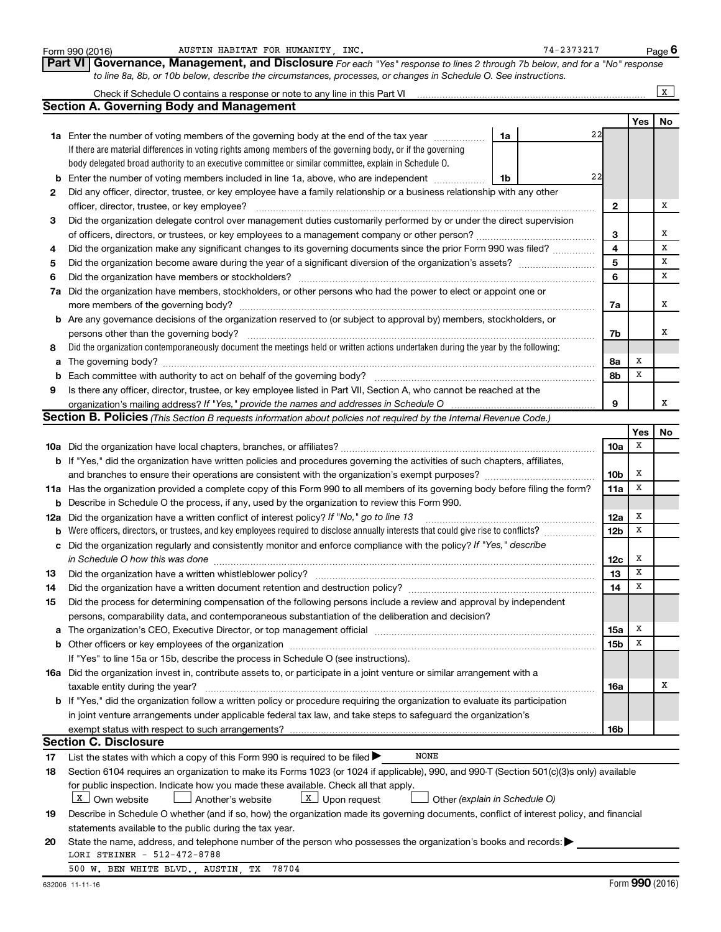|     | AUSTIN HABITAT FOR HUMANITY, INC.<br>Form 990 (2016)                                                                                                                                                                           |    | 74-2373217 |                         |            | Page 6       |
|-----|--------------------------------------------------------------------------------------------------------------------------------------------------------------------------------------------------------------------------------|----|------------|-------------------------|------------|--------------|
|     | Governance, Management, and Disclosure For each "Yes" response to lines 2 through 7b below, and for a "No" response<br><b>Part VI</b>                                                                                          |    |            |                         |            |              |
|     | to line 8a, 8b, or 10b below, describe the circumstances, processes, or changes in Schedule O. See instructions.                                                                                                               |    |            |                         |            |              |
|     | Check if Schedule O contains a response or note to any line in this Part VI                                                                                                                                                    |    |            |                         |            | $\mathbf{x}$ |
|     | <b>Section A. Governing Body and Management</b>                                                                                                                                                                                |    |            |                         |            |              |
|     |                                                                                                                                                                                                                                |    |            |                         | <b>Yes</b> | No           |
|     | <b>1a</b> Enter the number of voting members of the governing body at the end of the tax year                                                                                                                                  | 1a | 22         |                         |            |              |
|     | If there are material differences in voting rights among members of the governing body, or if the governing                                                                                                                    |    |            |                         |            |              |
|     | body delegated broad authority to an executive committee or similar committee, explain in Schedule O.                                                                                                                          |    |            |                         |            |              |
| b   | Enter the number of voting members included in line 1a, above, who are independent                                                                                                                                             | 1b | 22         |                         |            |              |
| 2   | Did any officer, director, trustee, or key employee have a family relationship or a business relationship with any other                                                                                                       |    |            |                         |            |              |
|     | officer, director, trustee, or key employee?                                                                                                                                                                                   |    |            | $\mathbf{2}$            |            | x            |
| 3   | Did the organization delegate control over management duties customarily performed by or under the direct supervision                                                                                                          |    |            |                         |            |              |
|     | of officers, directors, or trustees, or key employees to a management company or other person?                                                                                                                                 |    |            | З                       |            | х            |
| 4   | Did the organization make any significant changes to its governing documents since the prior Form 990 was filed?                                                                                                               |    |            | $\overline{\mathbf{4}}$ |            | X            |
| 5   |                                                                                                                                                                                                                                |    |            | 5                       |            | X            |
| 6   | Did the organization have members or stockholders?                                                                                                                                                                             |    |            | 6                       |            | x            |
|     |                                                                                                                                                                                                                                |    |            |                         |            |              |
| 7a  | Did the organization have members, stockholders, or other persons who had the power to elect or appoint one or                                                                                                                 |    |            |                         |            | x            |
|     |                                                                                                                                                                                                                                |    |            | 7a                      |            |              |
| b   | Are any governance decisions of the organization reserved to (or subject to approval by) members, stockholders, or                                                                                                             |    |            |                         |            |              |
|     | persons other than the governing body?                                                                                                                                                                                         |    |            | 7b                      |            | x            |
| 8   | Did the organization contemporaneously document the meetings held or written actions undertaken during the year by the following:                                                                                              |    |            |                         |            |              |
| а   |                                                                                                                                                                                                                                |    |            | 8а                      | X          |              |
| b   | Each committee with authority to act on behalf of the governing body?                                                                                                                                                          |    |            | 8b                      | x          |              |
| 9   | Is there any officer, director, trustee, or key employee listed in Part VII, Section A, who cannot be reached at the                                                                                                           |    |            |                         |            |              |
|     | organization's mailing address? If "Yes," provide the names and addresses in Schedule O                                                                                                                                        |    |            | 9                       |            | х            |
|     | Section B. Policies (This Section B requests information about policies not required by the Internal Revenue Code.)                                                                                                            |    |            |                         |            |              |
|     |                                                                                                                                                                                                                                |    |            |                         | Yes        | No           |
|     |                                                                                                                                                                                                                                |    |            | 10a                     | x          |              |
|     | <b>b</b> If "Yes," did the organization have written policies and procedures governing the activities of such chapters, affiliates,                                                                                            |    |            |                         |            |              |
|     |                                                                                                                                                                                                                                |    |            | 10 <sub>b</sub>         | х          |              |
|     | 11a Has the organization provided a complete copy of this Form 990 to all members of its governing body before filing the form?                                                                                                |    |            | 11a                     | X          |              |
| b   | Describe in Schedule O the process, if any, used by the organization to review this Form 990.                                                                                                                                  |    |            |                         |            |              |
| 12a | Did the organization have a written conflict of interest policy? If "No," go to line 13                                                                                                                                        |    |            | 12a                     | х          |              |
| b   | Were officers, directors, or trustees, and key employees required to disclose annually interests that could give rise to conflicts?                                                                                            |    |            | 12 <sub>b</sub>         | X          |              |
| с   | Did the organization regularly and consistently monitor and enforce compliance with the policy? If "Yes," describe                                                                                                             |    |            |                         |            |              |
|     | in Schedule O how this was done                                                                                                                                                                                                |    |            | 12c                     | x          |              |
| 13  | Did the organization have a written whistleblower policy?                                                                                                                                                                      |    |            | 13                      | X          |              |
| 14  |                                                                                                                                                                                                                                |    |            | 14                      | X          |              |
| 15  | Did the process for determining compensation of the following persons include a review and approval by independent                                                                                                             |    |            |                         |            |              |
|     | persons, comparability data, and contemporaneous substantiation of the deliberation and decision?                                                                                                                              |    |            |                         |            |              |
| а   | The organization's CEO, Executive Director, or top management official manufacture content content of the organization's CEO, Executive Director, or top management official manufacture content of the original manufacture c |    |            | 15a                     | х          |              |
| b   |                                                                                                                                                                                                                                |    |            | 15b                     | X          |              |
|     | If "Yes" to line 15a or 15b, describe the process in Schedule O (see instructions).                                                                                                                                            |    |            |                         |            |              |
|     | 16a Did the organization invest in, contribute assets to, or participate in a joint venture or similar arrangement with a                                                                                                      |    |            |                         |            |              |
|     | taxable entity during the year?                                                                                                                                                                                                |    |            | 16a                     |            | х            |
|     | b If "Yes," did the organization follow a written policy or procedure requiring the organization to evaluate its participation                                                                                                 |    |            |                         |            |              |
|     | in joint venture arrangements under applicable federal tax law, and take steps to safeguard the organization's                                                                                                                 |    |            |                         |            |              |
|     | exempt status with respect to such arrangements?                                                                                                                                                                               |    |            | 16b                     |            |              |
|     | <b>Section C. Disclosure</b>                                                                                                                                                                                                   |    |            |                         |            |              |
| 17  | NONE<br>List the states with which a copy of this Form 990 is required to be filed >                                                                                                                                           |    |            |                         |            |              |
| 18  | Section 6104 requires an organization to make its Forms 1023 (or 1024 if applicable), 990, and 990-T (Section 501(c)(3)s only) available                                                                                       |    |            |                         |            |              |
|     | for public inspection. Indicate how you made these available. Check all that apply.                                                                                                                                            |    |            |                         |            |              |
|     | X   Own website<br>$X$ Upon request<br>Another's website<br>Other (explain in Schedule O)                                                                                                                                      |    |            |                         |            |              |
| 19  | Describe in Schedule O whether (and if so, how) the organization made its governing documents, conflict of interest policy, and financial                                                                                      |    |            |                         |            |              |
|     | statements available to the public during the tax year.                                                                                                                                                                        |    |            |                         |            |              |
| 20  | State the name, address, and telephone number of the person who possesses the organization's books and records:                                                                                                                |    |            |                         |            |              |
|     | LORI STEINER - 512-472-8788                                                                                                                                                                                                    |    |            |                         |            |              |
|     | 500 W. BEN WHITE BLVD., AUSTIN, TX<br>78704                                                                                                                                                                                    |    |            |                         |            |              |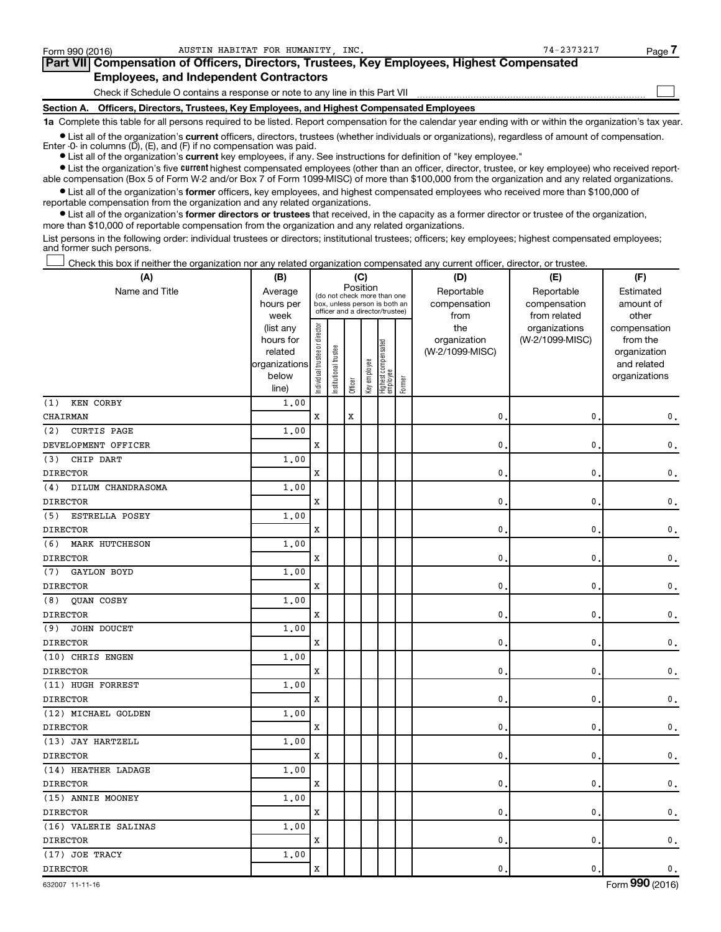| Form 990 (2016) | AUSTIN HABITAT FOR HUMANITY INC.                                                           | 74-2373217 | Page 7 |
|-----------------|--------------------------------------------------------------------------------------------|------------|--------|
|                 | Part VII Compensation of Officers, Directors, Trustees, Key Employees, Highest Compensated |            |        |
|                 | <b>Employees, and Independent Contractors</b>                                              |            |        |
|                 | Check if Schedule O contains a response or note to any line in this Part VII               |            |        |
|                 | Section A. Officers, Directors, Trustees, Key Employees, and Highest Compensated Employees |            |        |

**1a**  Complete this table for all persons required to be listed. Report compensation for the calendar year ending with or within the organization's tax year.

**•** List all of the organization's current officers, directors, trustees (whether individuals or organizations), regardless of amount of compensation. Enter -0- in columns (D), (E), and (F) if no compensation was paid.

**current •** List all of the organization's **current** key employees, if any. See instructions for definition of "key employee."

**•** List the organization's five current highest compensated employees (other than an officer, director, trustee, or key employee) who received reportable compensation (Box 5 of Form W-2 and/or Box 7 of Form 1099-MISC) of more than \$100,000 from the organization and any related organizations.

**•** List all of the organization's former officers, key employees, and highest compensated employees who received more than \$100,000 of reportable compensation from the organization and any related organizations.

**•** List all of the organization's former directors or trustees that received, in the capacity as a former director or trustee of the organization, more than \$10,000 of reportable compensation from the organization and any related organizations.

List persons in the following order: individual trustees or directors; institutional trustees; officers; key employees; highest compensated employees; and former such persons.

Check this box if neither the organization nor any related organization compensated any current officer, director, or trustee. †

| (A)                          | (C)<br>(B)                                                                          |                                |                                 |         |              |                                 |        | (D)                 | (E)                              | (F)                      |
|------------------------------|-------------------------------------------------------------------------------------|--------------------------------|---------------------------------|---------|--------------|---------------------------------|--------|---------------------|----------------------------------|--------------------------|
| Name and Title               | Position<br>Average<br>(do not check more than one<br>box, unless person is both an |                                |                                 |         |              |                                 |        | Reportable          | Reportable                       | Estimated                |
|                              | hours per                                                                           |                                | officer and a director/trustee) |         |              |                                 |        | compensation        | compensation                     | amount of                |
|                              | week                                                                                |                                |                                 |         |              |                                 |        | from                | from related                     | other                    |
|                              | (list any<br>hours for                                                              |                                |                                 |         |              |                                 |        | the<br>organization | organizations<br>(W-2/1099-MISC) | compensation<br>from the |
|                              | related                                                                             |                                |                                 |         |              |                                 |        | (W-2/1099-MISC)     |                                  | organization             |
|                              | organizations                                                                       |                                |                                 |         |              |                                 |        |                     |                                  | and related              |
|                              | below                                                                               | Individual trustee or director | Institutional trustee           |         | Key employee | Highest compensated<br>employee |        |                     |                                  | organizations            |
|                              | line)                                                                               |                                |                                 | Officer |              |                                 | Former |                     |                                  |                          |
| KEN CORBY<br>(1)             | 1.00                                                                                |                                |                                 |         |              |                                 |        |                     |                                  |                          |
| CHAIRMAN                     |                                                                                     | X                              |                                 | X       |              |                                 |        | $\mathbf{0}$ .      | 0                                | 0.                       |
| (2)<br><b>CURTIS PAGE</b>    | 1.00                                                                                |                                |                                 |         |              |                                 |        |                     |                                  |                          |
| DEVELOPMENT OFFICER          |                                                                                     | X                              |                                 |         |              |                                 |        | $\mathbf{0}$        | 0                                | 0.                       |
| CHIP DART<br>(3)             | 1.00                                                                                |                                |                                 |         |              |                                 |        |                     |                                  |                          |
| <b>DIRECTOR</b>              |                                                                                     | X                              |                                 |         |              |                                 |        | $\mathbf{0}$ .      | 0                                | 0.                       |
| DILUM CHANDRASOMA<br>(4)     | 1.00                                                                                |                                |                                 |         |              |                                 |        |                     |                                  |                          |
| <b>DIRECTOR</b>              |                                                                                     | X                              |                                 |         |              |                                 |        | $\mathbf{0}$        | 0                                | 0.                       |
| <b>ESTRELLA POSEY</b><br>(5) | 1.00                                                                                |                                |                                 |         |              |                                 |        |                     |                                  |                          |
| <b>DIRECTOR</b>              |                                                                                     | X                              |                                 |         |              |                                 |        | $\mathbf{0}$ .      | 0                                | 0.                       |
| MARK HUTCHESON<br>(6)        | 1.00                                                                                |                                |                                 |         |              |                                 |        |                     |                                  |                          |
| DIRECTOR                     |                                                                                     | X                              |                                 |         |              |                                 |        | $\mathbf{0}$        | 0                                | 0.                       |
| GAYLON BOYD<br>(7)           | 1.00                                                                                |                                |                                 |         |              |                                 |        |                     |                                  |                          |
| <b>DIRECTOR</b>              |                                                                                     | X                              |                                 |         |              |                                 |        | $\mathbf{0}$ .      | 0                                | 0.                       |
| QUAN COSBY<br>(8)            | 1.00                                                                                |                                |                                 |         |              |                                 |        |                     |                                  |                          |
| <b>DIRECTOR</b>              |                                                                                     | X                              |                                 |         |              |                                 |        | $\mathbf{0}$        | 0                                | 0.                       |
| JOHN DOUCET<br>(9)           | 1.00                                                                                |                                |                                 |         |              |                                 |        |                     |                                  |                          |
| <b>DIRECTOR</b>              |                                                                                     | X                              |                                 |         |              |                                 |        | $\mathbf{0}$ .      | 0                                | 0.                       |
| (10) CHRIS ENGEN             | 1.00                                                                                |                                |                                 |         |              |                                 |        |                     |                                  |                          |
| DIRECTOR                     |                                                                                     | X                              |                                 |         |              |                                 |        | $\mathbf{0}$        | 0                                | 0.                       |
| (11) HUGH FORREST            | 1.00                                                                                |                                |                                 |         |              |                                 |        |                     |                                  |                          |
| <b>DIRECTOR</b>              |                                                                                     | X                              |                                 |         |              |                                 |        | $\mathbf{0}$ .      | 0                                | 0.                       |
| (12) MICHAEL GOLDEN          | 1.00                                                                                |                                |                                 |         |              |                                 |        |                     |                                  |                          |
| <b>DIRECTOR</b>              |                                                                                     | X                              |                                 |         |              |                                 |        | $\mathbf{0}$        | 0                                | 0.                       |
| (13) JAY HARTZELL            | 1.00                                                                                |                                |                                 |         |              |                                 |        |                     |                                  |                          |
| <b>DIRECTOR</b>              |                                                                                     | X                              |                                 |         |              |                                 |        | $\mathbf{0}$ .      | 0                                | 0.                       |
| (14) HEATHER LADAGE          | 1.00                                                                                |                                |                                 |         |              |                                 |        |                     |                                  |                          |
| DIRECTOR                     |                                                                                     | X                              |                                 |         |              |                                 |        | $\mathbf{0}$        | 0                                | 0.                       |
| (15) ANNIE MOONEY            | 1.00                                                                                |                                |                                 |         |              |                                 |        |                     |                                  |                          |
| <b>DIRECTOR</b>              |                                                                                     | X                              |                                 |         |              |                                 |        | $\mathbf{0}$ .      | 0                                | 0.                       |
| (16) VALERIE SALINAS         | 1.00                                                                                |                                |                                 |         |              |                                 |        |                     |                                  |                          |
| <b>DIRECTOR</b>              |                                                                                     | X                              |                                 |         |              |                                 |        | $\mathbf{0}$        | 0                                | 0.                       |
| (17) JOE TRACY               | 1.00                                                                                |                                |                                 |         |              |                                 |        |                     |                                  |                          |
| <b>DIRECTOR</b>              |                                                                                     | X                              |                                 |         |              |                                 |        | 0.                  | 0                                | 0.                       |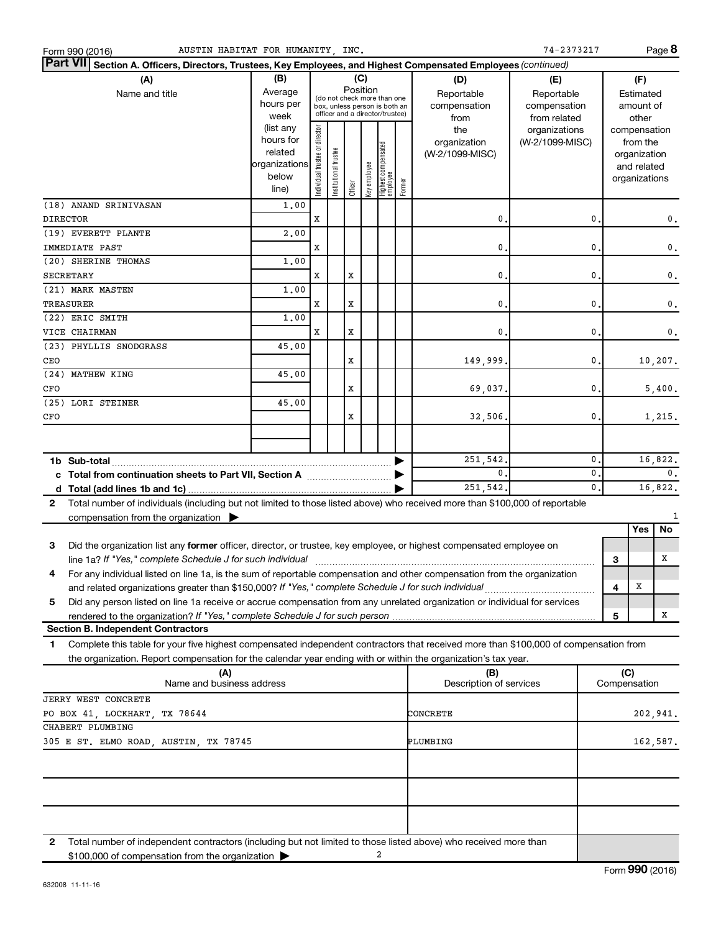| Part VII Section A. Officers, Directors, Trustees, Key Employees, and Highest Compensated Employees (continued)<br>(B)<br>(C)<br>(A)<br>(D)<br>(F)<br>(E)<br>Position<br>Average<br>Name and title<br>Reportable<br>Reportable<br>Estimated<br>(do not check more than one<br>hours per<br>compensation<br>compensation<br>amount of<br>box, unless person is both an<br>officer and a director/trustee)<br>week<br>from related<br>other<br>from<br>(list any<br>Individual trustee or director<br>the<br>organizations<br>compensation<br>hours for<br>organization<br>(W-2/1099-MISC)<br>from the<br>  Highest compensated<br>  employee<br>Institutional trustee<br>related<br>(W-2/1099-MISC)<br>organization<br>organizations<br>Key employee<br>and related<br>below<br>organizations<br>Former<br>Officer<br>line)<br>(18) ANAND SRINIVASAN<br>1,00<br><b>DIRECTOR</b><br>X<br>0<br>$\mathbf{0}$<br>0.<br>(19) EVERETT PLANTE<br>2,00<br>0<br>$\mathbf{0}$<br>IMMEDIATE PAST<br>X<br>$\mathbf 0$ .<br>(20) SHERINE THOMAS<br>1,00<br>X<br>0<br>$\mathbf{0}$<br><b>SECRETARY</b><br>x<br>$\mathbf 0$ .<br>(21) MARK MASTEN<br>1,00<br>0<br>$\mathbf{0}$<br>TREASURER<br>X<br>x<br>$\mathbf 0$ .<br>(22) ERIC SMITH<br>1,00<br>X<br>$\mathbf{0}$<br>VICE CHAIRMAN<br>X<br>$\mathbf{0}$<br>0.<br>(23) PHYLLIS SNODGRASS<br>45.00<br>X<br>$\mathbf{0}$<br>CEO<br>149,999.<br>10, 207.<br>(24) MATHEW KING<br>45.00<br>X<br>0.<br>CFO<br>69,037.<br>5,400.<br>(25) LORI STEINER<br>45.00<br>x<br>32,506.<br>0.<br>1,215.<br>CFO<br>16,822.<br>251,542.<br>$\mathbf{0}$<br>$\mathbf{0}$ .<br>$\mathbf{0}$<br>0.<br>c Total from continuation sheets to Part VII, Section A [111] [120] [20]<br>251,542.<br>16,822.<br>$\mathbf{0}$ .<br>Total number of individuals (including but not limited to those listed above) who received more than \$100,000 of reportable<br>$\mathbf{2}$<br>compensation from the organization $\blacktriangleright$<br>No<br>Yes<br>3<br>Did the organization list any former officer, director, or trustee, key employee, or highest compensated employee on<br>line 1a? If "Yes," complete Schedule J for such individual manufacture content to the set of the set of the schedule J for such individual<br>x<br>3<br>For any individual listed on line 1a, is the sum of reportable compensation and other compensation from the organization<br>and related organizations greater than \$150,000? If "Yes," complete Schedule J for such individual<br>4<br>X<br>Did any person listed on line 1a receive or accrue compensation from any unrelated organization or individual for services<br>5<br>x<br>5<br><b>Section B. Independent Contractors</b><br>Complete this table for your five highest compensated independent contractors that received more than \$100,000 of compensation from<br>1<br>the organization. Report compensation for the calendar year ending with or within the organization's tax year.<br>(C)<br>(A)<br>(B)<br>Description of services<br>Compensation<br>Name and business address<br>JERRY WEST CONCRETE<br>PO BOX 41, LOCKHART, TX 78644<br>CONCRETE<br>202,941.<br>CHABERT PLUMBING<br>305 E ST. ELMO ROAD, AUSTIN, TX 78745<br>PLUMBING<br>162,587.<br>Total number of independent contractors (including but not limited to those listed above) who received more than<br>2<br>2<br>\$100,000 of compensation from the organization | AUSTIN HABITAT FOR HUMANITY, INC.<br>Form 990 (2016) |  |  |  |  | 74-2373217 |  | Page 8 |
|---------------------------------------------------------------------------------------------------------------------------------------------------------------------------------------------------------------------------------------------------------------------------------------------------------------------------------------------------------------------------------------------------------------------------------------------------------------------------------------------------------------------------------------------------------------------------------------------------------------------------------------------------------------------------------------------------------------------------------------------------------------------------------------------------------------------------------------------------------------------------------------------------------------------------------------------------------------------------------------------------------------------------------------------------------------------------------------------------------------------------------------------------------------------------------------------------------------------------------------------------------------------------------------------------------------------------------------------------------------------------------------------------------------------------------------------------------------------------------------------------------------------------------------------------------------------------------------------------------------------------------------------------------------------------------------------------------------------------------------------------------------------------------------------------------------------------------------------------------------------------------------------------------------------------------------------------------------------------------------------------------------------------------------------------------------------------------------------------------------------------------------------------------------------------------------------------------------------------------------------------------------------------------------------------------------------------------------------------------------------------------------------------------------------------------------------------------------------------------------------------------------------------------------------------------------------------------------------------------------------------------------------------------------------------------------------------------------------------------------------------------------------------------------------------------------------------------------------------------------------------------------------------------------------------------------------------------------------------------------------------------------------------------------------------------------------------------------------------------------------------------------------------------------------------------------------------------------------------------------------------------------------------------------------------------------------------------------------------------------------------------------------------------------|------------------------------------------------------|--|--|--|--|------------|--|--------|
|                                                                                                                                                                                                                                                                                                                                                                                                                                                                                                                                                                                                                                                                                                                                                                                                                                                                                                                                                                                                                                                                                                                                                                                                                                                                                                                                                                                                                                                                                                                                                                                                                                                                                                                                                                                                                                                                                                                                                                                                                                                                                                                                                                                                                                                                                                                                                                                                                                                                                                                                                                                                                                                                                                                                                                                                                                                                                                                                                                                                                                                                                                                                                                                                                                                                                                                                                                                                               |                                                      |  |  |  |  |            |  |        |
|                                                                                                                                                                                                                                                                                                                                                                                                                                                                                                                                                                                                                                                                                                                                                                                                                                                                                                                                                                                                                                                                                                                                                                                                                                                                                                                                                                                                                                                                                                                                                                                                                                                                                                                                                                                                                                                                                                                                                                                                                                                                                                                                                                                                                                                                                                                                                                                                                                                                                                                                                                                                                                                                                                                                                                                                                                                                                                                                                                                                                                                                                                                                                                                                                                                                                                                                                                                                               |                                                      |  |  |  |  |            |  |        |
|                                                                                                                                                                                                                                                                                                                                                                                                                                                                                                                                                                                                                                                                                                                                                                                                                                                                                                                                                                                                                                                                                                                                                                                                                                                                                                                                                                                                                                                                                                                                                                                                                                                                                                                                                                                                                                                                                                                                                                                                                                                                                                                                                                                                                                                                                                                                                                                                                                                                                                                                                                                                                                                                                                                                                                                                                                                                                                                                                                                                                                                                                                                                                                                                                                                                                                                                                                                                               |                                                      |  |  |  |  |            |  |        |
|                                                                                                                                                                                                                                                                                                                                                                                                                                                                                                                                                                                                                                                                                                                                                                                                                                                                                                                                                                                                                                                                                                                                                                                                                                                                                                                                                                                                                                                                                                                                                                                                                                                                                                                                                                                                                                                                                                                                                                                                                                                                                                                                                                                                                                                                                                                                                                                                                                                                                                                                                                                                                                                                                                                                                                                                                                                                                                                                                                                                                                                                                                                                                                                                                                                                                                                                                                                                               |                                                      |  |  |  |  |            |  |        |
|                                                                                                                                                                                                                                                                                                                                                                                                                                                                                                                                                                                                                                                                                                                                                                                                                                                                                                                                                                                                                                                                                                                                                                                                                                                                                                                                                                                                                                                                                                                                                                                                                                                                                                                                                                                                                                                                                                                                                                                                                                                                                                                                                                                                                                                                                                                                                                                                                                                                                                                                                                                                                                                                                                                                                                                                                                                                                                                                                                                                                                                                                                                                                                                                                                                                                                                                                                                                               |                                                      |  |  |  |  |            |  |        |
|                                                                                                                                                                                                                                                                                                                                                                                                                                                                                                                                                                                                                                                                                                                                                                                                                                                                                                                                                                                                                                                                                                                                                                                                                                                                                                                                                                                                                                                                                                                                                                                                                                                                                                                                                                                                                                                                                                                                                                                                                                                                                                                                                                                                                                                                                                                                                                                                                                                                                                                                                                                                                                                                                                                                                                                                                                                                                                                                                                                                                                                                                                                                                                                                                                                                                                                                                                                                               |                                                      |  |  |  |  |            |  |        |
|                                                                                                                                                                                                                                                                                                                                                                                                                                                                                                                                                                                                                                                                                                                                                                                                                                                                                                                                                                                                                                                                                                                                                                                                                                                                                                                                                                                                                                                                                                                                                                                                                                                                                                                                                                                                                                                                                                                                                                                                                                                                                                                                                                                                                                                                                                                                                                                                                                                                                                                                                                                                                                                                                                                                                                                                                                                                                                                                                                                                                                                                                                                                                                                                                                                                                                                                                                                                               |                                                      |  |  |  |  |            |  |        |
|                                                                                                                                                                                                                                                                                                                                                                                                                                                                                                                                                                                                                                                                                                                                                                                                                                                                                                                                                                                                                                                                                                                                                                                                                                                                                                                                                                                                                                                                                                                                                                                                                                                                                                                                                                                                                                                                                                                                                                                                                                                                                                                                                                                                                                                                                                                                                                                                                                                                                                                                                                                                                                                                                                                                                                                                                                                                                                                                                                                                                                                                                                                                                                                                                                                                                                                                                                                                               |                                                      |  |  |  |  |            |  |        |
|                                                                                                                                                                                                                                                                                                                                                                                                                                                                                                                                                                                                                                                                                                                                                                                                                                                                                                                                                                                                                                                                                                                                                                                                                                                                                                                                                                                                                                                                                                                                                                                                                                                                                                                                                                                                                                                                                                                                                                                                                                                                                                                                                                                                                                                                                                                                                                                                                                                                                                                                                                                                                                                                                                                                                                                                                                                                                                                                                                                                                                                                                                                                                                                                                                                                                                                                                                                                               |                                                      |  |  |  |  |            |  |        |
|                                                                                                                                                                                                                                                                                                                                                                                                                                                                                                                                                                                                                                                                                                                                                                                                                                                                                                                                                                                                                                                                                                                                                                                                                                                                                                                                                                                                                                                                                                                                                                                                                                                                                                                                                                                                                                                                                                                                                                                                                                                                                                                                                                                                                                                                                                                                                                                                                                                                                                                                                                                                                                                                                                                                                                                                                                                                                                                                                                                                                                                                                                                                                                                                                                                                                                                                                                                                               |                                                      |  |  |  |  |            |  |        |
|                                                                                                                                                                                                                                                                                                                                                                                                                                                                                                                                                                                                                                                                                                                                                                                                                                                                                                                                                                                                                                                                                                                                                                                                                                                                                                                                                                                                                                                                                                                                                                                                                                                                                                                                                                                                                                                                                                                                                                                                                                                                                                                                                                                                                                                                                                                                                                                                                                                                                                                                                                                                                                                                                                                                                                                                                                                                                                                                                                                                                                                                                                                                                                                                                                                                                                                                                                                                               |                                                      |  |  |  |  |            |  |        |
|                                                                                                                                                                                                                                                                                                                                                                                                                                                                                                                                                                                                                                                                                                                                                                                                                                                                                                                                                                                                                                                                                                                                                                                                                                                                                                                                                                                                                                                                                                                                                                                                                                                                                                                                                                                                                                                                                                                                                                                                                                                                                                                                                                                                                                                                                                                                                                                                                                                                                                                                                                                                                                                                                                                                                                                                                                                                                                                                                                                                                                                                                                                                                                                                                                                                                                                                                                                                               |                                                      |  |  |  |  |            |  |        |
|                                                                                                                                                                                                                                                                                                                                                                                                                                                                                                                                                                                                                                                                                                                                                                                                                                                                                                                                                                                                                                                                                                                                                                                                                                                                                                                                                                                                                                                                                                                                                                                                                                                                                                                                                                                                                                                                                                                                                                                                                                                                                                                                                                                                                                                                                                                                                                                                                                                                                                                                                                                                                                                                                                                                                                                                                                                                                                                                                                                                                                                                                                                                                                                                                                                                                                                                                                                                               |                                                      |  |  |  |  |            |  |        |
|                                                                                                                                                                                                                                                                                                                                                                                                                                                                                                                                                                                                                                                                                                                                                                                                                                                                                                                                                                                                                                                                                                                                                                                                                                                                                                                                                                                                                                                                                                                                                                                                                                                                                                                                                                                                                                                                                                                                                                                                                                                                                                                                                                                                                                                                                                                                                                                                                                                                                                                                                                                                                                                                                                                                                                                                                                                                                                                                                                                                                                                                                                                                                                                                                                                                                                                                                                                                               |                                                      |  |  |  |  |            |  |        |
|                                                                                                                                                                                                                                                                                                                                                                                                                                                                                                                                                                                                                                                                                                                                                                                                                                                                                                                                                                                                                                                                                                                                                                                                                                                                                                                                                                                                                                                                                                                                                                                                                                                                                                                                                                                                                                                                                                                                                                                                                                                                                                                                                                                                                                                                                                                                                                                                                                                                                                                                                                                                                                                                                                                                                                                                                                                                                                                                                                                                                                                                                                                                                                                                                                                                                                                                                                                                               |                                                      |  |  |  |  |            |  |        |
|                                                                                                                                                                                                                                                                                                                                                                                                                                                                                                                                                                                                                                                                                                                                                                                                                                                                                                                                                                                                                                                                                                                                                                                                                                                                                                                                                                                                                                                                                                                                                                                                                                                                                                                                                                                                                                                                                                                                                                                                                                                                                                                                                                                                                                                                                                                                                                                                                                                                                                                                                                                                                                                                                                                                                                                                                                                                                                                                                                                                                                                                                                                                                                                                                                                                                                                                                                                                               |                                                      |  |  |  |  |            |  |        |
|                                                                                                                                                                                                                                                                                                                                                                                                                                                                                                                                                                                                                                                                                                                                                                                                                                                                                                                                                                                                                                                                                                                                                                                                                                                                                                                                                                                                                                                                                                                                                                                                                                                                                                                                                                                                                                                                                                                                                                                                                                                                                                                                                                                                                                                                                                                                                                                                                                                                                                                                                                                                                                                                                                                                                                                                                                                                                                                                                                                                                                                                                                                                                                                                                                                                                                                                                                                                               |                                                      |  |  |  |  |            |  |        |
|                                                                                                                                                                                                                                                                                                                                                                                                                                                                                                                                                                                                                                                                                                                                                                                                                                                                                                                                                                                                                                                                                                                                                                                                                                                                                                                                                                                                                                                                                                                                                                                                                                                                                                                                                                                                                                                                                                                                                                                                                                                                                                                                                                                                                                                                                                                                                                                                                                                                                                                                                                                                                                                                                                                                                                                                                                                                                                                                                                                                                                                                                                                                                                                                                                                                                                                                                                                                               |                                                      |  |  |  |  |            |  |        |
|                                                                                                                                                                                                                                                                                                                                                                                                                                                                                                                                                                                                                                                                                                                                                                                                                                                                                                                                                                                                                                                                                                                                                                                                                                                                                                                                                                                                                                                                                                                                                                                                                                                                                                                                                                                                                                                                                                                                                                                                                                                                                                                                                                                                                                                                                                                                                                                                                                                                                                                                                                                                                                                                                                                                                                                                                                                                                                                                                                                                                                                                                                                                                                                                                                                                                                                                                                                                               |                                                      |  |  |  |  |            |  |        |
|                                                                                                                                                                                                                                                                                                                                                                                                                                                                                                                                                                                                                                                                                                                                                                                                                                                                                                                                                                                                                                                                                                                                                                                                                                                                                                                                                                                                                                                                                                                                                                                                                                                                                                                                                                                                                                                                                                                                                                                                                                                                                                                                                                                                                                                                                                                                                                                                                                                                                                                                                                                                                                                                                                                                                                                                                                                                                                                                                                                                                                                                                                                                                                                                                                                                                                                                                                                                               |                                                      |  |  |  |  |            |  |        |
|                                                                                                                                                                                                                                                                                                                                                                                                                                                                                                                                                                                                                                                                                                                                                                                                                                                                                                                                                                                                                                                                                                                                                                                                                                                                                                                                                                                                                                                                                                                                                                                                                                                                                                                                                                                                                                                                                                                                                                                                                                                                                                                                                                                                                                                                                                                                                                                                                                                                                                                                                                                                                                                                                                                                                                                                                                                                                                                                                                                                                                                                                                                                                                                                                                                                                                                                                                                                               |                                                      |  |  |  |  |            |  |        |
|                                                                                                                                                                                                                                                                                                                                                                                                                                                                                                                                                                                                                                                                                                                                                                                                                                                                                                                                                                                                                                                                                                                                                                                                                                                                                                                                                                                                                                                                                                                                                                                                                                                                                                                                                                                                                                                                                                                                                                                                                                                                                                                                                                                                                                                                                                                                                                                                                                                                                                                                                                                                                                                                                                                                                                                                                                                                                                                                                                                                                                                                                                                                                                                                                                                                                                                                                                                                               |                                                      |  |  |  |  |            |  |        |
|                                                                                                                                                                                                                                                                                                                                                                                                                                                                                                                                                                                                                                                                                                                                                                                                                                                                                                                                                                                                                                                                                                                                                                                                                                                                                                                                                                                                                                                                                                                                                                                                                                                                                                                                                                                                                                                                                                                                                                                                                                                                                                                                                                                                                                                                                                                                                                                                                                                                                                                                                                                                                                                                                                                                                                                                                                                                                                                                                                                                                                                                                                                                                                                                                                                                                                                                                                                                               |                                                      |  |  |  |  |            |  |        |
|                                                                                                                                                                                                                                                                                                                                                                                                                                                                                                                                                                                                                                                                                                                                                                                                                                                                                                                                                                                                                                                                                                                                                                                                                                                                                                                                                                                                                                                                                                                                                                                                                                                                                                                                                                                                                                                                                                                                                                                                                                                                                                                                                                                                                                                                                                                                                                                                                                                                                                                                                                                                                                                                                                                                                                                                                                                                                                                                                                                                                                                                                                                                                                                                                                                                                                                                                                                                               |                                                      |  |  |  |  |            |  |        |
|                                                                                                                                                                                                                                                                                                                                                                                                                                                                                                                                                                                                                                                                                                                                                                                                                                                                                                                                                                                                                                                                                                                                                                                                                                                                                                                                                                                                                                                                                                                                                                                                                                                                                                                                                                                                                                                                                                                                                                                                                                                                                                                                                                                                                                                                                                                                                                                                                                                                                                                                                                                                                                                                                                                                                                                                                                                                                                                                                                                                                                                                                                                                                                                                                                                                                                                                                                                                               |                                                      |  |  |  |  |            |  |        |
|                                                                                                                                                                                                                                                                                                                                                                                                                                                                                                                                                                                                                                                                                                                                                                                                                                                                                                                                                                                                                                                                                                                                                                                                                                                                                                                                                                                                                                                                                                                                                                                                                                                                                                                                                                                                                                                                                                                                                                                                                                                                                                                                                                                                                                                                                                                                                                                                                                                                                                                                                                                                                                                                                                                                                                                                                                                                                                                                                                                                                                                                                                                                                                                                                                                                                                                                                                                                               |                                                      |  |  |  |  |            |  |        |
|                                                                                                                                                                                                                                                                                                                                                                                                                                                                                                                                                                                                                                                                                                                                                                                                                                                                                                                                                                                                                                                                                                                                                                                                                                                                                                                                                                                                                                                                                                                                                                                                                                                                                                                                                                                                                                                                                                                                                                                                                                                                                                                                                                                                                                                                                                                                                                                                                                                                                                                                                                                                                                                                                                                                                                                                                                                                                                                                                                                                                                                                                                                                                                                                                                                                                                                                                                                                               |                                                      |  |  |  |  |            |  |        |
|                                                                                                                                                                                                                                                                                                                                                                                                                                                                                                                                                                                                                                                                                                                                                                                                                                                                                                                                                                                                                                                                                                                                                                                                                                                                                                                                                                                                                                                                                                                                                                                                                                                                                                                                                                                                                                                                                                                                                                                                                                                                                                                                                                                                                                                                                                                                                                                                                                                                                                                                                                                                                                                                                                                                                                                                                                                                                                                                                                                                                                                                                                                                                                                                                                                                                                                                                                                                               |                                                      |  |  |  |  |            |  |        |
|                                                                                                                                                                                                                                                                                                                                                                                                                                                                                                                                                                                                                                                                                                                                                                                                                                                                                                                                                                                                                                                                                                                                                                                                                                                                                                                                                                                                                                                                                                                                                                                                                                                                                                                                                                                                                                                                                                                                                                                                                                                                                                                                                                                                                                                                                                                                                                                                                                                                                                                                                                                                                                                                                                                                                                                                                                                                                                                                                                                                                                                                                                                                                                                                                                                                                                                                                                                                               |                                                      |  |  |  |  |            |  |        |
|                                                                                                                                                                                                                                                                                                                                                                                                                                                                                                                                                                                                                                                                                                                                                                                                                                                                                                                                                                                                                                                                                                                                                                                                                                                                                                                                                                                                                                                                                                                                                                                                                                                                                                                                                                                                                                                                                                                                                                                                                                                                                                                                                                                                                                                                                                                                                                                                                                                                                                                                                                                                                                                                                                                                                                                                                                                                                                                                                                                                                                                                                                                                                                                                                                                                                                                                                                                                               |                                                      |  |  |  |  |            |  |        |
|                                                                                                                                                                                                                                                                                                                                                                                                                                                                                                                                                                                                                                                                                                                                                                                                                                                                                                                                                                                                                                                                                                                                                                                                                                                                                                                                                                                                                                                                                                                                                                                                                                                                                                                                                                                                                                                                                                                                                                                                                                                                                                                                                                                                                                                                                                                                                                                                                                                                                                                                                                                                                                                                                                                                                                                                                                                                                                                                                                                                                                                                                                                                                                                                                                                                                                                                                                                                               |                                                      |  |  |  |  |            |  |        |
|                                                                                                                                                                                                                                                                                                                                                                                                                                                                                                                                                                                                                                                                                                                                                                                                                                                                                                                                                                                                                                                                                                                                                                                                                                                                                                                                                                                                                                                                                                                                                                                                                                                                                                                                                                                                                                                                                                                                                                                                                                                                                                                                                                                                                                                                                                                                                                                                                                                                                                                                                                                                                                                                                                                                                                                                                                                                                                                                                                                                                                                                                                                                                                                                                                                                                                                                                                                                               |                                                      |  |  |  |  |            |  |        |
|                                                                                                                                                                                                                                                                                                                                                                                                                                                                                                                                                                                                                                                                                                                                                                                                                                                                                                                                                                                                                                                                                                                                                                                                                                                                                                                                                                                                                                                                                                                                                                                                                                                                                                                                                                                                                                                                                                                                                                                                                                                                                                                                                                                                                                                                                                                                                                                                                                                                                                                                                                                                                                                                                                                                                                                                                                                                                                                                                                                                                                                                                                                                                                                                                                                                                                                                                                                                               |                                                      |  |  |  |  |            |  |        |
|                                                                                                                                                                                                                                                                                                                                                                                                                                                                                                                                                                                                                                                                                                                                                                                                                                                                                                                                                                                                                                                                                                                                                                                                                                                                                                                                                                                                                                                                                                                                                                                                                                                                                                                                                                                                                                                                                                                                                                                                                                                                                                                                                                                                                                                                                                                                                                                                                                                                                                                                                                                                                                                                                                                                                                                                                                                                                                                                                                                                                                                                                                                                                                                                                                                                                                                                                                                                               |                                                      |  |  |  |  |            |  |        |
|                                                                                                                                                                                                                                                                                                                                                                                                                                                                                                                                                                                                                                                                                                                                                                                                                                                                                                                                                                                                                                                                                                                                                                                                                                                                                                                                                                                                                                                                                                                                                                                                                                                                                                                                                                                                                                                                                                                                                                                                                                                                                                                                                                                                                                                                                                                                                                                                                                                                                                                                                                                                                                                                                                                                                                                                                                                                                                                                                                                                                                                                                                                                                                                                                                                                                                                                                                                                               |                                                      |  |  |  |  |            |  |        |
|                                                                                                                                                                                                                                                                                                                                                                                                                                                                                                                                                                                                                                                                                                                                                                                                                                                                                                                                                                                                                                                                                                                                                                                                                                                                                                                                                                                                                                                                                                                                                                                                                                                                                                                                                                                                                                                                                                                                                                                                                                                                                                                                                                                                                                                                                                                                                                                                                                                                                                                                                                                                                                                                                                                                                                                                                                                                                                                                                                                                                                                                                                                                                                                                                                                                                                                                                                                                               |                                                      |  |  |  |  |            |  |        |
|                                                                                                                                                                                                                                                                                                                                                                                                                                                                                                                                                                                                                                                                                                                                                                                                                                                                                                                                                                                                                                                                                                                                                                                                                                                                                                                                                                                                                                                                                                                                                                                                                                                                                                                                                                                                                                                                                                                                                                                                                                                                                                                                                                                                                                                                                                                                                                                                                                                                                                                                                                                                                                                                                                                                                                                                                                                                                                                                                                                                                                                                                                                                                                                                                                                                                                                                                                                                               |                                                      |  |  |  |  |            |  |        |
|                                                                                                                                                                                                                                                                                                                                                                                                                                                                                                                                                                                                                                                                                                                                                                                                                                                                                                                                                                                                                                                                                                                                                                                                                                                                                                                                                                                                                                                                                                                                                                                                                                                                                                                                                                                                                                                                                                                                                                                                                                                                                                                                                                                                                                                                                                                                                                                                                                                                                                                                                                                                                                                                                                                                                                                                                                                                                                                                                                                                                                                                                                                                                                                                                                                                                                                                                                                                               |                                                      |  |  |  |  |            |  |        |
|                                                                                                                                                                                                                                                                                                                                                                                                                                                                                                                                                                                                                                                                                                                                                                                                                                                                                                                                                                                                                                                                                                                                                                                                                                                                                                                                                                                                                                                                                                                                                                                                                                                                                                                                                                                                                                                                                                                                                                                                                                                                                                                                                                                                                                                                                                                                                                                                                                                                                                                                                                                                                                                                                                                                                                                                                                                                                                                                                                                                                                                                                                                                                                                                                                                                                                                                                                                                               |                                                      |  |  |  |  |            |  |        |
|                                                                                                                                                                                                                                                                                                                                                                                                                                                                                                                                                                                                                                                                                                                                                                                                                                                                                                                                                                                                                                                                                                                                                                                                                                                                                                                                                                                                                                                                                                                                                                                                                                                                                                                                                                                                                                                                                                                                                                                                                                                                                                                                                                                                                                                                                                                                                                                                                                                                                                                                                                                                                                                                                                                                                                                                                                                                                                                                                                                                                                                                                                                                                                                                                                                                                                                                                                                                               |                                                      |  |  |  |  |            |  |        |
|                                                                                                                                                                                                                                                                                                                                                                                                                                                                                                                                                                                                                                                                                                                                                                                                                                                                                                                                                                                                                                                                                                                                                                                                                                                                                                                                                                                                                                                                                                                                                                                                                                                                                                                                                                                                                                                                                                                                                                                                                                                                                                                                                                                                                                                                                                                                                                                                                                                                                                                                                                                                                                                                                                                                                                                                                                                                                                                                                                                                                                                                                                                                                                                                                                                                                                                                                                                                               |                                                      |  |  |  |  |            |  |        |
|                                                                                                                                                                                                                                                                                                                                                                                                                                                                                                                                                                                                                                                                                                                                                                                                                                                                                                                                                                                                                                                                                                                                                                                                                                                                                                                                                                                                                                                                                                                                                                                                                                                                                                                                                                                                                                                                                                                                                                                                                                                                                                                                                                                                                                                                                                                                                                                                                                                                                                                                                                                                                                                                                                                                                                                                                                                                                                                                                                                                                                                                                                                                                                                                                                                                                                                                                                                                               |                                                      |  |  |  |  |            |  |        |
|                                                                                                                                                                                                                                                                                                                                                                                                                                                                                                                                                                                                                                                                                                                                                                                                                                                                                                                                                                                                                                                                                                                                                                                                                                                                                                                                                                                                                                                                                                                                                                                                                                                                                                                                                                                                                                                                                                                                                                                                                                                                                                                                                                                                                                                                                                                                                                                                                                                                                                                                                                                                                                                                                                                                                                                                                                                                                                                                                                                                                                                                                                                                                                                                                                                                                                                                                                                                               |                                                      |  |  |  |  |            |  |        |
|                                                                                                                                                                                                                                                                                                                                                                                                                                                                                                                                                                                                                                                                                                                                                                                                                                                                                                                                                                                                                                                                                                                                                                                                                                                                                                                                                                                                                                                                                                                                                                                                                                                                                                                                                                                                                                                                                                                                                                                                                                                                                                                                                                                                                                                                                                                                                                                                                                                                                                                                                                                                                                                                                                                                                                                                                                                                                                                                                                                                                                                                                                                                                                                                                                                                                                                                                                                                               |                                                      |  |  |  |  |            |  |        |
|                                                                                                                                                                                                                                                                                                                                                                                                                                                                                                                                                                                                                                                                                                                                                                                                                                                                                                                                                                                                                                                                                                                                                                                                                                                                                                                                                                                                                                                                                                                                                                                                                                                                                                                                                                                                                                                                                                                                                                                                                                                                                                                                                                                                                                                                                                                                                                                                                                                                                                                                                                                                                                                                                                                                                                                                                                                                                                                                                                                                                                                                                                                                                                                                                                                                                                                                                                                                               |                                                      |  |  |  |  |            |  |        |
|                                                                                                                                                                                                                                                                                                                                                                                                                                                                                                                                                                                                                                                                                                                                                                                                                                                                                                                                                                                                                                                                                                                                                                                                                                                                                                                                                                                                                                                                                                                                                                                                                                                                                                                                                                                                                                                                                                                                                                                                                                                                                                                                                                                                                                                                                                                                                                                                                                                                                                                                                                                                                                                                                                                                                                                                                                                                                                                                                                                                                                                                                                                                                                                                                                                                                                                                                                                                               |                                                      |  |  |  |  |            |  |        |
|                                                                                                                                                                                                                                                                                                                                                                                                                                                                                                                                                                                                                                                                                                                                                                                                                                                                                                                                                                                                                                                                                                                                                                                                                                                                                                                                                                                                                                                                                                                                                                                                                                                                                                                                                                                                                                                                                                                                                                                                                                                                                                                                                                                                                                                                                                                                                                                                                                                                                                                                                                                                                                                                                                                                                                                                                                                                                                                                                                                                                                                                                                                                                                                                                                                                                                                                                                                                               |                                                      |  |  |  |  |            |  |        |
|                                                                                                                                                                                                                                                                                                                                                                                                                                                                                                                                                                                                                                                                                                                                                                                                                                                                                                                                                                                                                                                                                                                                                                                                                                                                                                                                                                                                                                                                                                                                                                                                                                                                                                                                                                                                                                                                                                                                                                                                                                                                                                                                                                                                                                                                                                                                                                                                                                                                                                                                                                                                                                                                                                                                                                                                                                                                                                                                                                                                                                                                                                                                                                                                                                                                                                                                                                                                               |                                                      |  |  |  |  |            |  |        |
|                                                                                                                                                                                                                                                                                                                                                                                                                                                                                                                                                                                                                                                                                                                                                                                                                                                                                                                                                                                                                                                                                                                                                                                                                                                                                                                                                                                                                                                                                                                                                                                                                                                                                                                                                                                                                                                                                                                                                                                                                                                                                                                                                                                                                                                                                                                                                                                                                                                                                                                                                                                                                                                                                                                                                                                                                                                                                                                                                                                                                                                                                                                                                                                                                                                                                                                                                                                                               |                                                      |  |  |  |  |            |  |        |
|                                                                                                                                                                                                                                                                                                                                                                                                                                                                                                                                                                                                                                                                                                                                                                                                                                                                                                                                                                                                                                                                                                                                                                                                                                                                                                                                                                                                                                                                                                                                                                                                                                                                                                                                                                                                                                                                                                                                                                                                                                                                                                                                                                                                                                                                                                                                                                                                                                                                                                                                                                                                                                                                                                                                                                                                                                                                                                                                                                                                                                                                                                                                                                                                                                                                                                                                                                                                               |                                                      |  |  |  |  |            |  |        |
|                                                                                                                                                                                                                                                                                                                                                                                                                                                                                                                                                                                                                                                                                                                                                                                                                                                                                                                                                                                                                                                                                                                                                                                                                                                                                                                                                                                                                                                                                                                                                                                                                                                                                                                                                                                                                                                                                                                                                                                                                                                                                                                                                                                                                                                                                                                                                                                                                                                                                                                                                                                                                                                                                                                                                                                                                                                                                                                                                                                                                                                                                                                                                                                                                                                                                                                                                                                                               |                                                      |  |  |  |  |            |  |        |
|                                                                                                                                                                                                                                                                                                                                                                                                                                                                                                                                                                                                                                                                                                                                                                                                                                                                                                                                                                                                                                                                                                                                                                                                                                                                                                                                                                                                                                                                                                                                                                                                                                                                                                                                                                                                                                                                                                                                                                                                                                                                                                                                                                                                                                                                                                                                                                                                                                                                                                                                                                                                                                                                                                                                                                                                                                                                                                                                                                                                                                                                                                                                                                                                                                                                                                                                                                                                               |                                                      |  |  |  |  |            |  |        |
|                                                                                                                                                                                                                                                                                                                                                                                                                                                                                                                                                                                                                                                                                                                                                                                                                                                                                                                                                                                                                                                                                                                                                                                                                                                                                                                                                                                                                                                                                                                                                                                                                                                                                                                                                                                                                                                                                                                                                                                                                                                                                                                                                                                                                                                                                                                                                                                                                                                                                                                                                                                                                                                                                                                                                                                                                                                                                                                                                                                                                                                                                                                                                                                                                                                                                                                                                                                                               |                                                      |  |  |  |  |            |  |        |
|                                                                                                                                                                                                                                                                                                                                                                                                                                                                                                                                                                                                                                                                                                                                                                                                                                                                                                                                                                                                                                                                                                                                                                                                                                                                                                                                                                                                                                                                                                                                                                                                                                                                                                                                                                                                                                                                                                                                                                                                                                                                                                                                                                                                                                                                                                                                                                                                                                                                                                                                                                                                                                                                                                                                                                                                                                                                                                                                                                                                                                                                                                                                                                                                                                                                                                                                                                                                               |                                                      |  |  |  |  |            |  |        |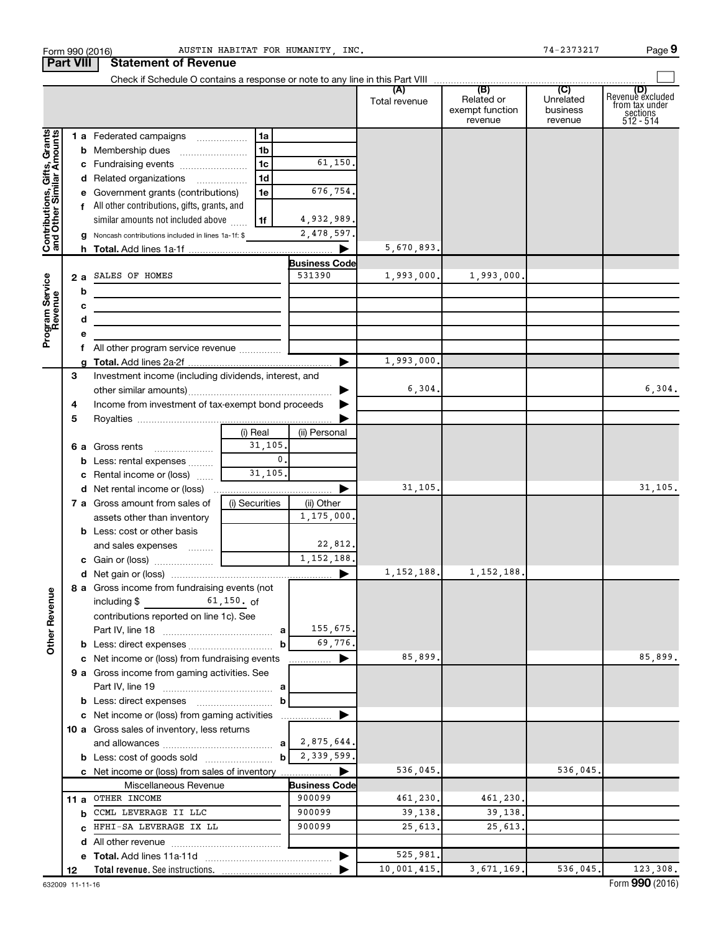|                                                           | Form 990 (2016)<br><b>Part VIII</b> | AUSTIN HABITAT FOR HUMANITY, INC.<br><b>Statement of Revenue</b>                                                        |                                |               |                                          | 74-2373217                       | Page 9                                                             |
|-----------------------------------------------------------|-------------------------------------|-------------------------------------------------------------------------------------------------------------------------|--------------------------------|---------------|------------------------------------------|----------------------------------|--------------------------------------------------------------------|
|                                                           |                                     |                                                                                                                         |                                |               |                                          |                                  |                                                                    |
|                                                           |                                     |                                                                                                                         |                                | Total revenue | Related or<br>exempt function<br>revenue | Unrelated<br>business<br>revenue | (D)<br>Revenue excluded<br>from tax under<br>sections<br>512 - 514 |
|                                                           |                                     | 1 a Federated campaigns<br>1a                                                                                           |                                |               |                                          |                                  |                                                                    |
|                                                           |                                     | 1 <sub>b</sub><br><b>b</b> Membership dues                                                                              |                                |               |                                          |                                  |                                                                    |
|                                                           |                                     | 1 <sub>c</sub><br>c Fundraising events                                                                                  | 61,150.                        |               |                                          |                                  |                                                                    |
|                                                           |                                     | 1 <sub>d</sub><br>d Related organizations                                                                               |                                |               |                                          |                                  |                                                                    |
|                                                           |                                     | 1e<br>e Government grants (contributions)                                                                               | 676,754.                       |               |                                          |                                  |                                                                    |
|                                                           |                                     | f All other contributions, gifts, grants, and                                                                           |                                |               |                                          |                                  |                                                                    |
| Contributions, Gifts, Grants<br>and Other Similar Amounts |                                     | 1f<br>similar amounts not included above                                                                                | 4,932,989.                     |               |                                          |                                  |                                                                    |
|                                                           |                                     | g Noncash contributions included in lines 1a-1f: \$                                                                     | 2,478,597.                     |               |                                          |                                  |                                                                    |
|                                                           |                                     |                                                                                                                         |                                | 5,670,893.    |                                          |                                  |                                                                    |
|                                                           |                                     |                                                                                                                         | <b>Business Code</b><br>531390 |               |                                          |                                  |                                                                    |
|                                                           |                                     | 2 a SALES OF HOMES                                                                                                      |                                | 1,993,000.    | 1,993,000.                               |                                  |                                                                    |
|                                                           | b                                   | <u> 1989 - Johann Stoff, deutscher Stoffen und der Stoffen und der Stoffen und der Stoffen und der Stoffen und der </u> |                                |               |                                          |                                  |                                                                    |
|                                                           | с<br>d                              |                                                                                                                         |                                |               |                                          |                                  |                                                                    |
| Program Service<br>Revenue                                | е                                   | <u> 1989 - Johann Barbara, martxa alemaniar a</u>                                                                       |                                |               |                                          |                                  |                                                                    |
|                                                           |                                     |                                                                                                                         |                                |               |                                          |                                  |                                                                    |
|                                                           |                                     |                                                                                                                         | $\blacktriangleright$          | 1,993,000.    |                                          |                                  |                                                                    |
|                                                           | 3                                   | Investment income (including dividends, interest, and                                                                   |                                |               |                                          |                                  |                                                                    |
|                                                           |                                     |                                                                                                                         | $\blacktriangleright$          | 6,304.        |                                          |                                  | 6,304.                                                             |
|                                                           | 4                                   | Income from investment of tax-exempt bond proceeds                                                                      |                                |               |                                          |                                  |                                                                    |
|                                                           | 5                                   |                                                                                                                         |                                |               |                                          |                                  |                                                                    |
|                                                           |                                     | (i) Real                                                                                                                | (ii) Personal                  |               |                                          |                                  |                                                                    |
|                                                           |                                     | 31, 105.<br>6 a Gross rents                                                                                             |                                |               |                                          |                                  |                                                                    |
|                                                           |                                     | 0.1<br><b>b</b> Less: rental expenses                                                                                   |                                |               |                                          |                                  |                                                                    |
|                                                           |                                     | 31, 105.<br>c Rental income or (loss)                                                                                   |                                |               |                                          |                                  |                                                                    |
|                                                           |                                     |                                                                                                                         |                                | 31,105.       |                                          |                                  | 31,105.                                                            |
|                                                           |                                     | <b>7 a</b> Gross amount from sales of<br>(i) Securities                                                                 | (ii) Other<br>1,175,000.       |               |                                          |                                  |                                                                    |
|                                                           |                                     | assets other than inventory<br><b>b</b> Less: cost or other basis                                                       |                                |               |                                          |                                  |                                                                    |
|                                                           |                                     | and sales expenses                                                                                                      | 22,812.                        |               |                                          |                                  |                                                                    |
|                                                           |                                     |                                                                                                                         | 1, 152, 188.                   |               |                                          |                                  |                                                                    |
|                                                           |                                     |                                                                                                                         |                                | 1, 152, 188.  | 1, 152, 188.                             |                                  |                                                                    |
|                                                           |                                     | 8 a Gross income from fundraising events (not                                                                           |                                |               |                                          |                                  |                                                                    |
| <b>Other Revenue</b>                                      |                                     | $61,150.$ of<br>including \$                                                                                            |                                |               |                                          |                                  |                                                                    |
|                                                           |                                     | contributions reported on line 1c). See                                                                                 |                                |               |                                          |                                  |                                                                    |
|                                                           |                                     |                                                                                                                         | 155,675.                       |               |                                          |                                  |                                                                    |
|                                                           |                                     | b                                                                                                                       | 69,776.                        |               |                                          |                                  |                                                                    |
|                                                           |                                     | c Net income or (loss) from fundraising events                                                                          | ▶<br>.                         | 85,899.       |                                          |                                  | 85,899.                                                            |
|                                                           |                                     | 9 a Gross income from gaming activities. See                                                                            |                                |               |                                          |                                  |                                                                    |
|                                                           |                                     |                                                                                                                         |                                |               |                                          |                                  |                                                                    |
|                                                           |                                     | b<br>c Net income or (loss) from gaming activities                                                                      |                                |               |                                          |                                  |                                                                    |
|                                                           |                                     | 10 a Gross sales of inventory, less returns                                                                             |                                |               |                                          |                                  |                                                                    |
|                                                           |                                     | a                                                                                                                       | 2,875,644.                     |               |                                          |                                  |                                                                    |
|                                                           |                                     | $\mathbf{b}$                                                                                                            | 2,339,599.                     |               |                                          |                                  |                                                                    |
|                                                           |                                     | c Net income or (loss) from sales of inventory                                                                          |                                | 536,045.      |                                          | 536,045.                         |                                                                    |
|                                                           |                                     | Miscellaneous Revenue                                                                                                   | <b>Business Code</b>           |               |                                          |                                  |                                                                    |
|                                                           | 11 a                                | OTHER INCOME                                                                                                            | 900099                         | 461,230.      | 461,230.                                 |                                  |                                                                    |
|                                                           | b                                   | CCML LEVERAGE II LLC                                                                                                    | 900099                         | 39,138.       | 39,138.                                  |                                  |                                                                    |
|                                                           | C.                                  | HFHI-SA LEVERAGE IX LL                                                                                                  | 900099                         | 25,613.       | 25,613.                                  |                                  |                                                                    |
|                                                           | d                                   |                                                                                                                         |                                |               |                                          |                                  |                                                                    |
|                                                           |                                     |                                                                                                                         |                                | 525,981.      |                                          |                                  |                                                                    |
|                                                           | 12                                  | Total revenue. See instructions.                                                                                        |                                | 10,001,415.   | 3,671,169.                               | 536,045.                         | 123,308.                                                           |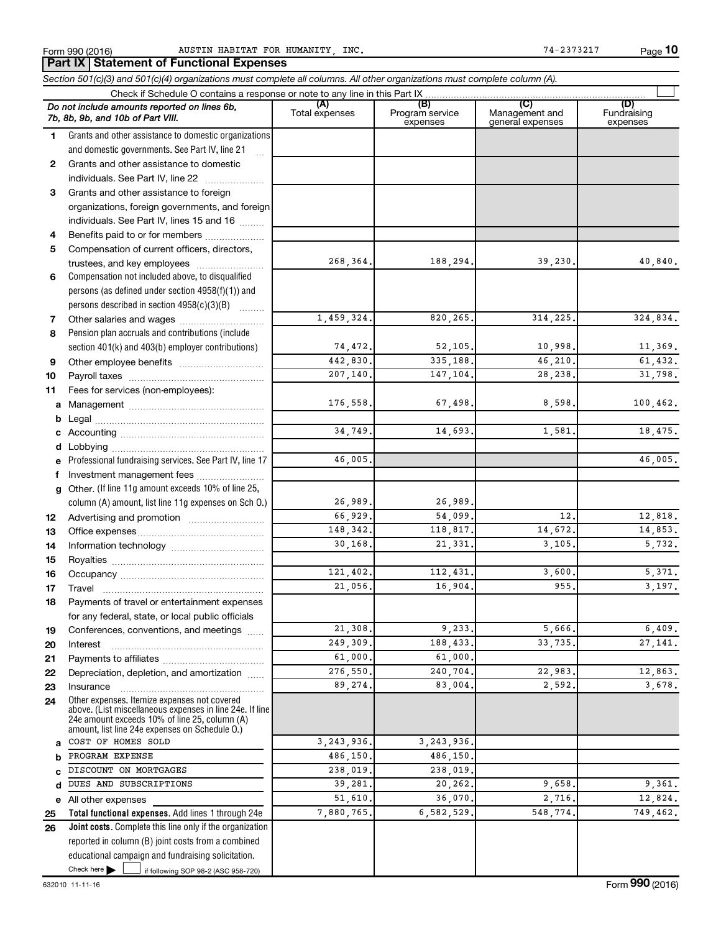|          | Part IX   Statement of Functional Expenses                                                                                 |                       |                                    |                                           |                                |  |  |  |  |  |
|----------|----------------------------------------------------------------------------------------------------------------------------|-----------------------|------------------------------------|-------------------------------------------|--------------------------------|--|--|--|--|--|
|          | Section 501(c)(3) and 501(c)(4) organizations must complete all columns. All other organizations must complete column (A). |                       |                                    |                                           |                                |  |  |  |  |  |
|          |                                                                                                                            |                       |                                    |                                           |                                |  |  |  |  |  |
|          | Do not include amounts reported on lines 6b,<br>7b, 8b, 9b, and 10b of Part VIII.                                          | (A)<br>Total expenses | (B)<br>Program service<br>expenses | (C)<br>Management and<br>general expenses | (D)<br>Fundraising<br>expenses |  |  |  |  |  |
| 1        | Grants and other assistance to domestic organizations                                                                      |                       |                                    |                                           |                                |  |  |  |  |  |
|          | and domestic governments. See Part IV, line 21                                                                             |                       |                                    |                                           |                                |  |  |  |  |  |
| 2        | Grants and other assistance to domestic                                                                                    |                       |                                    |                                           |                                |  |  |  |  |  |
|          | individuals. See Part IV, line 22                                                                                          |                       |                                    |                                           |                                |  |  |  |  |  |
| 3        | Grants and other assistance to foreign                                                                                     |                       |                                    |                                           |                                |  |  |  |  |  |
|          | organizations, foreign governments, and foreign                                                                            |                       |                                    |                                           |                                |  |  |  |  |  |
|          | individuals. See Part IV, lines 15 and 16                                                                                  |                       |                                    |                                           |                                |  |  |  |  |  |
| 4        | Benefits paid to or for members                                                                                            |                       |                                    |                                           |                                |  |  |  |  |  |
| 5        | Compensation of current officers, directors,                                                                               | 268,364.              |                                    |                                           |                                |  |  |  |  |  |
|          | trustees, and key employees                                                                                                |                       | 188,294.                           | 39,230.                                   | 40,840.                        |  |  |  |  |  |
| 6        | Compensation not included above, to disqualified<br>persons (as defined under section 4958(f)(1)) and                      |                       |                                    |                                           |                                |  |  |  |  |  |
|          | persons described in section 4958(c)(3)(B)                                                                                 |                       |                                    |                                           |                                |  |  |  |  |  |
| 7        | Other salaries and wages                                                                                                   | 1,459,324.            | 820,265.                           | 314, 225.                                 | 324,834.                       |  |  |  |  |  |
| 8        | Pension plan accruals and contributions (include                                                                           |                       |                                    |                                           |                                |  |  |  |  |  |
|          | section 401(k) and 403(b) employer contributions)                                                                          | 74,472.               | 52, 105.                           | 10,998.                                   | 11,369.                        |  |  |  |  |  |
| 9        |                                                                                                                            | 442,830.              | 335,188.                           | 46,210.                                   | 61,432.                        |  |  |  |  |  |
| 10       |                                                                                                                            | 207,140.              | 147,104.                           | 28,238.                                   | 31,798.                        |  |  |  |  |  |
| 11       | Fees for services (non-employees):                                                                                         |                       |                                    |                                           |                                |  |  |  |  |  |
| a        |                                                                                                                            | 176,558.              | 67,498.                            | 8,598.                                    | 100, 462.                      |  |  |  |  |  |
|          |                                                                                                                            |                       |                                    |                                           |                                |  |  |  |  |  |
|          |                                                                                                                            | 34,749.               | 14,693.                            | 1,581                                     | 18,475.                        |  |  |  |  |  |
|          |                                                                                                                            |                       |                                    |                                           |                                |  |  |  |  |  |
|          | Professional fundraising services. See Part IV, line 17                                                                    | 46,005.               |                                    |                                           | 46,005.                        |  |  |  |  |  |
|          | f Investment management fees                                                                                               |                       |                                    |                                           |                                |  |  |  |  |  |
| a        | Other. (If line 11g amount exceeds 10% of line 25,                                                                         |                       |                                    |                                           |                                |  |  |  |  |  |
|          | column (A) amount, list line 11g expenses on Sch O.)                                                                       | 26,989.               | 26,989.                            |                                           |                                |  |  |  |  |  |
| 12       |                                                                                                                            | 66,929.               | 54,099.                            | 12 <sub>1</sub>                           | 12,818.                        |  |  |  |  |  |
| 13       |                                                                                                                            | 148,342.              | 118,817.                           | 14,672.                                   | 14,853.                        |  |  |  |  |  |
| 14       |                                                                                                                            | 30,168.               | 21,331.                            | 3, 105,                                   | 5,732.                         |  |  |  |  |  |
| 15       |                                                                                                                            |                       |                                    |                                           |                                |  |  |  |  |  |
| 16       |                                                                                                                            | 121,402.              | 112,431.                           | 3,600.                                    | 5,371.                         |  |  |  |  |  |
| 17       | Travel                                                                                                                     | 21,056.               | 16,904.                            | 955                                       | 3,197.                         |  |  |  |  |  |
| 18       | Payments of travel or entertainment expenses                                                                               |                       |                                    |                                           |                                |  |  |  |  |  |
|          | for any federal, state, or local public officials                                                                          | 21,308.               | 9,233.                             | 5,666.                                    | 6,409.                         |  |  |  |  |  |
| 19       | Conferences, conventions, and meetings                                                                                     | 249.309.              | 188,433.                           | 33,735                                    | 27,141.                        |  |  |  |  |  |
| 20       | Interest                                                                                                                   | 61,000.               | 61,000.                            |                                           |                                |  |  |  |  |  |
| 21<br>22 | Depreciation, depletion, and amortization                                                                                  | 276,550.              | 240,704.                           | 22,983.                                   | 12,863.                        |  |  |  |  |  |
| 23       | Insurance                                                                                                                  | 89,274.               | 83,004.                            | 2,592.                                    | 3,678.                         |  |  |  |  |  |
| 24       | Other expenses. Itemize expenses not covered<br>above. (List miscellaneous expenses in line 24e. If line                   |                       |                                    |                                           |                                |  |  |  |  |  |
|          | 24e amount exceeds 10% of line 25, column (A)<br>amount, list line 24e expenses on Schedule O.)                            |                       |                                    |                                           |                                |  |  |  |  |  |
| a        | COST OF HOMES SOLD                                                                                                         | 3, 243, 936.          | 3, 243, 936.                       |                                           |                                |  |  |  |  |  |
| b        | PROGRAM EXPENSE                                                                                                            | 486,150.              | 486,150.                           |                                           |                                |  |  |  |  |  |
| C        | DISCOUNT ON MORTGAGES                                                                                                      | 238,019.              | 238,019.                           |                                           |                                |  |  |  |  |  |
| d        | DUES AND SUBSCRIPTIONS                                                                                                     | 39,281.               | 20,262.                            | 9,658.                                    | 9,361.                         |  |  |  |  |  |
|          | e All other expenses                                                                                                       | 51,610.               | 36,070.                            | 2,716.                                    | 12,824.                        |  |  |  |  |  |
| 25       | Total functional expenses. Add lines 1 through 24e                                                                         | 7,880,765.            | 6,582,529.                         | 548,774.                                  | 749,462.                       |  |  |  |  |  |
| 26       | Joint costs. Complete this line only if the organization                                                                   |                       |                                    |                                           |                                |  |  |  |  |  |
|          | reported in column (B) joint costs from a combined                                                                         |                       |                                    |                                           |                                |  |  |  |  |  |
|          | educational campaign and fundraising solicitation.                                                                         |                       |                                    |                                           |                                |  |  |  |  |  |
|          | Check here $\blacktriangleright$<br>if following SOP 98-2 (ASC 958-720)                                                    |                       |                                    |                                           |                                |  |  |  |  |  |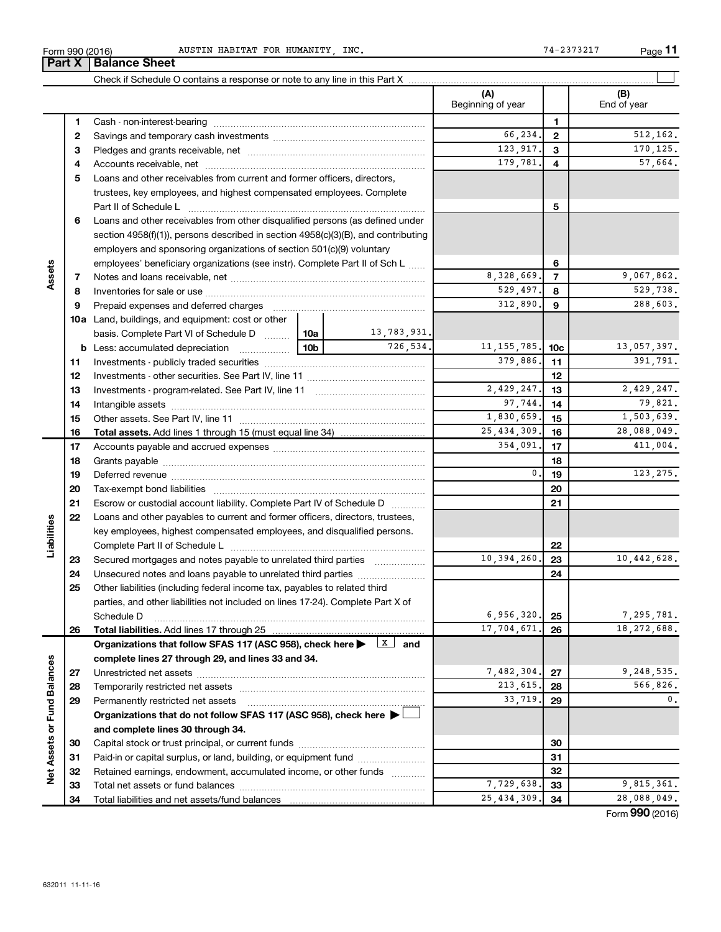| INC<br>HABITAT FOR<br>HUMANITY<br>AUSTIN<br>(2016)<br>Form 990<br>"<br>⊥ ۲۵ ل<br>▵ |  | Page |
|------------------------------------------------------------------------------------|--|------|
|------------------------------------------------------------------------------------|--|------|

**11**

|                             | <b>1 GIL</b> | הסווט שווטט                                                                                                                                                                                                                   |               |             |                          |                |                    |
|-----------------------------|--------------|-------------------------------------------------------------------------------------------------------------------------------------------------------------------------------------------------------------------------------|---------------|-------------|--------------------------|----------------|--------------------|
|                             |              |                                                                                                                                                                                                                               |               |             |                          |                |                    |
|                             |              |                                                                                                                                                                                                                               |               |             | (A)<br>Beginning of year |                | (B)<br>End of year |
|                             | 1.           |                                                                                                                                                                                                                               |               |             |                          | 1              |                    |
|                             | 2            |                                                                                                                                                                                                                               |               |             | 66,234.                  | $\mathbf{2}$   | 512, 162.          |
|                             | 3            |                                                                                                                                                                                                                               |               |             | 123,917.                 | 3              | 170,125.           |
|                             | 4            |                                                                                                                                                                                                                               |               |             | 179,781.                 | 4              | 57,664.            |
|                             | 5            | Loans and other receivables from current and former officers, directors,                                                                                                                                                      |               |             |                          |                |                    |
|                             |              | trustees, key employees, and highest compensated employees. Complete                                                                                                                                                          |               |             |                          |                |                    |
|                             |              | Part II of Schedule L                                                                                                                                                                                                         |               |             |                          | 5              |                    |
|                             | 6            | Loans and other receivables from other disqualified persons (as defined under                                                                                                                                                 |               |             |                          |                |                    |
|                             |              | section $4958(f)(1)$ , persons described in section $4958(c)(3)(B)$ , and contributing                                                                                                                                        |               |             |                          |                |                    |
|                             |              | employers and sponsoring organizations of section 501(c)(9) voluntary                                                                                                                                                         |               |             |                          |                |                    |
|                             |              | employees' beneficiary organizations (see instr). Complete Part II of Sch L                                                                                                                                                   |               |             |                          | 6              |                    |
| Assets                      | 7            |                                                                                                                                                                                                                               |               |             | 8,328,669.               | $\overline{7}$ | 9,067,862.         |
|                             | 8            |                                                                                                                                                                                                                               |               |             | 529,497.                 | 8              | 529,738.           |
|                             | 9            | Prepaid expenses and deferred charges [11] [11] Prepaid expenses and deferred charges [11] [11] Martin Marian Marian Marian Marian Marian Marian Marian Marian Marian Marian Marian Marian Marian Marian Marian Marian Marian |               |             | 312,890.                 | 9              | 288,603.           |
|                             |              | <b>10a</b> Land, buildings, and equipment: cost or other                                                                                                                                                                      |               |             |                          |                |                    |
|                             |              | basis. Complete Part VI of Schedule D  [10a ]                                                                                                                                                                                 |               | 13,783,931. | 11, 155, 785.            |                |                    |
|                             |              | <b>b</b> Less: accumulated depreciation <b>contains 100</b>                                                                                                                                                                   | 726,534.      |             |                          |                | 13,057,397.        |
|                             | 11           |                                                                                                                                                                                                                               | 379,886.      | 11          | 391,791.                 |                |                    |
|                             | 12           |                                                                                                                                                                                                                               |               |             | 12                       |                |                    |
|                             | 13           |                                                                                                                                                                                                                               | 2,429,247.    | 13          | 2,429,247.               |                |                    |
|                             | 14           |                                                                                                                                                                                                                               |               |             | 97,744.                  | 14             | 79,821.            |
|                             | 15           |                                                                                                                                                                                                                               | 1,830,659.    | 15          | 1,503,639.               |                |                    |
|                             | 16           | <b>Total assets.</b> Add lines 1 through 15 (must equal line 34) <i></i>                                                                                                                                                      | 25, 434, 309. | 16          | 28,088,049.              |                |                    |
|                             | 17           |                                                                                                                                                                                                                               | 354,091.      | 17          | 411,004.                 |                |                    |
|                             | 18           |                                                                                                                                                                                                                               |               |             |                          | 18             |                    |
|                             | 19           |                                                                                                                                                                                                                               |               |             | 0.                       | 19             | 123,275.           |
|                             | 20           |                                                                                                                                                                                                                               |               |             |                          | 20             |                    |
|                             | 21           | Escrow or custodial account liability. Complete Part IV of Schedule D                                                                                                                                                         |               | .           |                          | 21             |                    |
|                             | 22           | Loans and other payables to current and former officers, directors, trustees,                                                                                                                                                 |               |             |                          |                |                    |
|                             |              | key employees, highest compensated employees, and disqualified persons.                                                                                                                                                       |               |             |                          |                |                    |
| Liabilities                 |              |                                                                                                                                                                                                                               |               |             |                          | 22             |                    |
|                             | 23           | Secured mortgages and notes payable to unrelated third parties                                                                                                                                                                |               |             | 10,394,260.              | 23             | 10,442,628.        |
|                             | 24           | Unsecured notes and loans payable to unrelated third parties                                                                                                                                                                  |               |             |                          | 24             |                    |
|                             | 25           | Other liabilities (including federal income tax, payables to related third                                                                                                                                                    |               |             |                          |                |                    |
|                             |              | parties, and other liabilities not included on lines 17-24). Complete Part X of                                                                                                                                               |               |             |                          |                |                    |
|                             |              | Schedule D                                                                                                                                                                                                                    |               |             | 6,956,320.               | 25             | 7,295,781.         |
|                             | 26           |                                                                                                                                                                                                                               |               |             | 17,704,671.              | 26             | 18, 272, 688.      |
|                             |              | Organizations that follow SFAS 117 (ASC 958), check here $\blacktriangleright \begin{array}{c} \boxed{X} \\ \end{array}$ and                                                                                                  |               |             |                          |                |                    |
|                             |              | complete lines 27 through 29, and lines 33 and 34.                                                                                                                                                                            |               |             | 7,482,304.               |                | 9,248,535.         |
|                             | 27           |                                                                                                                                                                                                                               |               |             | 213,615.                 | 27             | 566,826.           |
|                             | 28           |                                                                                                                                                                                                                               |               |             | 33,719.                  | 28             | 0.                 |
|                             | 29           | Permanently restricted net assets                                                                                                                                                                                             |               |             |                          | 29             |                    |
|                             |              | Organizations that do not follow SFAS 117 (ASC 958), check here $\blacktriangleright$                                                                                                                                         |               |             |                          |                |                    |
|                             |              | and complete lines 30 through 34.                                                                                                                                                                                             |               |             |                          | 30             |                    |
|                             | 30           | Paid-in or capital surplus, or land, building, or equipment fund                                                                                                                                                              |               |             |                          | 31             |                    |
| Net Assets or Fund Balances | 31<br>32     | Retained earnings, endowment, accumulated income, or other funds                                                                                                                                                              |               |             |                          | 32             |                    |
|                             | 33           |                                                                                                                                                                                                                               |               |             | 7,729,638.               | 33             | 9,815,361.         |
|                             | 34           |                                                                                                                                                                                                                               |               |             | 25, 434, 309.            | 34             | 28,088,049.        |
|                             |              |                                                                                                                                                                                                                               |               |             |                          |                |                    |

Form (2016) **990**

### **Part X** | Balance Sheet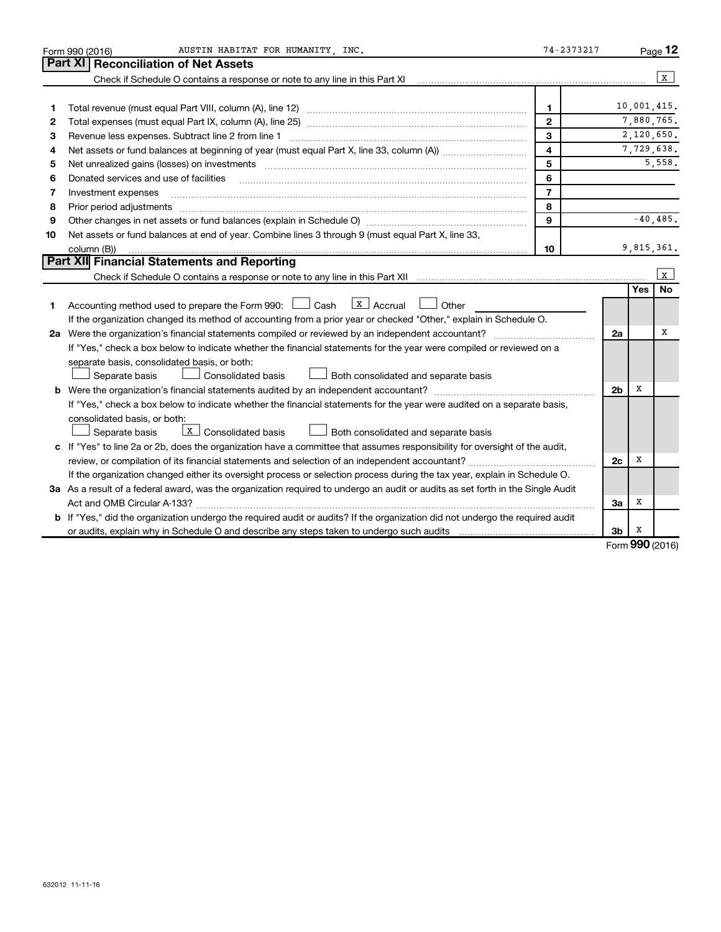|    | AUSTIN HABITAT FOR HUMANITY INC.<br>Form 990 (2016)                                                                                                               | 74-2373217              |                |             | Page 12      |
|----|-------------------------------------------------------------------------------------------------------------------------------------------------------------------|-------------------------|----------------|-------------|--------------|
|    | Part XI<br><b>Reconciliation of Net Assets</b>                                                                                                                    |                         |                |             |              |
|    | Check if Schedule O contains a response or note to any line in this Part XI [11] [12] Check if Schedule O contains a response or note to any line in this Part XI |                         |                |             | $\mathbf{x}$ |
|    |                                                                                                                                                                   |                         |                |             |              |
| 1  |                                                                                                                                                                   | $\mathbf{1}$            |                | 10,001,415. |              |
| 2  |                                                                                                                                                                   | $\mathbf{2}$            |                | 7,880,765.  |              |
| 3  | Revenue less expenses. Subtract line 2 from line 1                                                                                                                | 3                       |                | 2,120,650.  |              |
| 4  |                                                                                                                                                                   | $\overline{\mathbf{4}}$ |                | 7,729,638.  |              |
| 5  | Net unrealized gains (losses) on investments [111] www.marting.community.community.community.community.communi                                                    | 5                       |                |             | 5,558.       |
| 6  | Donated services and use of facilities                                                                                                                            | 6                       |                |             |              |
| 7  | Investment expenses                                                                                                                                               | $\overline{7}$          |                |             |              |
| 8  | Prior period adjustments manufactured and content and content and all the manufactured adjustments manufacture                                                    | 8                       |                |             |              |
| 9  |                                                                                                                                                                   | 9                       |                |             | $-40,485.$   |
| 10 | Net assets or fund balances at end of year. Combine lines 3 through 9 (must equal Part X, line 33,                                                                |                         |                |             |              |
|    | column (B))                                                                                                                                                       | 10                      |                | 9,815,361.  |              |
|    | Part XII Financial Statements and Reporting                                                                                                                       |                         |                |             |              |
|    |                                                                                                                                                                   |                         |                |             | X            |
|    |                                                                                                                                                                   |                         |                | Yes         | <b>No</b>    |
| 1. | $\lfloor x \rfloor$ Accrual<br>Accounting method used to prepare the Form 990: $\Box$ Cash<br>Other                                                               |                         |                |             |              |
|    | If the organization changed its method of accounting from a prior year or checked "Other," explain in Schedule O.                                                 |                         |                |             |              |
|    | 2a Were the organization's financial statements compiled or reviewed by an independent accountant?                                                                |                         | 2a             |             | x            |
|    | If "Yes," check a box below to indicate whether the financial statements for the year were compiled or reviewed on a                                              |                         |                |             |              |
|    | separate basis, consolidated basis, or both:                                                                                                                      |                         |                |             |              |
|    | Separate basis<br><b>Consolidated basis</b><br>Both consolidated and separate basis                                                                               |                         |                |             |              |
|    |                                                                                                                                                                   |                         | 2 <sub>b</sub> | х           |              |
|    | If "Yes," check a box below to indicate whether the financial statements for the year were audited on a separate basis,                                           |                         |                |             |              |
|    | consolidated basis, or both:                                                                                                                                      |                         |                |             |              |
|    | $X$ Consolidated basis<br>Separate basis<br>Both consolidated and separate basis                                                                                  |                         |                |             |              |
|    | c If "Yes" to line 2a or 2b, does the organization have a committee that assumes responsibility for oversight of the audit,                                       |                         |                |             |              |
|    |                                                                                                                                                                   |                         | 2c             | х           |              |
|    | If the organization changed either its oversight process or selection process during the tax year, explain in Schedule O.                                         |                         |                |             |              |
|    | 3a As a result of a federal award, was the organization required to undergo an audit or audits as set forth in the Single Audit                                   |                         |                |             |              |
|    |                                                                                                                                                                   |                         | За             | х           |              |
|    | b If "Yes," did the organization undergo the required audit or audits? If the organization did not undergo the required audit                                     |                         |                |             |              |
|    |                                                                                                                                                                   |                         | 3b             | х           |              |

Form (2016) **990**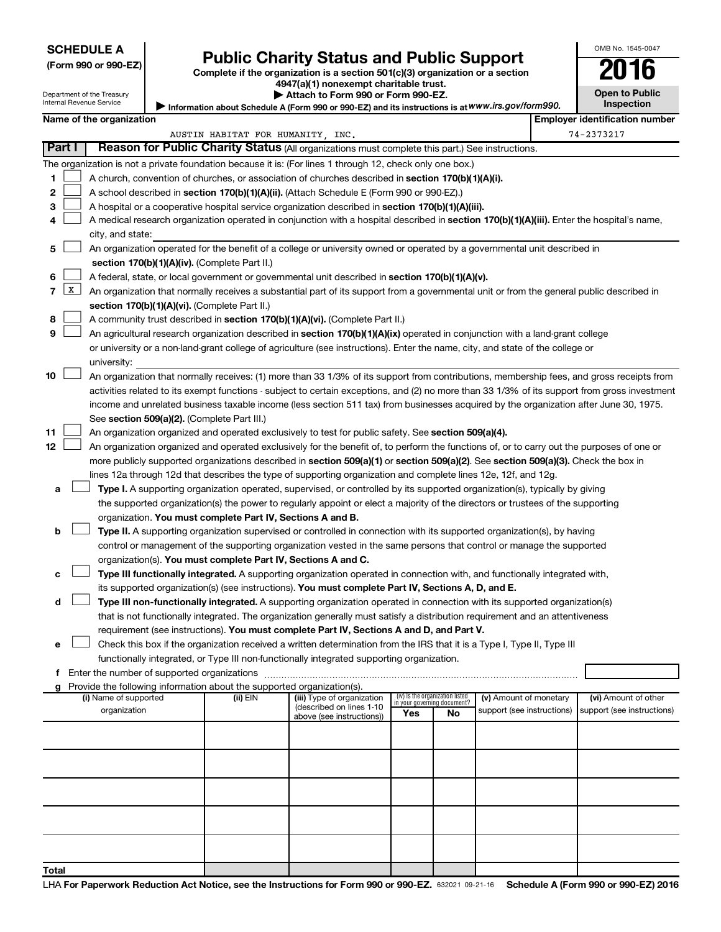#### **SCHEDULE A**

# Form 990 or 990-EZ) **Public Charity Status and Public Support**<br>
Complete if the organization is a section 501(c)(3) organization or a section<br> **2016**

**4947(a)(1) nonexempt charitable trust.**

**| Attach to Form 990 or Form 990-EZ.** 

| <b>Open to Public</b><br><b>Inspection</b> |  |
|--------------------------------------------|--|

OMB No. 1545-0047

Department of the Treasury Internal Revenue Service

| Information about Schedule A (Form 990 or 990-EZ) and its instructions is at WWW.irs.gov/form990. |  |
|---------------------------------------------------------------------------------------------------|--|
|                                                                                                   |  |

#### **Name of the organization**

|              | ∣ Part I | Reason for Public Charity Status (All organizations must complete this part.) See instructions.                                                                                                 | AUSTIN HABITAT FOR HUMANITY, INC. |                            |                                    |    |                            |  | 74-2373217                 |
|--------------|----------|-------------------------------------------------------------------------------------------------------------------------------------------------------------------------------------------------|-----------------------------------|----------------------------|------------------------------------|----|----------------------------|--|----------------------------|
|              |          |                                                                                                                                                                                                 |                                   |                            |                                    |    |                            |  |                            |
|              |          | The organization is not a private foundation because it is: (For lines 1 through 12, check only one box.)                                                                                       |                                   |                            |                                    |    |                            |  |                            |
| 1.           |          | A church, convention of churches, or association of churches described in section 170(b)(1)(A)(i).<br>A school described in section 170(b)(1)(A)(ii). (Attach Schedule E (Form 990 or 990-EZ).) |                                   |                            |                                    |    |                            |  |                            |
| 2            |          |                                                                                                                                                                                                 |                                   |                            |                                    |    |                            |  |                            |
| 3            |          | A hospital or a cooperative hospital service organization described in section 170(b)(1)(A)(iii).                                                                                               |                                   |                            |                                    |    |                            |  |                            |
| 4            |          | A medical research organization operated in conjunction with a hospital described in section 170(b)(1)(A)(iii). Enter the hospital's name,                                                      |                                   |                            |                                    |    |                            |  |                            |
|              |          | city, and state:                                                                                                                                                                                |                                   |                            |                                    |    |                            |  |                            |
| 5            |          | An organization operated for the benefit of a college or university owned or operated by a governmental unit described in                                                                       |                                   |                            |                                    |    |                            |  |                            |
|              |          | section 170(b)(1)(A)(iv). (Complete Part II.)                                                                                                                                                   |                                   |                            |                                    |    |                            |  |                            |
| 6            |          | A federal, state, or local government or governmental unit described in section 170(b)(1)(A)(v).                                                                                                |                                   |                            |                                    |    |                            |  |                            |
| 7            | X        | An organization that normally receives a substantial part of its support from a governmental unit or from the general public described in                                                       |                                   |                            |                                    |    |                            |  |                            |
|              |          | section 170(b)(1)(A)(vi). (Complete Part II.)                                                                                                                                                   |                                   |                            |                                    |    |                            |  |                            |
| 8            |          | A community trust described in section 170(b)(1)(A)(vi). (Complete Part II.)                                                                                                                    |                                   |                            |                                    |    |                            |  |                            |
| 9            |          | An agricultural research organization described in section 170(b)(1)(A)(ix) operated in conjunction with a land-grant college                                                                   |                                   |                            |                                    |    |                            |  |                            |
|              |          | or university or a non-land-grant college of agriculture (see instructions). Enter the name, city, and state of the college or                                                                  |                                   |                            |                                    |    |                            |  |                            |
|              |          | university:                                                                                                                                                                                     |                                   |                            |                                    |    |                            |  |                            |
| 10           |          | An organization that normally receives: (1) more than 33 1/3% of its support from contributions, membership fees, and gross receipts from                                                       |                                   |                            |                                    |    |                            |  |                            |
|              |          | activities related to its exempt functions - subject to certain exceptions, and (2) no more than 33 1/3% of its support from gross investment                                                   |                                   |                            |                                    |    |                            |  |                            |
|              |          | income and unrelated business taxable income (less section 511 tax) from businesses acquired by the organization after June 30, 1975.                                                           |                                   |                            |                                    |    |                            |  |                            |
|              |          | See section 509(a)(2). (Complete Part III.)                                                                                                                                                     |                                   |                            |                                    |    |                            |  |                            |
| 11           |          | An organization organized and operated exclusively to test for public safety. See section 509(a)(4).                                                                                            |                                   |                            |                                    |    |                            |  |                            |
| 12           |          | An organization organized and operated exclusively for the benefit of, to perform the functions of, or to carry out the purposes of one or                                                      |                                   |                            |                                    |    |                            |  |                            |
|              |          | more publicly supported organizations described in section 509(a)(1) or section 509(a)(2). See section 509(a)(3). Check the box in                                                              |                                   |                            |                                    |    |                            |  |                            |
|              |          | lines 12a through 12d that describes the type of supporting organization and complete lines 12e, 12f, and 12g.                                                                                  |                                   |                            |                                    |    |                            |  |                            |
| а            |          | Type I. A supporting organization operated, supervised, or controlled by its supported organization(s), typically by giving                                                                     |                                   |                            |                                    |    |                            |  |                            |
|              |          | the supported organization(s) the power to regularly appoint or elect a majority of the directors or trustees of the supporting                                                                 |                                   |                            |                                    |    |                            |  |                            |
|              |          | organization. You must complete Part IV, Sections A and B.                                                                                                                                      |                                   |                            |                                    |    |                            |  |                            |
| b            |          | Type II. A supporting organization supervised or controlled in connection with its supported organization(s), by having                                                                         |                                   |                            |                                    |    |                            |  |                            |
|              |          | control or management of the supporting organization vested in the same persons that control or manage the supported                                                                            |                                   |                            |                                    |    |                            |  |                            |
|              |          | organization(s). You must complete Part IV, Sections A and C.                                                                                                                                   |                                   |                            |                                    |    |                            |  |                            |
| с            |          | Type III functionally integrated. A supporting organization operated in connection with, and functionally integrated with,                                                                      |                                   |                            |                                    |    |                            |  |                            |
|              |          | its supported organization(s) (see instructions). You must complete Part IV, Sections A, D, and E.                                                                                              |                                   |                            |                                    |    |                            |  |                            |
| d            |          | Type III non-functionally integrated. A supporting organization operated in connection with its supported organization(s)                                                                       |                                   |                            |                                    |    |                            |  |                            |
|              |          | that is not functionally integrated. The organization generally must satisfy a distribution requirement and an attentiveness                                                                    |                                   |                            |                                    |    |                            |  |                            |
|              |          | requirement (see instructions). You must complete Part IV, Sections A and D, and Part V.                                                                                                        |                                   |                            |                                    |    |                            |  |                            |
| е            |          | Check this box if the organization received a written determination from the IRS that it is a Type I, Type II, Type III                                                                         |                                   |                            |                                    |    |                            |  |                            |
|              |          | functionally integrated, or Type III non-functionally integrated supporting organization.                                                                                                       |                                   |                            |                                    |    |                            |  |                            |
| f            |          | Enter the number of supported organizations                                                                                                                                                     |                                   |                            |                                    |    |                            |  |                            |
| g            |          | Provide the following information about the supported organization(s).<br>(i) Name of supported                                                                                                 | (ii) EIN                          | (iii) Type of organization | (iv) Is the organization listed    |    | (v) Amount of monetary     |  | (vi) Amount of other       |
|              |          | organization                                                                                                                                                                                    |                                   | (described on lines 1-10   | in your governing document?<br>Yes | No | support (see instructions) |  | support (see instructions) |
|              |          |                                                                                                                                                                                                 |                                   | above (see instructions))  |                                    |    |                            |  |                            |
|              |          |                                                                                                                                                                                                 |                                   |                            |                                    |    |                            |  |                            |
|              |          |                                                                                                                                                                                                 |                                   |                            |                                    |    |                            |  |                            |
|              |          |                                                                                                                                                                                                 |                                   |                            |                                    |    |                            |  |                            |
|              |          |                                                                                                                                                                                                 |                                   |                            |                                    |    |                            |  |                            |
|              |          |                                                                                                                                                                                                 |                                   |                            |                                    |    |                            |  |                            |
|              |          |                                                                                                                                                                                                 |                                   |                            |                                    |    |                            |  |                            |
|              |          |                                                                                                                                                                                                 |                                   |                            |                                    |    |                            |  |                            |
|              |          |                                                                                                                                                                                                 |                                   |                            |                                    |    |                            |  |                            |
|              |          |                                                                                                                                                                                                 |                                   |                            |                                    |    |                            |  |                            |
| <b>Total</b> |          |                                                                                                                                                                                                 |                                   |                            |                                    |    |                            |  |                            |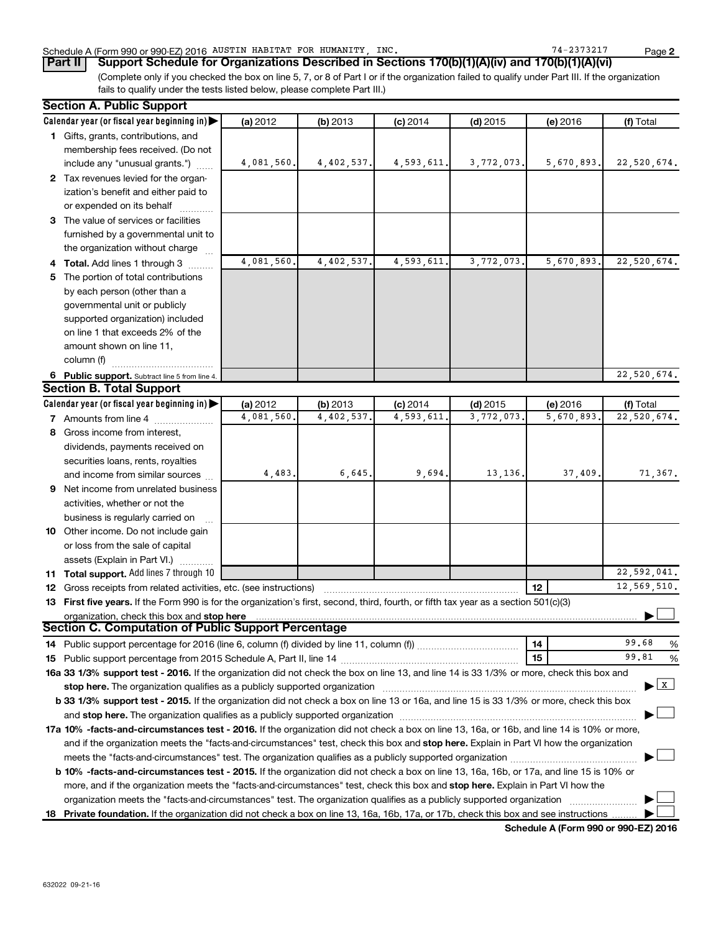#### Schedule A (Form 990 or 990-EZ) 2016 AUSTIN HABITAT FOR HUMANITY, INC. The magnitude of the magnitude of the Page

(Complete only if you checked the box on line 5, 7, or 8 of Part I or if the organization failed to qualify under Part III. If the organization fails to qualify under the tests listed below, please complete Part III.) **Part II Support Schedule for Organizations Described in Sections 170(b)(1)(A)(iv) and 170(b)(1)(A)(vi)**

|    | <b>Section A. Public Support</b>                                                                                                               |            |            |            |            |            |                                           |  |
|----|------------------------------------------------------------------------------------------------------------------------------------------------|------------|------------|------------|------------|------------|-------------------------------------------|--|
|    | Calendar year (or fiscal year beginning in)                                                                                                    | (a) 2012   | (b) 2013   | $(c)$ 2014 | $(d)$ 2015 | $(e)$ 2016 | (f) Total                                 |  |
|    | 1 Gifts, grants, contributions, and                                                                                                            |            |            |            |            |            |                                           |  |
|    | membership fees received. (Do not                                                                                                              |            |            |            |            |            |                                           |  |
|    | include any "unusual grants.")                                                                                                                 | 4,081,560. | 4,402,537. | 4,593,611. | 3,772,073. | 5,670,893. | 22,520,674.                               |  |
|    | 2 Tax revenues levied for the organ-                                                                                                           |            |            |            |            |            |                                           |  |
|    | ization's benefit and either paid to                                                                                                           |            |            |            |            |            |                                           |  |
|    | or expended on its behalf                                                                                                                      |            |            |            |            |            |                                           |  |
|    | 3 The value of services or facilities                                                                                                          |            |            |            |            |            |                                           |  |
|    | furnished by a governmental unit to                                                                                                            |            |            |            |            |            |                                           |  |
|    | the organization without charge                                                                                                                |            |            |            |            |            |                                           |  |
|    | 4 Total. Add lines 1 through 3                                                                                                                 | 4,081,560. | 4,402,537. | 4,593,611  | 3,772,073  | 5,670,893. | 22,520,674.                               |  |
| 5. | The portion of total contributions                                                                                                             |            |            |            |            |            |                                           |  |
|    | by each person (other than a                                                                                                                   |            |            |            |            |            |                                           |  |
|    | governmental unit or publicly                                                                                                                  |            |            |            |            |            |                                           |  |
|    | supported organization) included                                                                                                               |            |            |            |            |            |                                           |  |
|    | on line 1 that exceeds 2% of the                                                                                                               |            |            |            |            |            |                                           |  |
|    | amount shown on line 11,                                                                                                                       |            |            |            |            |            |                                           |  |
|    | column (f)                                                                                                                                     |            |            |            |            |            |                                           |  |
|    | 6 Public support. Subtract line 5 from line 4.                                                                                                 |            |            |            |            |            | 22,520,674.                               |  |
|    | <b>Section B. Total Support</b>                                                                                                                |            |            |            |            |            |                                           |  |
|    | Calendar year (or fiscal year beginning in)                                                                                                    | (a) 2012   | (b) 2013   | $(c)$ 2014 | $(d)$ 2015 | (e) 2016   | (f) Total                                 |  |
|    | <b>7</b> Amounts from line 4                                                                                                                   | 4,081,560. | 4,402,537  | 4,593,611  | 3,772,073  | 5,670,893  | 22,520,674.                               |  |
|    | 8 Gross income from interest,                                                                                                                  |            |            |            |            |            |                                           |  |
|    | dividends, payments received on                                                                                                                |            |            |            |            |            |                                           |  |
|    | securities loans, rents, royalties                                                                                                             |            |            |            |            |            |                                           |  |
|    | and income from similar sources                                                                                                                | 4,483.     | 6,645.     | 9,694.     | 13,136,    | 37,409     | 71,367.                                   |  |
|    | 9 Net income from unrelated business                                                                                                           |            |            |            |            |            |                                           |  |
|    | activities, whether or not the                                                                                                                 |            |            |            |            |            |                                           |  |
|    | business is regularly carried on                                                                                                               |            |            |            |            |            |                                           |  |
|    | 10 Other income. Do not include gain                                                                                                           |            |            |            |            |            |                                           |  |
|    | or loss from the sale of capital                                                                                                               |            |            |            |            |            |                                           |  |
|    | assets (Explain in Part VI.)                                                                                                                   |            |            |            |            |            |                                           |  |
|    | <b>11 Total support.</b> Add lines 7 through 10                                                                                                |            |            |            |            |            | 22,592,041.                               |  |
|    | <b>12</b> Gross receipts from related activities, etc. (see instructions)                                                                      |            |            |            |            | 12         | 12,569,510.                               |  |
|    | 13 First five years. If the Form 990 is for the organization's first, second, third, fourth, or fifth tax year as a section 501(c)(3)          |            |            |            |            |            |                                           |  |
|    | organization, check this box and stop here                                                                                                     |            |            |            |            |            |                                           |  |
|    | Section C. Computation of Public Support Percentage                                                                                            |            |            |            |            |            |                                           |  |
|    |                                                                                                                                                |            |            |            |            | 14         | 99.68<br>%                                |  |
|    |                                                                                                                                                |            |            |            |            | 15         | 99.81<br>%                                |  |
|    | 16a 33 1/3% support test - 2016. If the organization did not check the box on line 13, and line 14 is 33 1/3% or more, check this box and      |            |            |            |            |            |                                           |  |
|    | stop here. The organization qualifies as a publicly supported organization                                                                     |            |            |            |            |            | $\blacktriangleright$ $\lfloor x \rfloor$ |  |
|    | b 33 1/3% support test - 2015. If the organization did not check a box on line 13 or 16a, and line 15 is 33 1/3% or more, check this box       |            |            |            |            |            |                                           |  |
|    |                                                                                                                                                |            |            |            |            |            |                                           |  |
|    | 17a 10% -facts-and-circumstances test - 2016. If the organization did not check a box on line 13, 16a, or 16b, and line 14 is 10% or more,     |            |            |            |            |            |                                           |  |
|    | and if the organization meets the "facts-and-circumstances" test, check this box and stop here. Explain in Part VI how the organization        |            |            |            |            |            |                                           |  |
|    |                                                                                                                                                |            |            |            |            |            |                                           |  |
|    | <b>b 10%</b> -facts-and-circumstances test - 2015. If the organization did not check a box on line 13, 16a, 16b, or 17a, and line 15 is 10% or |            |            |            |            |            |                                           |  |
|    | more, and if the organization meets the "facts-and-circumstances" test, check this box and <b>stop here.</b> Explain in Part VI how the        |            |            |            |            |            |                                           |  |
|    | organization meets the "facts-and-circumstances" test. The organization qualifies as a publicly supported organization                         |            |            |            |            |            |                                           |  |
|    | 18 Private foundation. If the organization did not check a box on line 13, 16a, 16b, 17a, or 17b, check this box and see instructions          |            |            |            |            |            |                                           |  |

**Schedule A (Form 990 or 990-EZ) 2016**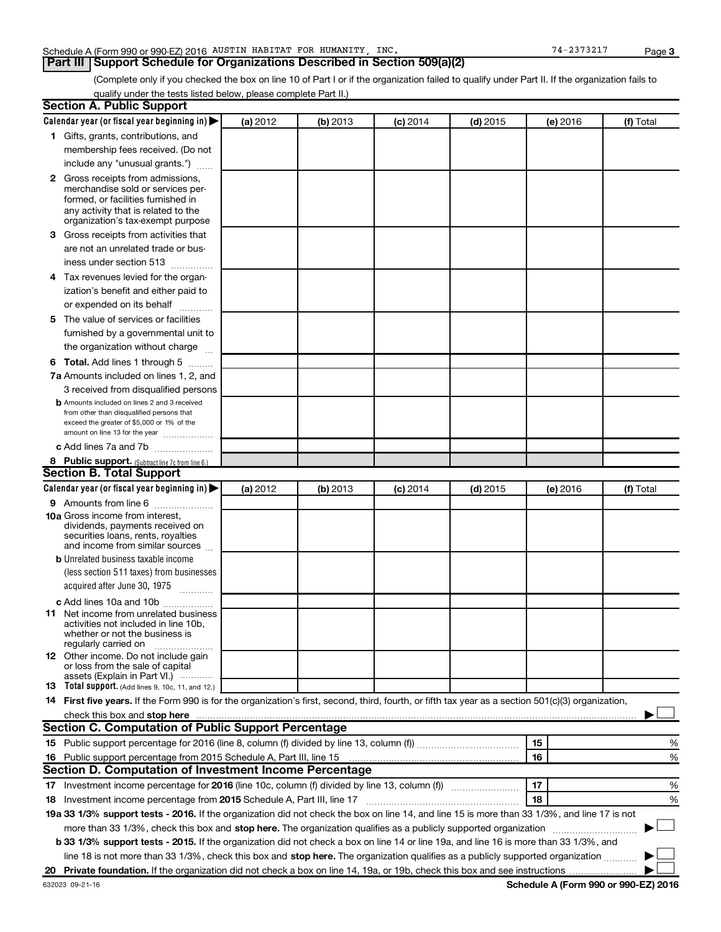#### Schedule A (Form 990 or 990-EZ) 2016 AUSTIN HABITAT FOR HUMANITY, INC. The magnitude of the magnitude of the Page

**Part III Support Schedule for Organizations Described in Section 509(a)(2)** 

(Complete only if you checked the box on line 10 of Part I or if the organization failed to qualify under Part II. If the organization fails to qualify under the tests listed below, please complete Part II.)

| <b>Section A. Public Support</b>                                                                                                                    |          |          |            |            |          |           |
|-----------------------------------------------------------------------------------------------------------------------------------------------------|----------|----------|------------|------------|----------|-----------|
| Calendar year (or fiscal year beginning in)                                                                                                         | (a) 2012 | (b) 2013 | $(c)$ 2014 | $(d)$ 2015 | (e) 2016 | (f) Total |
| 1 Gifts, grants, contributions, and                                                                                                                 |          |          |            |            |          |           |
| membership fees received. (Do not                                                                                                                   |          |          |            |            |          |           |
| include any "unusual grants.")                                                                                                                      |          |          |            |            |          |           |
| 2 Gross receipts from admissions,                                                                                                                   |          |          |            |            |          |           |
| merchandise sold or services per-                                                                                                                   |          |          |            |            |          |           |
| formed, or facilities furnished in                                                                                                                  |          |          |            |            |          |           |
| any activity that is related to the<br>organization's tax-exempt purpose                                                                            |          |          |            |            |          |           |
| <b>3</b> Gross receipts from activities that                                                                                                        |          |          |            |            |          |           |
| are not an unrelated trade or bus-                                                                                                                  |          |          |            |            |          |           |
| iness under section 513                                                                                                                             |          |          |            |            |          |           |
| 4 Tax revenues levied for the organ-                                                                                                                |          |          |            |            |          |           |
| ization's benefit and either paid to                                                                                                                |          |          |            |            |          |           |
| or expended on its behalf                                                                                                                           |          |          |            |            |          |           |
| 5 The value of services or facilities                                                                                                               |          |          |            |            |          |           |
| furnished by a governmental unit to                                                                                                                 |          |          |            |            |          |           |
| the organization without charge                                                                                                                     |          |          |            |            |          |           |
| <b>6 Total.</b> Add lines 1 through 5                                                                                                               |          |          |            |            |          |           |
| 7a Amounts included on lines 1, 2, and                                                                                                              |          |          |            |            |          |           |
| 3 received from disqualified persons                                                                                                                |          |          |            |            |          |           |
| <b>b</b> Amounts included on lines 2 and 3 received                                                                                                 |          |          |            |            |          |           |
| from other than disqualified persons that                                                                                                           |          |          |            |            |          |           |
| exceed the greater of \$5,000 or 1% of the<br>amount on line 13 for the year                                                                        |          |          |            |            |          |           |
| c Add lines 7a and 7b                                                                                                                               |          |          |            |            |          |           |
|                                                                                                                                                     |          |          |            |            |          |           |
| 8 Public support. (Subtract line 7c from line 6.)<br><b>Section B. Total Support</b>                                                                |          |          |            |            |          |           |
| Calendar year (or fiscal year beginning in)                                                                                                         | (a) 2012 | (b) 2013 |            | $(d)$ 2015 |          | (f) Total |
|                                                                                                                                                     |          |          | $(c)$ 2014 |            | (e) 2016 |           |
| <b>9</b> Amounts from line 6<br><b>10a</b> Gross income from interest,                                                                              |          |          |            |            |          |           |
| dividends, payments received on                                                                                                                     |          |          |            |            |          |           |
| securities loans, rents, royalties                                                                                                                  |          |          |            |            |          |           |
| and income from similar sources                                                                                                                     |          |          |            |            |          |           |
| <b>b</b> Unrelated business taxable income<br>(less section 511 taxes) from businesses                                                              |          |          |            |            |          |           |
| acquired after June 30, 1975                                                                                                                        |          |          |            |            |          |           |
|                                                                                                                                                     |          |          |            |            |          |           |
| c Add lines 10a and 10b<br><b>11</b> Net income from unrelated business                                                                             |          |          |            |            |          |           |
| activities not included in line 10b.                                                                                                                |          |          |            |            |          |           |
| whether or not the business is                                                                                                                      |          |          |            |            |          |           |
| regularly carried on                                                                                                                                |          |          |            |            |          |           |
| <b>12</b> Other income. Do not include gain<br>or loss from the sale of capital                                                                     |          |          |            |            |          |           |
| assets (Explain in Part VI.)                                                                                                                        |          |          |            |            |          |           |
| <b>13</b> Total support. (Add lines 9, 10c, 11, and 12.)                                                                                            |          |          |            |            |          |           |
| 14 First five years. If the Form 990 is for the organization's first, second, third, fourth, or fifth tax year as a section 501(c)(3) organization, |          |          |            |            |          |           |
|                                                                                                                                                     |          |          |            |            |          |           |
| <b>Section C. Computation of Public Support Percentage</b>                                                                                          |          |          |            |            |          |           |
|                                                                                                                                                     |          |          |            |            | 15       | ℅         |
| 16 Public support percentage from 2015 Schedule A, Part III, line 15                                                                                |          |          |            |            | 16       | %         |
| Section D. Computation of Investment Income Percentage                                                                                              |          |          |            |            |          |           |
| 17 Investment income percentage for 2016 (line 10c, column (f) divided by line 13, column (f))                                                      |          |          |            |            | 17       | %         |
| 18 Investment income percentage from 2015 Schedule A, Part III, line 17                                                                             |          |          |            |            | 18       | %         |
| 19a 33 1/3% support tests - 2016. If the organization did not check the box on line 14, and line 15 is more than 33 1/3%, and line 17 is not        |          |          |            |            |          |           |
| more than 33 1/3%, check this box and stop here. The organization qualifies as a publicly supported organization                                    |          |          |            |            |          |           |
| b 33 1/3% support tests - 2015. If the organization did not check a box on line 14 or line 19a, and line 16 is more than 33 1/3%, and               |          |          |            |            |          |           |
| line 18 is not more than 33 1/3%, check this box and stop here. The organization qualifies as a publicly supported organization                     |          |          |            |            |          |           |
|                                                                                                                                                     |          |          |            |            |          |           |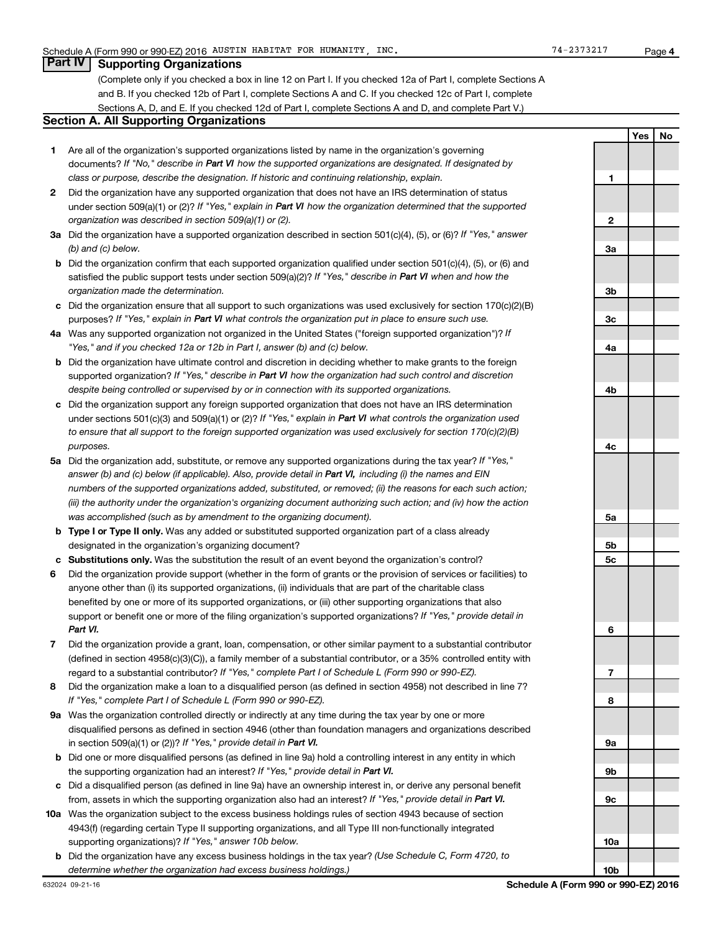#### **Part IV Supporting Organizations**

(Complete only if you checked a box in line 12 on Part I. If you checked 12a of Part I, complete Sections A and B. If you checked 12b of Part I, complete Sections A and C. If you checked 12c of Part I, complete Sections A, D, and E. If you checked 12d of Part I, complete Sections A and D, and complete Part V.)

#### **Section A. All Supporting Organizations**

- **1** Are all of the organization's supported organizations listed by name in the organization's governing documents? If "No," describe in Part VI how the supported organizations are designated. If designated by *class or purpose, describe the designation. If historic and continuing relationship, explain.*
- **2** Did the organization have any supported organization that does not have an IRS determination of status under section 509(a)(1) or (2)? If "Yes," explain in Part VI how the organization determined that the supported *organization was described in section 509(a)(1) or (2).*
- **3a** Did the organization have a supported organization described in section 501(c)(4), (5), or (6)? If "Yes," answer *(b) and (c) below.*
- **b** Did the organization confirm that each supported organization qualified under section 501(c)(4), (5), or (6) and satisfied the public support tests under section 509(a)(2)? If "Yes," describe in Part VI when and how the *organization made the determination.*
- **c** Did the organization ensure that all support to such organizations was used exclusively for section 170(c)(2)(B) purposes? If "Yes," explain in Part VI what controls the organization put in place to ensure such use.
- **4 a** *If* Was any supported organization not organized in the United States ("foreign supported organization")? *"Yes," and if you checked 12a or 12b in Part I, answer (b) and (c) below.*
- **b** Did the organization have ultimate control and discretion in deciding whether to make grants to the foreign supported organization? If "Yes," describe in Part VI how the organization had such control and discretion *despite being controlled or supervised by or in connection with its supported organizations.*
- **c** Did the organization support any foreign supported organization that does not have an IRS determination under sections 501(c)(3) and 509(a)(1) or (2)? If "Yes," explain in Part VI what controls the organization used *to ensure that all support to the foreign supported organization was used exclusively for section 170(c)(2)(B) purposes.*
- **5a** Did the organization add, substitute, or remove any supported organizations during the tax year? If "Yes," answer (b) and (c) below (if applicable). Also, provide detail in Part VI, including (i) the names and EIN *numbers of the supported organizations added, substituted, or removed; (ii) the reasons for each such action; (iii) the authority under the organization's organizing document authorizing such action; and (iv) how the action was accomplished (such as by amendment to the organizing document).*
- **b Type I or Type II only.** Was any added or substituted supported organization part of a class already designated in the organization's organizing document?
- **c Substitutions only.**  Was the substitution the result of an event beyond the organization's control?
- **6** Did the organization provide support (whether in the form of grants or the provision of services or facilities) to support or benefit one or more of the filing organization's supported organizations? If "Yes," provide detail in anyone other than (i) its supported organizations, (ii) individuals that are part of the charitable class benefited by one or more of its supported organizations, or (iii) other supporting organizations that also *Part VI.*
- **7** Did the organization provide a grant, loan, compensation, or other similar payment to a substantial contributor regard to a substantial contributor? If "Yes," complete Part I of Schedule L (Form 990 or 990-EZ). (defined in section 4958(c)(3)(C)), a family member of a substantial contributor, or a 35% controlled entity with
- **8** Did the organization make a loan to a disqualified person (as defined in section 4958) not described in line 7? *If "Yes," complete Part I of Schedule L (Form 990 or 990-EZ).*
- **9 a** Was the organization controlled directly or indirectly at any time during the tax year by one or more in section 509(a)(1) or (2))? If "Yes," provide detail in Part VI. disqualified persons as defined in section 4946 (other than foundation managers and organizations described
- **b** Did one or more disqualified persons (as defined in line 9a) hold a controlling interest in any entity in which the supporting organization had an interest? If "Yes," provide detail in Part VI.
- **c** Did a disqualified person (as defined in line 9a) have an ownership interest in, or derive any personal benefit from, assets in which the supporting organization also had an interest? If "Yes," provide detail in Part VI.
- **10 a** Was the organization subject to the excess business holdings rules of section 4943 because of section supporting organizations)? If "Yes," answer 10b below. 4943(f) (regarding certain Type II supporting organizations, and all Type III non-functionally integrated
- **b** Did the organization have any excess business holdings in the tax year? (Use Schedule C, Form 4720, to *determine whether the organization had excess business holdings.)*

**Yes No 1 2 3a 3b 3c 4a 4b 4c 5a 5b 5c 6 7 8 9a 9b 9c 10a 10b**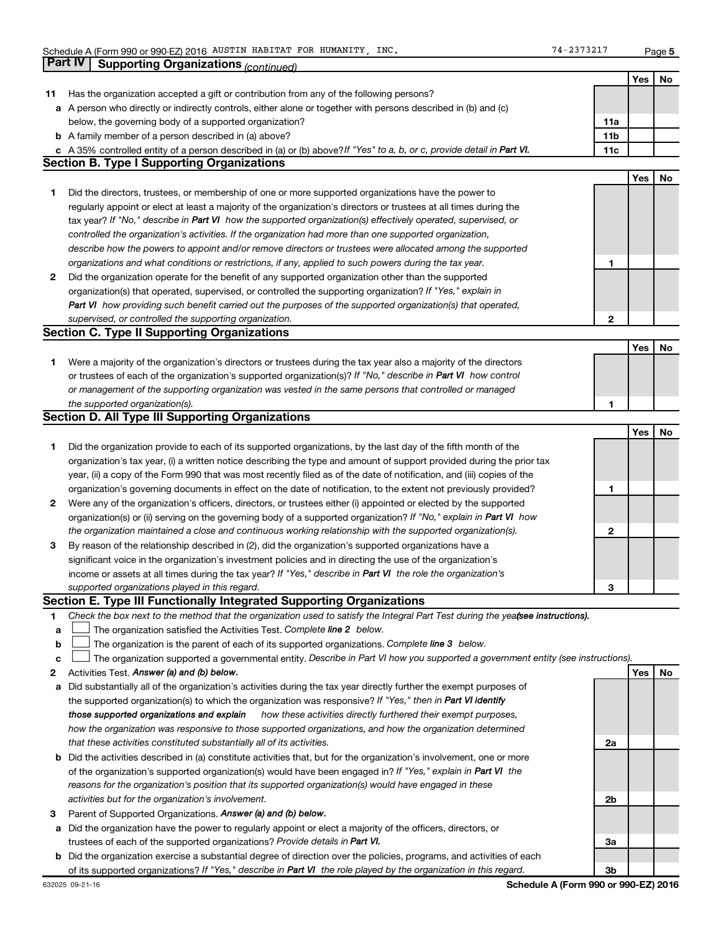**5**

|    | Part IV<br><b>Supporting Organizations (continued)</b>                                                                          |                 |            |    |
|----|---------------------------------------------------------------------------------------------------------------------------------|-----------------|------------|----|
|    |                                                                                                                                 |                 | Yes        | No |
| 11 | Has the organization accepted a gift or contribution from any of the following persons?                                         |                 |            |    |
|    | a A person who directly or indirectly controls, either alone or together with persons described in (b) and (c)                  |                 |            |    |
|    | below, the governing body of a supported organization?                                                                          | 11a             |            |    |
|    | <b>b</b> A family member of a person described in (a) above?                                                                    | 11 <sub>b</sub> |            |    |
|    | c A 35% controlled entity of a person described in (a) or (b) above? If "Yes" to a, b, or c, provide detail in Part VI.         | 11c             |            |    |
|    | <b>Section B. Type I Supporting Organizations</b>                                                                               |                 |            |    |
|    |                                                                                                                                 |                 | Yes        | No |
| 1. | Did the directors, trustees, or membership of one or more supported organizations have the power to                             |                 |            |    |
|    | regularly appoint or elect at least a majority of the organization's directors or trustees at all times during the              |                 |            |    |
|    | tax year? If "No," describe in Part VI how the supported organization(s) effectively operated, supervised, or                   |                 |            |    |
|    | controlled the organization's activities. If the organization had more than one supported organization,                         |                 |            |    |
|    | describe how the powers to appoint and/or remove directors or trustees were allocated among the supported                       |                 |            |    |
|    | organizations and what conditions or restrictions, if any, applied to such powers during the tax year.                          | 1               |            |    |
|    |                                                                                                                                 |                 |            |    |
| 2  | Did the organization operate for the benefit of any supported organization other than the supported                             |                 |            |    |
|    | organization(s) that operated, supervised, or controlled the supporting organization? If "Yes," explain in                      |                 |            |    |
|    | Part VI how providing such benefit carried out the purposes of the supported organization(s) that operated,                     |                 |            |    |
|    | supervised, or controlled the supporting organization.                                                                          | 2               |            |    |
|    | <b>Section C. Type II Supporting Organizations</b>                                                                              |                 |            |    |
|    |                                                                                                                                 |                 | <b>Yes</b> | No |
| 1. | Were a majority of the organization's directors or trustees during the tax year also a majority of the directors                |                 |            |    |
|    | or trustees of each of the organization's supported organization(s)? If "No," describe in Part VI how control                   |                 |            |    |
|    | or management of the supporting organization was vested in the same persons that controlled or managed                          |                 |            |    |
|    | the supported organization(s).                                                                                                  | 1               |            |    |
|    | <b>Section D. All Type III Supporting Organizations</b>                                                                         |                 |            |    |
|    |                                                                                                                                 |                 | <b>Yes</b> | No |
| 1  | Did the organization provide to each of its supported organizations, by the last day of the fifth month of the                  |                 |            |    |
|    | organization's tax year, (i) a written notice describing the type and amount of support provided during the prior tax           |                 |            |    |
|    | year, (ii) a copy of the Form 990 that was most recently filed as of the date of notification, and (iii) copies of the          |                 |            |    |
|    | organization's governing documents in effect on the date of notification, to the extent not previously provided?                | 1               |            |    |
| 2  | Were any of the organization's officers, directors, or trustees either (i) appointed or elected by the supported                |                 |            |    |
|    | organization(s) or (ii) serving on the governing body of a supported organization? If "No," explain in Part VI how              |                 |            |    |
|    | the organization maintained a close and continuous working relationship with the supported organization(s).                     | 2               |            |    |
| 3  | By reason of the relationship described in (2), did the organization's supported organizations have a                           |                 |            |    |
|    | significant voice in the organization's investment policies and in directing the use of the organization's                      |                 |            |    |
|    | income or assets at all times during the tax year? If "Yes," describe in Part VI the role the organization's                    |                 |            |    |
|    | supported organizations played in this regard.                                                                                  | з               |            |    |
|    | Section E. Type III Functionally Integrated Supporting Organizations                                                            |                 |            |    |
| 1  | Check the box next to the method that the organization used to satisfy the Integral Part Test during the yeafsee instructions). |                 |            |    |
| а  | The organization satisfied the Activities Test. Complete line 2 below.                                                          |                 |            |    |
| b  | The organization is the parent of each of its supported organizations. Complete line 3 below.                                   |                 |            |    |
| с  | The organization supported a governmental entity. Describe in Part VI how you supported a government entity (see instructions). |                 |            |    |
| 2  | Activities Test. Answer (a) and (b) below.                                                                                      |                 | Yes        | No |
| а  | Did substantially all of the organization's activities during the tax year directly further the exempt purposes of              |                 |            |    |
|    | the supported organization(s) to which the organization was responsive? If "Yes," then in Part VI identify                      |                 |            |    |
|    | how these activities directly furthered their exempt purposes,<br>those supported organizations and explain                     |                 |            |    |
|    | how the organization was responsive to those supported organizations, and how the organization determined                       |                 |            |    |
|    | that these activities constituted substantially all of its activities.                                                          | 2a              |            |    |
|    |                                                                                                                                 |                 |            |    |
|    | <b>b</b> Did the activities described in (a) constitute activities that, but for the organization's involvement, one or more    |                 |            |    |
|    | of the organization's supported organization(s) would have been engaged in? If "Yes," explain in Part VI the                    |                 |            |    |
|    | reasons for the organization's position that its supported organization(s) would have engaged in these                          |                 |            |    |
|    | activities but for the organization's involvement.                                                                              | 2b              |            |    |
| 3  | Parent of Supported Organizations. Answer (a) and (b) below.                                                                    |                 |            |    |
| а  | Did the organization have the power to regularly appoint or elect a majority of the officers, directors, or                     |                 |            |    |
|    | trustees of each of the supported organizations? Provide details in Part VI.                                                    | За              |            |    |
|    | <b>b</b> Did the organization exercise a substantial degree of direction over the policies, programs, and activities of each    |                 |            |    |
|    | of its supported organizations? If "Yes," describe in Part VI the role played by the organization in this regard.               | 3b              |            |    |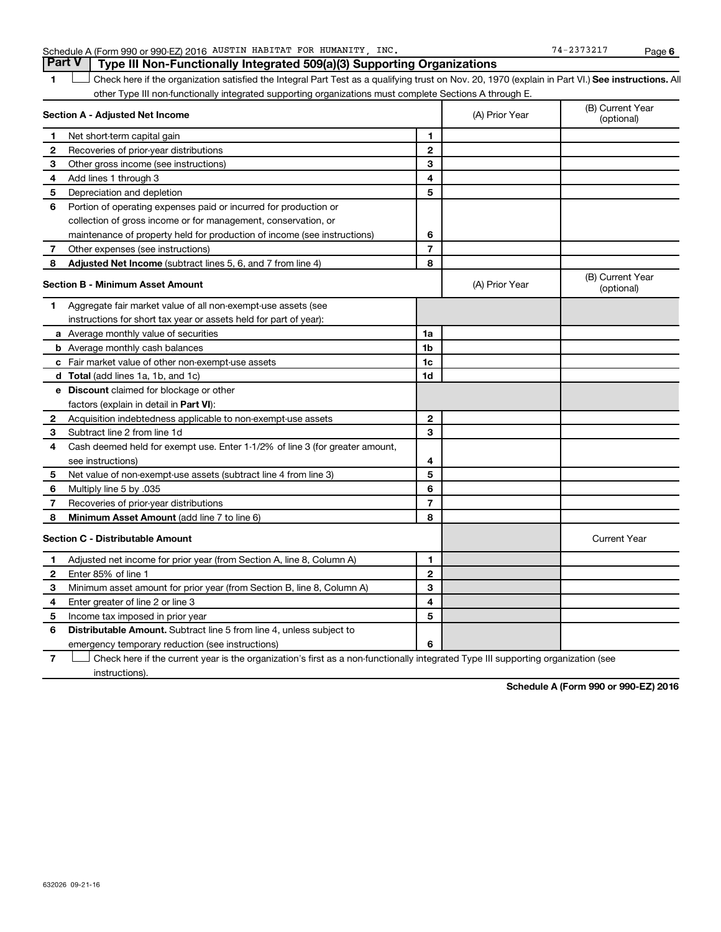#### Schedule A (Form 990 or 990-EZ) 2016 AUSTIN HABITAT FOR HUMANITY, INC. The magnitude of the magnitude of the Page

1 **Letter See instructions.** All Check here if the organization satisfied the Integral Part Test as a qualifying trust on Nov. 20, 1970 (explain in Part VI.) See instructions. All other Type III non-functionally integrated supporting organizations must complete Sections A through E.

| Section A - Adjusted Net Income |                                                                              | (A) Prior Year | (B) Current Year<br>(optional) |                                |
|---------------------------------|------------------------------------------------------------------------------|----------------|--------------------------------|--------------------------------|
| 1                               | Net short-term capital gain                                                  | 1              |                                |                                |
| 2                               | Recoveries of prior-year distributions                                       | $\mathbf{2}$   |                                |                                |
| 3                               | Other gross income (see instructions)                                        | 3              |                                |                                |
| 4                               | Add lines 1 through 3                                                        | 4              |                                |                                |
| 5                               | Depreciation and depletion                                                   | 5              |                                |                                |
| 6                               | Portion of operating expenses paid or incurred for production or             |                |                                |                                |
|                                 | collection of gross income or for management, conservation, or               |                |                                |                                |
|                                 | maintenance of property held for production of income (see instructions)     | 6              |                                |                                |
| 7                               | Other expenses (see instructions)                                            | $\overline{7}$ |                                |                                |
| 8                               | Adjusted Net Income (subtract lines 5, 6, and 7 from line 4)                 | 8              |                                |                                |
|                                 | <b>Section B - Minimum Asset Amount</b>                                      |                | (A) Prior Year                 | (B) Current Year<br>(optional) |
| 1                               | Aggregate fair market value of all non-exempt-use assets (see                |                |                                |                                |
|                                 | instructions for short tax year or assets held for part of year):            |                |                                |                                |
|                                 | a Average monthly value of securities                                        | 1a             |                                |                                |
|                                 | <b>b</b> Average monthly cash balances                                       | 1 <sub>b</sub> |                                |                                |
|                                 | c Fair market value of other non-exempt-use assets                           | 1c             |                                |                                |
|                                 | <b>d</b> Total (add lines 1a, 1b, and 1c)                                    | 1d             |                                |                                |
|                                 | e Discount claimed for blockage or other                                     |                |                                |                                |
|                                 | factors (explain in detail in <b>Part VI</b> ):                              |                |                                |                                |
| 2                               | Acquisition indebtedness applicable to non-exempt-use assets                 | $\mathbf{2}$   |                                |                                |
| 3                               | Subtract line 2 from line 1d                                                 | 3              |                                |                                |
| 4                               | Cash deemed held for exempt use. Enter 1-1/2% of line 3 (for greater amount, |                |                                |                                |
|                                 | see instructions)                                                            | 4              |                                |                                |
| 5                               | Net value of non-exempt-use assets (subtract line 4 from line 3)             | 5              |                                |                                |
| 6                               | Multiply line 5 by .035                                                      | 6              |                                |                                |
| 7                               | Recoveries of prior-year distributions                                       | $\overline{7}$ |                                |                                |
| 8                               | <b>Minimum Asset Amount (add line 7 to line 6)</b>                           | 8              |                                |                                |
|                                 | <b>Section C - Distributable Amount</b>                                      |                |                                | <b>Current Year</b>            |
| $\mathbf{1}$                    | Adjusted net income for prior year (from Section A, line 8, Column A)        | 1              |                                |                                |
| $\mathbf{2}$                    | Enter 85% of line 1                                                          | $\mathbf{2}$   |                                |                                |
| З                               | Minimum asset amount for prior year (from Section B, line 8, Column A)       | 3              |                                |                                |
| 4                               | Enter greater of line 2 or line 3                                            | 4              |                                |                                |
| 5                               | Income tax imposed in prior year                                             | 5              |                                |                                |
| 6                               | <b>Distributable Amount.</b> Subtract line 5 from line 4, unless subject to  |                |                                |                                |
|                                 | emergency temporary reduction (see instructions)                             | 6              |                                |                                |

**7** Let Check here if the current year is the organization's first as a non-functionally integrated Type III supporting organization (see instructions).

**Schedule A (Form 990 or 990-EZ) 2016**

## **Part V Type III Non-Functionally Integrated 509(a)(3) Supporting Organizations**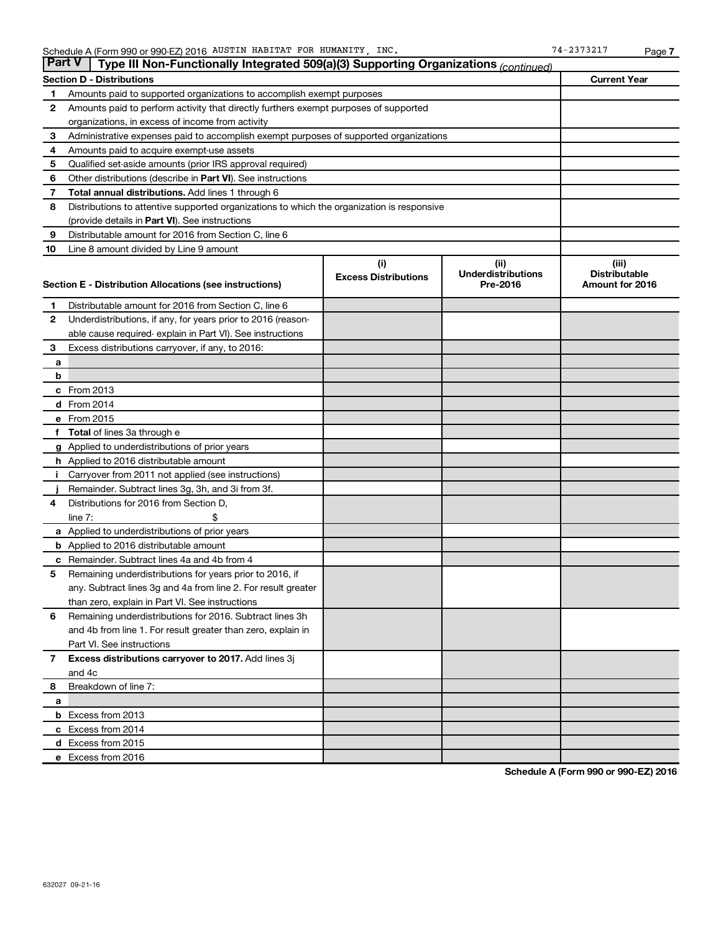|                                                         | <b>Part V</b><br>Type III Non-Functionally Integrated 509(a)(3) Supporting Organizations (continued) |                             |                                       |                                         |  |  |  |
|---------------------------------------------------------|------------------------------------------------------------------------------------------------------|-----------------------------|---------------------------------------|-----------------------------------------|--|--|--|
| <b>Current Year</b><br><b>Section D - Distributions</b> |                                                                                                      |                             |                                       |                                         |  |  |  |
| 1                                                       | Amounts paid to supported organizations to accomplish exempt purposes                                |                             |                                       |                                         |  |  |  |
| 2                                                       | Amounts paid to perform activity that directly furthers exempt purposes of supported                 |                             |                                       |                                         |  |  |  |
|                                                         | organizations, in excess of income from activity                                                     |                             |                                       |                                         |  |  |  |
| 3                                                       | Administrative expenses paid to accomplish exempt purposes of supported organizations                |                             |                                       |                                         |  |  |  |
| 4                                                       | Amounts paid to acquire exempt-use assets                                                            |                             |                                       |                                         |  |  |  |
| 5                                                       | Qualified set-aside amounts (prior IRS approval required)                                            |                             |                                       |                                         |  |  |  |
| 6                                                       | Other distributions (describe in Part VI). See instructions                                          |                             |                                       |                                         |  |  |  |
| 7                                                       | <b>Total annual distributions.</b> Add lines 1 through 6                                             |                             |                                       |                                         |  |  |  |
| 8                                                       | Distributions to attentive supported organizations to which the organization is responsive           |                             |                                       |                                         |  |  |  |
|                                                         | (provide details in Part VI). See instructions                                                       |                             |                                       |                                         |  |  |  |
| 9                                                       | Distributable amount for 2016 from Section C, line 6                                                 |                             |                                       |                                         |  |  |  |
| 10                                                      | Line 8 amount divided by Line 9 amount                                                               |                             |                                       |                                         |  |  |  |
|                                                         |                                                                                                      | (i)                         | (ii)                                  | (iii)                                   |  |  |  |
|                                                         | Section E - Distribution Allocations (see instructions)                                              | <b>Excess Distributions</b> | <b>Underdistributions</b><br>Pre-2016 | <b>Distributable</b><br>Amount for 2016 |  |  |  |
|                                                         |                                                                                                      |                             |                                       |                                         |  |  |  |
| 1                                                       | Distributable amount for 2016 from Section C, line 6                                                 |                             |                                       |                                         |  |  |  |
| $\mathbf{2}$                                            | Underdistributions, if any, for years prior to 2016 (reason-                                         |                             |                                       |                                         |  |  |  |
|                                                         | able cause required- explain in Part VI). See instructions                                           |                             |                                       |                                         |  |  |  |
| 3                                                       | Excess distributions carryover, if any, to 2016:                                                     |                             |                                       |                                         |  |  |  |
| а                                                       |                                                                                                      |                             |                                       |                                         |  |  |  |
| b                                                       |                                                                                                      |                             |                                       |                                         |  |  |  |
|                                                         | c From 2013                                                                                          |                             |                                       |                                         |  |  |  |
|                                                         | <b>d</b> From 2014                                                                                   |                             |                                       |                                         |  |  |  |
|                                                         | e From 2015                                                                                          |                             |                                       |                                         |  |  |  |
|                                                         | f Total of lines 3a through e                                                                        |                             |                                       |                                         |  |  |  |
|                                                         | <b>g</b> Applied to underdistributions of prior years                                                |                             |                                       |                                         |  |  |  |
|                                                         | <b>h</b> Applied to 2016 distributable amount                                                        |                             |                                       |                                         |  |  |  |
|                                                         | Carryover from 2011 not applied (see instructions)                                                   |                             |                                       |                                         |  |  |  |
|                                                         | Remainder. Subtract lines 3g, 3h, and 3i from 3f.<br>Distributions for 2016 from Section D,          |                             |                                       |                                         |  |  |  |
| 4                                                       | $line 7$ :                                                                                           |                             |                                       |                                         |  |  |  |
|                                                         | a Applied to underdistributions of prior years                                                       |                             |                                       |                                         |  |  |  |
|                                                         | <b>b</b> Applied to 2016 distributable amount                                                        |                             |                                       |                                         |  |  |  |
| с                                                       | Remainder. Subtract lines 4a and 4b from 4                                                           |                             |                                       |                                         |  |  |  |
| 5                                                       | Remaining underdistributions for years prior to 2016, if                                             |                             |                                       |                                         |  |  |  |
|                                                         | any. Subtract lines 3g and 4a from line 2. For result greater                                        |                             |                                       |                                         |  |  |  |
|                                                         | than zero, explain in Part VI. See instructions                                                      |                             |                                       |                                         |  |  |  |
| 6                                                       | Remaining underdistributions for 2016. Subtract lines 3h                                             |                             |                                       |                                         |  |  |  |
|                                                         | and 4b from line 1. For result greater than zero, explain in                                         |                             |                                       |                                         |  |  |  |
|                                                         | Part VI. See instructions                                                                            |                             |                                       |                                         |  |  |  |
| $\mathbf{7}$                                            | Excess distributions carryover to 2017. Add lines 3j                                                 |                             |                                       |                                         |  |  |  |
|                                                         | and 4c                                                                                               |                             |                                       |                                         |  |  |  |
| 8                                                       | Breakdown of line 7:                                                                                 |                             |                                       |                                         |  |  |  |
| a                                                       |                                                                                                      |                             |                                       |                                         |  |  |  |
|                                                         | <b>b</b> Excess from 2013                                                                            |                             |                                       |                                         |  |  |  |
|                                                         | c Excess from 2014                                                                                   |                             |                                       |                                         |  |  |  |
|                                                         | d Excess from 2015                                                                                   |                             |                                       |                                         |  |  |  |
|                                                         | e Excess from 2016                                                                                   |                             |                                       |                                         |  |  |  |

**Schedule A (Form 990 or 990-EZ) 2016**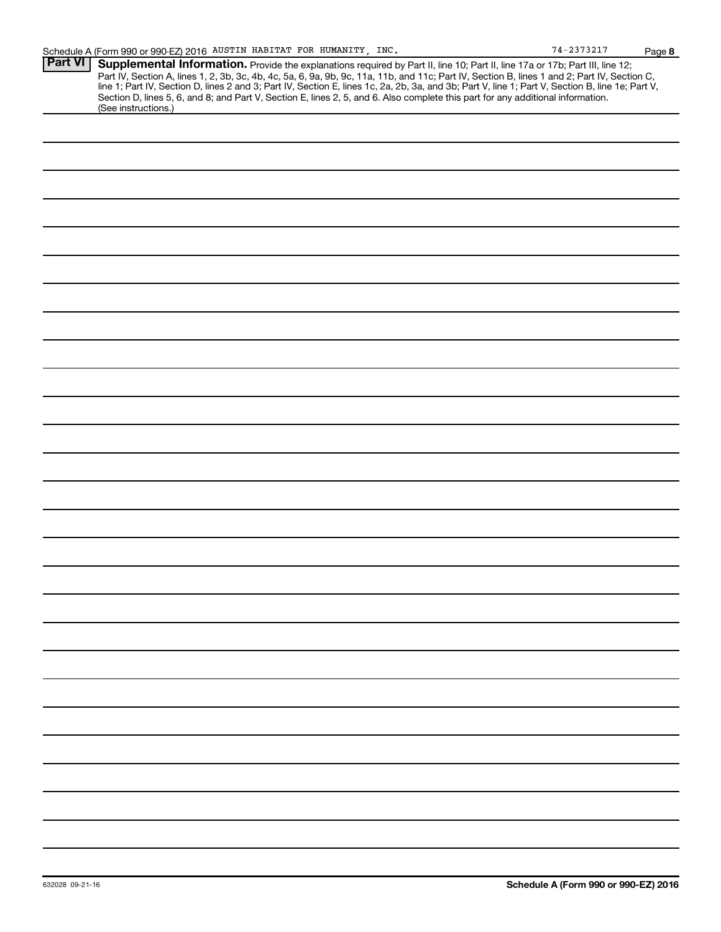|                | Schedule A (Form 990 or 990-EZ) 2016 AUSTIN HABITAT FOR HUMANITY, INC.                                                                                                                                                                                                                                                                                                                                                                                                                                                                                                                      | 74-2373217 | Page |
|----------------|---------------------------------------------------------------------------------------------------------------------------------------------------------------------------------------------------------------------------------------------------------------------------------------------------------------------------------------------------------------------------------------------------------------------------------------------------------------------------------------------------------------------------------------------------------------------------------------------|------------|------|
| <b>Part VI</b> | Supplemental Information. Provide the explanations required by Part II, line 10; Part II, line 17a or 17b; Part III, line 12;<br>Part IV, Section A, lines 1, 2, 3b, 3c, 4b, 4c, 5a, 6, 9a, 9b, 9c, 11a, 11b, and 11c; Part IV, Section B, lines 1 and 2; Part IV, Section C,<br>line 1; Part IV, Section D, lines 2 and 3; Part IV, Section E, lines 1c, 2a, 2b, 3a, and 3b; Part V, line 1; Part V, Section B, line 1e; Part V,<br>Section D, lines 5, 6, and 8; and Part V, Section E, lines 2, 5, and 6. Also complete this part for any additional information.<br>(See instructions.) |            |      |
|                |                                                                                                                                                                                                                                                                                                                                                                                                                                                                                                                                                                                             |            |      |
|                |                                                                                                                                                                                                                                                                                                                                                                                                                                                                                                                                                                                             |            |      |
|                |                                                                                                                                                                                                                                                                                                                                                                                                                                                                                                                                                                                             |            |      |
|                |                                                                                                                                                                                                                                                                                                                                                                                                                                                                                                                                                                                             |            |      |
|                |                                                                                                                                                                                                                                                                                                                                                                                                                                                                                                                                                                                             |            |      |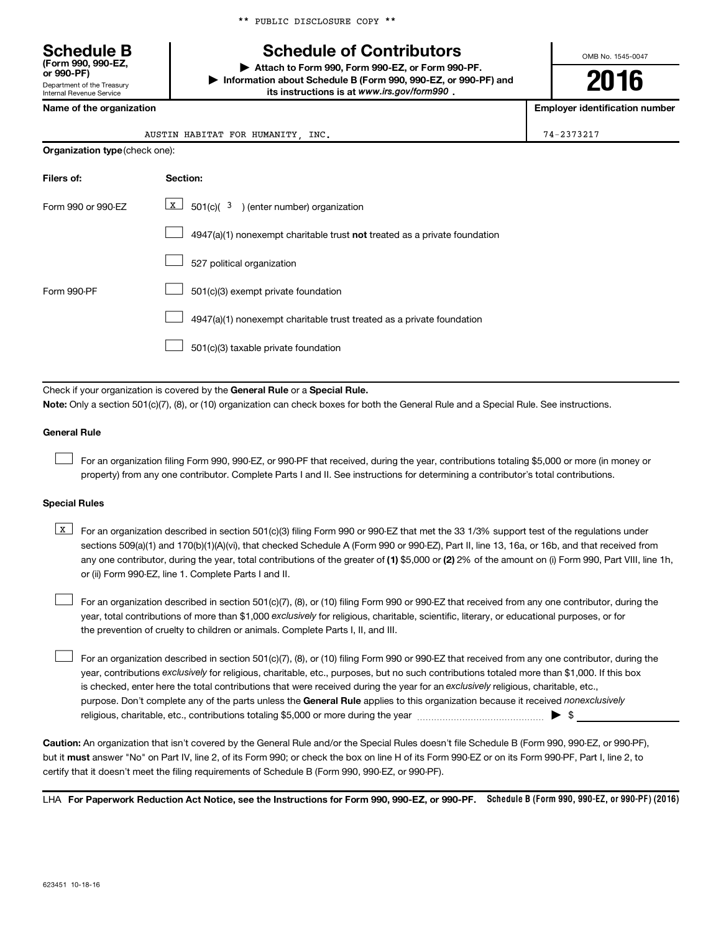\*\* PUBLIC DISCLOSURE COPY \*\*

### **Schedule of Contributors**

**or 990-PF) | Attach to Form 990, Form 990-EZ, or Form 990-PF. | Information about Schedule B (Form 990, 990-EZ, or 990-PF) and** its instructions is at www.irs.gov/form990.

OMB No. 1545-0047

**2016**

**Name of the organization Employer identification number**

| <b>Schedule B</b><br>(Form 990, 990-EZ.<br>or 990-PF)         |
|---------------------------------------------------------------|
| Department of the Treasury<br><b>Internal Revenue Service</b> |

**Organization type** (check one):

| INC.<br>HABITAT<br>HUMANITY<br>AUSTIN<br><b>FOR</b><br>$\sqrt{ }$ |
|-------------------------------------------------------------------|
|-------------------------------------------------------------------|

| Filers of:         | <b>Section:</b>                                                           |
|--------------------|---------------------------------------------------------------------------|
| Form 990 or 990-FZ | $\boxed{\textbf{X}}$ 501(c)( 3) (enter number) organization               |
|                    | 4947(a)(1) nonexempt charitable trust not treated as a private foundation |
|                    | 527 political organization                                                |
| Form 990-PF        | 501(c)(3) exempt private foundation                                       |
|                    | 4947(a)(1) nonexempt charitable trust treated as a private foundation     |
|                    | 501(c)(3) taxable private foundation                                      |

Check if your organization is covered by the General Rule or a Special Rule.

**Note:**  Only a section 501(c)(7), (8), or (10) organization can check boxes for both the General Rule and a Special Rule. See instructions.

#### **General Rule**

 $\Box$ 

For an organization filing Form 990, 990-EZ, or 990-PF that received, during the year, contributions totaling \$5,000 or more (in money or property) from any one contributor. Complete Parts I and II. See instructions for determining a contributor's total contributions.

#### **Special Rules**

any one contributor, during the year, total contributions of the greater of **(1)** \$5,000 or **(2)** 2% of the amount on (i) Form 990, Part VIII, line 1h, **K** For an organization described in section 501(c)(3) filing Form 990 or 990-EZ that met the 33 1/3% support test of the regulations under sections 509(a)(1) and 170(b)(1)(A)(vi), that checked Schedule A (Form 990 or 990-EZ), Part II, line 13, 16a, or 16b, and that received from or (ii) Form 990-EZ, line 1. Complete Parts I and II.

year, total contributions of more than \$1,000 *exclusively* for religious, charitable, scientific, literary, or educational purposes, or for For an organization described in section 501(c)(7), (8), or (10) filing Form 990 or 990-EZ that received from any one contributor, during the the prevention of cruelty to children or animals. Complete Parts I, II, and III.  $\Box$ 

purpose. Don't complete any of the parts unless the General Rule applies to this organization because it received nonexclusively year, contributions exclusively for religious, charitable, etc., purposes, but no such contributions totaled more than \$1,000. If this box is checked, enter here the total contributions that were received during the year for an exclusively religious, charitable, etc., For an organization described in section 501(c)(7), (8), or (10) filing Form 990 or 990-EZ that received from any one contributor, during the religious, charitable, etc., contributions totaling \$5,000 or more during the year  $\ldots$  $\ldots$  $\ldots$  $\ldots$  $\ldots$  $\ldots$  $\Box$ 

**Caution:**  An organization that isn't covered by the General Rule and/or the Special Rules doesn't file Schedule B (Form 990, 990-EZ, or 990-PF),  **must** but it answer "No" on Part IV, line 2, of its Form 990; or check the box on line H of its Form 990-EZ or on its Form 990-PF, Part I, line 2, to certify that it doesn't meet the filing requirements of Schedule B (Form 990, 990-EZ, or 990-PF).

LHA For Paperwork Reduction Act Notice, see the Instructions for Form 990, 990-EZ, or 990-PF. Schedule B (Form 990, 990-EZ, or 990-PF) (2016)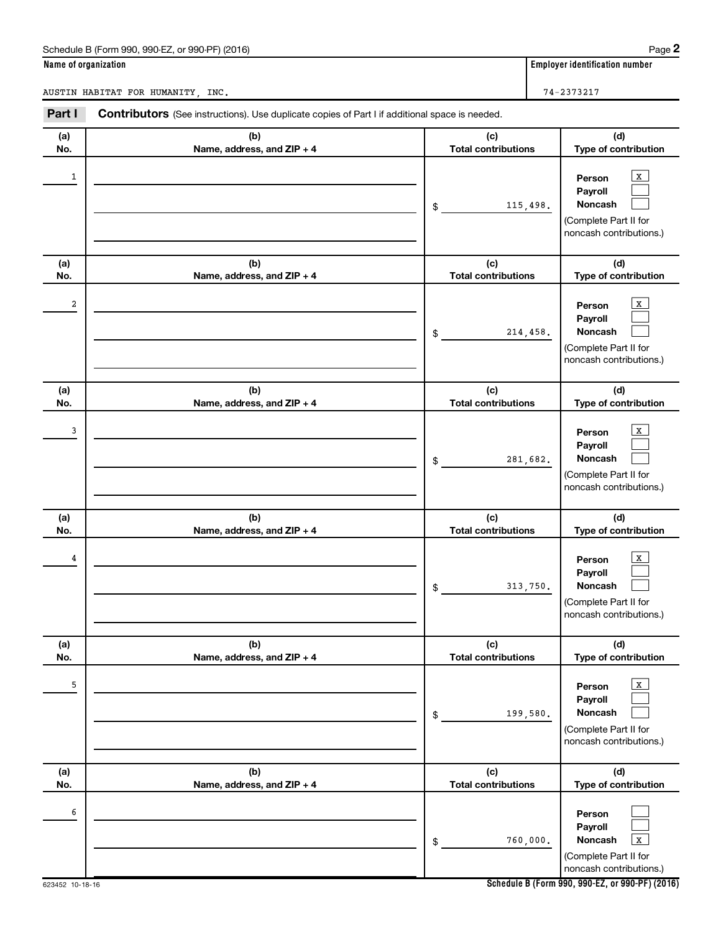#### Schedule B (Form 990, 990-EZ, or 990-PF) (2016)

|  | Name of organization |
|--|----------------------|
|  |                      |

**Employer identification number** 

AUSTIN HABITAT FOR HUMANITY, INC.  $74-2373217$ 

| Part I   | <b>Contributors</b> (See instructions). Use duplicate copies of Part I if additional space is needed. |                                              |                                                                                                               |  |
|----------|-------------------------------------------------------------------------------------------------------|----------------------------------------------|---------------------------------------------------------------------------------------------------------------|--|
| (a)      | (b)                                                                                                   | (c)                                          | (d)                                                                                                           |  |
| No.      | Name, address, and ZIP + 4                                                                            | <b>Total contributions</b>                   | Type of contribution                                                                                          |  |
| 1        |                                                                                                       | 115,498.<br>\$                               | X<br>Person<br>Payroll<br>Noncash<br>(Complete Part II for<br>noncash contributions.)                         |  |
| (a)      | (b)                                                                                                   | (c)                                          | (d)                                                                                                           |  |
| No.      | Name, address, and ZIP + 4                                                                            | <b>Total contributions</b>                   | Type of contribution                                                                                          |  |
| 2        |                                                                                                       | 214,458.<br>\$                               | х<br>Person<br>Payroll<br>Noncash<br>(Complete Part II for<br>noncash contributions.)                         |  |
| (a)      | (b)                                                                                                   | (c)                                          | (d)                                                                                                           |  |
| No.      | Name, address, and ZIP + 4                                                                            | <b>Total contributions</b>                   | Type of contribution                                                                                          |  |
| 3        |                                                                                                       | 281,682.<br>\$                               | х<br>Person<br>Payroll<br>Noncash<br>(Complete Part II for<br>noncash contributions.)                         |  |
| (a)      | (b)                                                                                                   | (c)                                          | (d)                                                                                                           |  |
| No.<br>4 | Name, address, and ZIP + 4                                                                            | <b>Total contributions</b><br>313,750.<br>\$ | Type of contribution<br>x<br>Person<br>Payroll<br>Noncash<br>(Complete Part II for<br>noncash contributions.) |  |
| (a)      | (b)                                                                                                   | (c)                                          | (d)                                                                                                           |  |
| No.      | Name, address, and ZIP + 4                                                                            | <b>Total contributions</b>                   | Type of contribution                                                                                          |  |
| 5        |                                                                                                       | 199,580.<br>\$                               | x<br>Person<br>Payroll<br>Noncash<br>(Complete Part II for<br>noncash contributions.)                         |  |
| (a)      | (b)                                                                                                   | (c)                                          | (d)                                                                                                           |  |
| No.<br>6 | Name, address, and ZIP + 4                                                                            | <b>Total contributions</b><br>760,000.<br>\$ | Type of contribution<br>Person<br>Payroll<br>Noncash<br>x<br>(Complete Part II for<br>noncash contributions.) |  |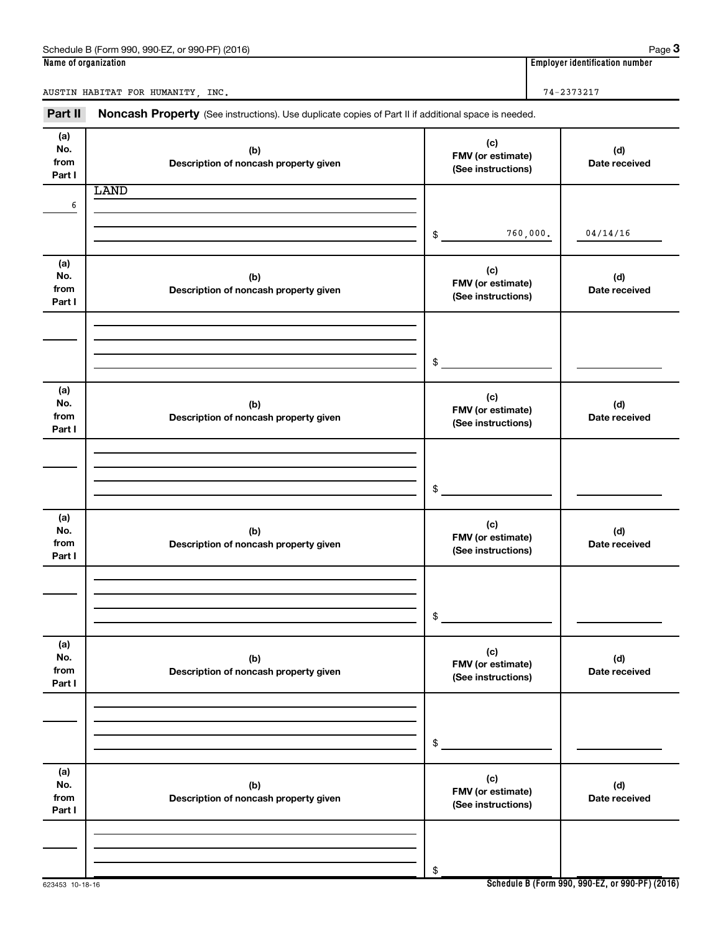| QQ <sub>0</sub> E7<br>(2016)<br>990<br>$\sim$ 000<br>$-490$ PF<br>$\overline{\phantom{0}}$<br>(Form<br>Schedule<br>$\sim$<br>۰л<br>.<br>.<br>. . | Page                                 |
|--------------------------------------------------------------------------------------------------------------------------------------------------|--------------------------------------|
| Name<br>of organization :                                                                                                                        | <br>identification number<br>Emplove |

AUSTIN HABITAT FOR HUMANITY, INC.  $74-2373217$ 

Part II Noncash Property (See instructions). Use duplicate copies of Part II if additional space is needed.

| (a)<br>No.<br>from<br>Part I | (b)<br>Description of noncash property given | (c)<br>FMV (or estimate)<br>(See instructions) | (d)<br>Date received |
|------------------------------|----------------------------------------------|------------------------------------------------|----------------------|
| 6                            | <b>LAND</b>                                  |                                                |                      |
|                              |                                              |                                                |                      |
|                              |                                              | 760,000.<br>\$                                 | 04/14/16             |
| (a)<br>No.                   | (b)                                          | (c)                                            | (d)                  |
| from<br>Part I               | Description of noncash property given        | FMV (or estimate)<br>(See instructions)        | Date received        |
|                              |                                              |                                                |                      |
|                              |                                              |                                                |                      |
|                              |                                              | \$                                             |                      |
| (a)                          |                                              | (c)                                            |                      |
| No.<br>from                  | (b)<br>Description of noncash property given | FMV (or estimate)<br>(See instructions)        | (d)<br>Date received |
| Part I                       |                                              |                                                |                      |
|                              |                                              |                                                |                      |
|                              |                                              | \$                                             |                      |
|                              |                                              |                                                |                      |
| (a)<br>No.                   | (b)                                          | (c)<br>FMV (or estimate)                       | (d)                  |
| from<br>Part I               | Description of noncash property given        | (See instructions)                             | Date received        |
|                              |                                              |                                                |                      |
|                              |                                              |                                                |                      |
|                              |                                              | \$                                             |                      |
| (a)<br>No.                   | (b)                                          | (c)                                            | (d)                  |
| from<br>Part I               | Description of noncash property given        | FMV (or estimate)<br>(See instructions)        | Date received        |
|                              |                                              |                                                |                      |
|                              |                                              |                                                |                      |
|                              |                                              | \$                                             |                      |
| (a)                          |                                              | (c)                                            |                      |
| No.<br>from                  | (b)<br>Description of noncash property given | FMV (or estimate)<br>(See instructions)        | (d)<br>Date received |
| Part I                       |                                              |                                                |                      |
|                              |                                              |                                                |                      |
|                              |                                              | \$                                             |                      |

**Schedule B (Form 990, 990-EZ, or 990-PF) (2016)**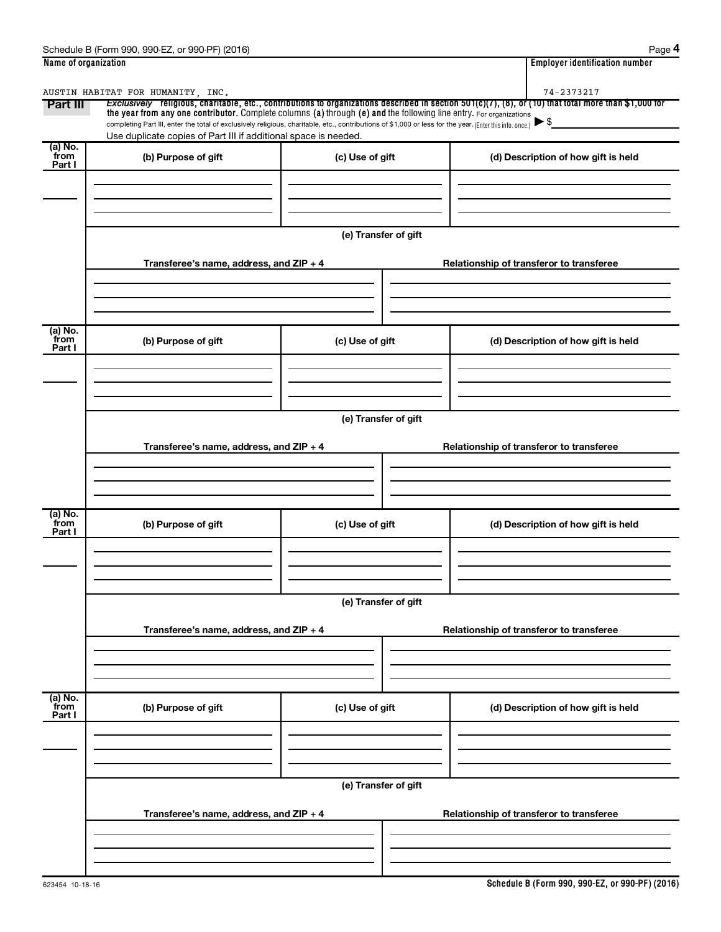| Name of organization      |                                                                                                                                                                                                                                                                                 |                      | <b>Employer identification number</b>                                                                                                                                             |  |  |
|---------------------------|---------------------------------------------------------------------------------------------------------------------------------------------------------------------------------------------------------------------------------------------------------------------------------|----------------------|-----------------------------------------------------------------------------------------------------------------------------------------------------------------------------------|--|--|
|                           | AUSTIN HABITAT FOR HUMANITY, INC.                                                                                                                                                                                                                                               |                      | 74-2373217                                                                                                                                                                        |  |  |
| Part III                  | the year from any one contributor. Complete columns (a) through (e) and the following line entry. For organizations<br>completing Part III, enter the total of exclusively religious, charitable, etc., contributions of \$1,000 or less for the year. (Enter this info. once.) |                      | Exclusively religious, charitable, etc., contributions to organizations described in section 501(c)(7), (8), or (10) that total more than \$1,000 for<br>$\blacktriangleright$ \$ |  |  |
|                           | Use duplicate copies of Part III if additional space is needed.                                                                                                                                                                                                                 |                      |                                                                                                                                                                                   |  |  |
| (a) No.<br>from<br>Part I | (b) Purpose of gift                                                                                                                                                                                                                                                             | (c) Use of gift      | (d) Description of how gift is held                                                                                                                                               |  |  |
|                           |                                                                                                                                                                                                                                                                                 |                      |                                                                                                                                                                                   |  |  |
|                           |                                                                                                                                                                                                                                                                                 | (e) Transfer of gift |                                                                                                                                                                                   |  |  |
|                           | Transferee's name, address, and ZIP + 4                                                                                                                                                                                                                                         |                      | Relationship of transferor to transferee                                                                                                                                          |  |  |
|                           |                                                                                                                                                                                                                                                                                 |                      |                                                                                                                                                                                   |  |  |
| (a) No.<br>from<br>Part I | (b) Purpose of gift                                                                                                                                                                                                                                                             | (c) Use of gift      | (d) Description of how gift is held                                                                                                                                               |  |  |
|                           |                                                                                                                                                                                                                                                                                 |                      |                                                                                                                                                                                   |  |  |
|                           |                                                                                                                                                                                                                                                                                 | (e) Transfer of gift |                                                                                                                                                                                   |  |  |
|                           | Transferee's name, address, and ZIP + 4                                                                                                                                                                                                                                         |                      | Relationship of transferor to transferee                                                                                                                                          |  |  |
|                           |                                                                                                                                                                                                                                                                                 |                      |                                                                                                                                                                                   |  |  |
| (a) No.<br>from<br>Part I | (b) Purpose of gift                                                                                                                                                                                                                                                             | (c) Use of gift      | (d) Description of how gift is held                                                                                                                                               |  |  |
|                           |                                                                                                                                                                                                                                                                                 |                      |                                                                                                                                                                                   |  |  |
|                           | (e) Transfer of gift                                                                                                                                                                                                                                                            |                      |                                                                                                                                                                                   |  |  |
|                           | Transferee's name, address, and ZIP + 4                                                                                                                                                                                                                                         |                      | Relationship of transferor to transferee                                                                                                                                          |  |  |
|                           |                                                                                                                                                                                                                                                                                 |                      |                                                                                                                                                                                   |  |  |
| (a) No.<br>from<br>Part I | (b) Purpose of gift                                                                                                                                                                                                                                                             | (c) Use of gift      | (d) Description of how gift is held                                                                                                                                               |  |  |
|                           |                                                                                                                                                                                                                                                                                 |                      |                                                                                                                                                                                   |  |  |
|                           |                                                                                                                                                                                                                                                                                 | (e) Transfer of gift |                                                                                                                                                                                   |  |  |
|                           | Transferee's name, address, and ZIP + 4                                                                                                                                                                                                                                         |                      | Relationship of transferor to transferee                                                                                                                                          |  |  |
|                           |                                                                                                                                                                                                                                                                                 |                      |                                                                                                                                                                                   |  |  |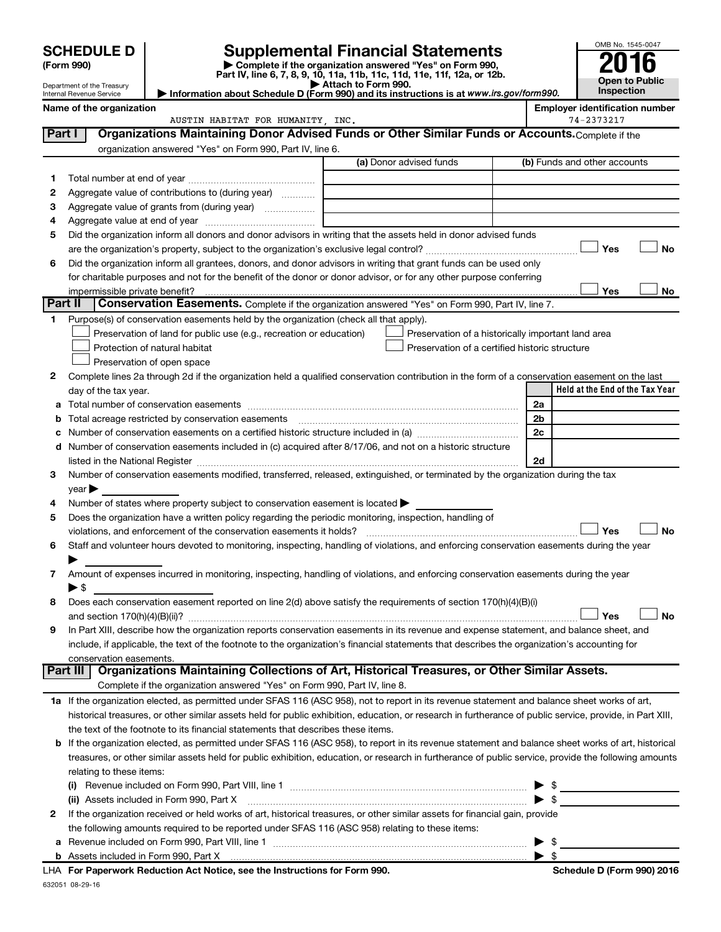|         |                                                                                                                                                                          |                                                                                                                                                                                                                                 |                                                    |          | OMB No. 1545-0047                     |                       |
|---------|--------------------------------------------------------------------------------------------------------------------------------------------------------------------------|---------------------------------------------------------------------------------------------------------------------------------------------------------------------------------------------------------------------------------|----------------------------------------------------|----------|---------------------------------------|-----------------------|
|         | <b>Supplemental Financial Statements</b><br><b>SCHEDULE D</b><br>Complete if the organization answered "Yes" on Form 990,<br>(Form 990)                                  |                                                                                                                                                                                                                                 |                                                    |          |                                       |                       |
|         | Part IV, line 6, 7, 8, 9, 10, 11a, 11b, 11c, 11d, 11e, 11f, 12a, or 12b.                                                                                                 |                                                                                                                                                                                                                                 |                                                    |          |                                       | <b>Open to Public</b> |
|         | Attach to Form 990.<br>Department of the Treasury<br>Information about Schedule D (Form 990) and its instructions is at www.irs.gov/form990.<br>Internal Revenue Service |                                                                                                                                                                                                                                 |                                                    |          |                                       |                       |
|         | Name of the organization                                                                                                                                                 |                                                                                                                                                                                                                                 |                                                    |          | <b>Employer identification number</b> |                       |
|         |                                                                                                                                                                          | AUSTIN HABITAT FOR HUMANITY, INC.                                                                                                                                                                                               |                                                    |          | 74-2373217                            |                       |
| Part I  |                                                                                                                                                                          | Organizations Maintaining Donor Advised Funds or Other Similar Funds or Accounts. Complete if the                                                                                                                               |                                                    |          |                                       |                       |
|         |                                                                                                                                                                          | organization answered "Yes" on Form 990, Part IV, line 6.                                                                                                                                                                       |                                                    |          |                                       |                       |
|         |                                                                                                                                                                          |                                                                                                                                                                                                                                 | (a) Donor advised funds                            |          | (b) Funds and other accounts          |                       |
| 1       |                                                                                                                                                                          |                                                                                                                                                                                                                                 |                                                    |          |                                       |                       |
| 2       |                                                                                                                                                                          | Aggregate value of contributions to (during year)                                                                                                                                                                               |                                                    |          |                                       |                       |
| з<br>4  |                                                                                                                                                                          |                                                                                                                                                                                                                                 |                                                    |          |                                       |                       |
| 5       |                                                                                                                                                                          | Did the organization inform all donors and donor advisors in writing that the assets held in donor advised funds                                                                                                                |                                                    |          |                                       |                       |
|         |                                                                                                                                                                          |                                                                                                                                                                                                                                 |                                                    |          | Yes                                   | <b>No</b>             |
| 6       |                                                                                                                                                                          | Did the organization inform all grantees, donors, and donor advisors in writing that grant funds can be used only                                                                                                               |                                                    |          |                                       |                       |
|         |                                                                                                                                                                          | for charitable purposes and not for the benefit of the donor or donor advisor, or for any other purpose conferring                                                                                                              |                                                    |          |                                       |                       |
|         | impermissible private benefit?                                                                                                                                           |                                                                                                                                                                                                                                 |                                                    |          | Yes                                   | No                    |
| Part II |                                                                                                                                                                          | Conservation Easements. Complete if the organization answered "Yes" on Form 990, Part IV, line 7.                                                                                                                               |                                                    |          |                                       |                       |
| 1.      |                                                                                                                                                                          | Purpose(s) of conservation easements held by the organization (check all that apply).                                                                                                                                           |                                                    |          |                                       |                       |
|         |                                                                                                                                                                          | Preservation of land for public use (e.g., recreation or education)                                                                                                                                                             | Preservation of a historically important land area |          |                                       |                       |
|         | Protection of natural habitat                                                                                                                                            |                                                                                                                                                                                                                                 | Preservation of a certified historic structure     |          |                                       |                       |
|         | Preservation of open space                                                                                                                                               |                                                                                                                                                                                                                                 |                                                    |          |                                       |                       |
| 2       |                                                                                                                                                                          | Complete lines 2a through 2d if the organization held a qualified conservation contribution in the form of a conservation easement on the last                                                                                  |                                                    |          |                                       |                       |
|         | day of the tax year.                                                                                                                                                     |                                                                                                                                                                                                                                 |                                                    |          | Held at the End of the Tax Year       |                       |
| а       |                                                                                                                                                                          | Total acreage restricted by conservation easements                                                                                                                                                                              |                                                    | 2a<br>2b |                                       |                       |
| b<br>с  |                                                                                                                                                                          |                                                                                                                                                                                                                                 |                                                    | 2c       |                                       |                       |
| d       |                                                                                                                                                                          | Number of conservation easements included in (c) acquired after 8/17/06, and not on a historic structure                                                                                                                        |                                                    |          |                                       |                       |
|         |                                                                                                                                                                          |                                                                                                                                                                                                                                 |                                                    | 2d       |                                       |                       |
| 3       |                                                                                                                                                                          | Number of conservation easements modified, transferred, released, extinguished, or terminated by the organization during the tax                                                                                                |                                                    |          |                                       |                       |
|         | year                                                                                                                                                                     |                                                                                                                                                                                                                                 |                                                    |          |                                       |                       |
| 4       |                                                                                                                                                                          | Number of states where property subject to conservation easement is located >                                                                                                                                                   |                                                    |          |                                       |                       |
| 5       |                                                                                                                                                                          | Does the organization have a written policy regarding the periodic monitoring, inspection, handling of                                                                                                                          |                                                    |          |                                       |                       |
|         |                                                                                                                                                                          | violations, and enforcement of the conservation easements it holds?                                                                                                                                                             |                                                    |          | Yes                                   | <b>No</b>             |
| 6       |                                                                                                                                                                          | Staff and volunteer hours devoted to monitoring, inspecting, handling of violations, and enforcing conservation easements during the year                                                                                       |                                                    |          |                                       |                       |
|         |                                                                                                                                                                          |                                                                                                                                                                                                                                 |                                                    |          |                                       |                       |
| 7       |                                                                                                                                                                          | Amount of expenses incurred in monitoring, inspecting, handling of violations, and enforcing conservation easements during the year                                                                                             |                                                    |          |                                       |                       |
|         | $\blacktriangleright$ \$                                                                                                                                                 |                                                                                                                                                                                                                                 |                                                    |          |                                       |                       |
| 8       |                                                                                                                                                                          | Does each conservation easement reported on line 2(d) above satisfy the requirements of section 170(h)(4)(B)(i)                                                                                                                 |                                                    |          | Yes                                   | No                    |
| 9       |                                                                                                                                                                          | In Part XIII, describe how the organization reports conservation easements in its revenue and expense statement, and balance sheet, and                                                                                         |                                                    |          |                                       |                       |
|         |                                                                                                                                                                          | include, if applicable, the text of the footnote to the organization's financial statements that describes the organization's accounting for                                                                                    |                                                    |          |                                       |                       |
|         | conservation easements.                                                                                                                                                  |                                                                                                                                                                                                                                 |                                                    |          |                                       |                       |
|         | Part III                                                                                                                                                                 | Organizations Maintaining Collections of Art, Historical Treasures, or Other Similar Assets.                                                                                                                                    |                                                    |          |                                       |                       |
|         |                                                                                                                                                                          | Complete if the organization answered "Yes" on Form 990, Part IV, line 8.                                                                                                                                                       |                                                    |          |                                       |                       |
|         |                                                                                                                                                                          | 1a If the organization elected, as permitted under SFAS 116 (ASC 958), not to report in its revenue statement and balance sheet works of art,                                                                                   |                                                    |          |                                       |                       |
|         |                                                                                                                                                                          | historical treasures, or other similar assets held for public exhibition, education, or research in furtherance of public service, provide, in Part XIII,                                                                       |                                                    |          |                                       |                       |
|         |                                                                                                                                                                          | the text of the footnote to its financial statements that describes these items.                                                                                                                                                |                                                    |          |                                       |                       |
|         |                                                                                                                                                                          | b If the organization elected, as permitted under SFAS 116 (ASC 958), to report in its revenue statement and balance sheet works of art, historical                                                                             |                                                    |          |                                       |                       |
|         |                                                                                                                                                                          | treasures, or other similar assets held for public exhibition, education, or research in furtherance of public service, provide the following amounts                                                                           |                                                    |          |                                       |                       |
|         | relating to these items:                                                                                                                                                 |                                                                                                                                                                                                                                 |                                                    |          |                                       |                       |
|         |                                                                                                                                                                          |                                                                                                                                                                                                                                 |                                                    |          |                                       |                       |
|         |                                                                                                                                                                          |                                                                                                                                                                                                                                 |                                                    |          |                                       |                       |
| 2       |                                                                                                                                                                          | If the organization received or held works of art, historical treasures, or other similar assets for financial gain, provide<br>the following amounts required to be reported under SFAS 116 (ASC 958) relating to these items: |                                                    |          |                                       |                       |
| а       |                                                                                                                                                                          |                                                                                                                                                                                                                                 |                                                    |          | -\$                                   |                       |
|         |                                                                                                                                                                          |                                                                                                                                                                                                                                 |                                                    |          |                                       |                       |

| \$

632051 08-29-16 **For Paperwork Reduction Act Notice, see the Instructions for Form 990. Schedule D (Form 990) 2016** LHA

**b** Assets included in Form 990, Part X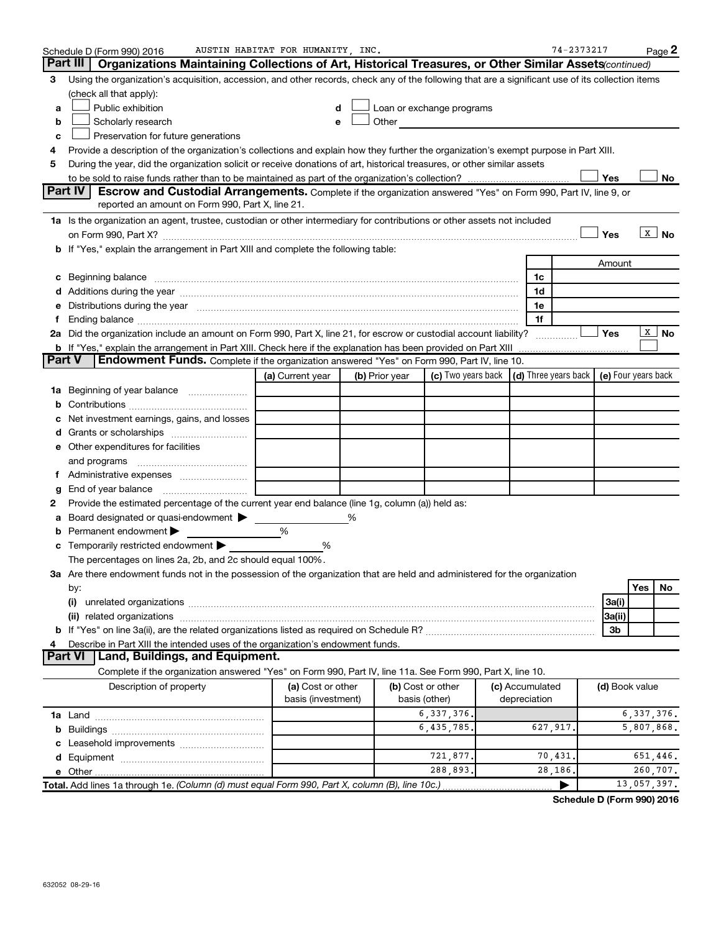|               | Schedule D (Form 990) 2016                                                                                                                                                                                                     | AUSTIN HABITAT FOR HUMANITY, INC. |   |                |                                                                                                                                                                                                                               |                                                   | 74-2373217 |                |              | Page 2                 |
|---------------|--------------------------------------------------------------------------------------------------------------------------------------------------------------------------------------------------------------------------------|-----------------------------------|---|----------------|-------------------------------------------------------------------------------------------------------------------------------------------------------------------------------------------------------------------------------|---------------------------------------------------|------------|----------------|--------------|------------------------|
|               | Part III<br>Organizations Maintaining Collections of Art, Historical Treasures, or Other Similar Assets (continued)                                                                                                            |                                   |   |                |                                                                                                                                                                                                                               |                                                   |            |                |              |                        |
| 3             | Using the organization's acquisition, accession, and other records, check any of the following that are a significant use of its collection items                                                                              |                                   |   |                |                                                                                                                                                                                                                               |                                                   |            |                |              |                        |
|               | (check all that apply):                                                                                                                                                                                                        |                                   |   |                |                                                                                                                                                                                                                               |                                                   |            |                |              |                        |
| a             | Public exhibition                                                                                                                                                                                                              | d                                 |   |                | Loan or exchange programs                                                                                                                                                                                                     |                                                   |            |                |              |                        |
| b             | Scholarly research                                                                                                                                                                                                             | е                                 |   |                | Other and the contract of the contract of the contract of the contract of the contract of the contract of the contract of the contract of the contract of the contract of the contract of the contract of the contract of the |                                                   |            |                |              |                        |
| c             | Preservation for future generations                                                                                                                                                                                            |                                   |   |                |                                                                                                                                                                                                                               |                                                   |            |                |              |                        |
| 4             | Provide a description of the organization's collections and explain how they further the organization's exempt purpose in Part XIII.                                                                                           |                                   |   |                |                                                                                                                                                                                                                               |                                                   |            |                |              |                        |
| 5             | During the year, did the organization solicit or receive donations of art, historical treasures, or other similar assets                                                                                                       |                                   |   |                |                                                                                                                                                                                                                               |                                                   |            |                |              |                        |
|               |                                                                                                                                                                                                                                |                                   |   |                |                                                                                                                                                                                                                               |                                                   |            | Yes            |              | No                     |
|               | Part IV<br>Escrow and Custodial Arrangements. Complete if the organization answered "Yes" on Form 990, Part IV, line 9, or                                                                                                     |                                   |   |                |                                                                                                                                                                                                                               |                                                   |            |                |              |                        |
|               | reported an amount on Form 990, Part X, line 21.                                                                                                                                                                               |                                   |   |                |                                                                                                                                                                                                                               |                                                   |            |                |              |                        |
|               | 1a Is the organization an agent, trustee, custodian or other intermediary for contributions or other assets not included                                                                                                       |                                   |   |                |                                                                                                                                                                                                                               |                                                   |            |                |              |                        |
|               |                                                                                                                                                                                                                                |                                   |   |                |                                                                                                                                                                                                                               |                                                   |            | Yes            |              | $X \mid No$            |
|               | b If "Yes," explain the arrangement in Part XIII and complete the following table:                                                                                                                                             |                                   |   |                |                                                                                                                                                                                                                               |                                                   |            |                |              |                        |
|               |                                                                                                                                                                                                                                |                                   |   |                |                                                                                                                                                                                                                               |                                                   |            | Amount         |              |                        |
|               | c Beginning balance measurements and the contract of the contract of the contract of the contract of the contract of the contract of the contract of the contract of the contract of the contract of the contract of the contr |                                   |   |                |                                                                                                                                                                                                                               | 1c                                                |            |                |              |                        |
|               |                                                                                                                                                                                                                                |                                   |   |                |                                                                                                                                                                                                                               | 1d                                                |            |                |              |                        |
|               | e Distributions during the year manufactured and continuum and contract the year manufactured and contract the                                                                                                                 |                                   |   |                |                                                                                                                                                                                                                               | 1e                                                |            |                |              |                        |
|               |                                                                                                                                                                                                                                |                                   |   |                |                                                                                                                                                                                                                               | 1f                                                |            |                |              |                        |
|               | 2a Did the organization include an amount on Form 990, Part X, line 21, for escrow or custodial account liability?                                                                                                             |                                   |   |                |                                                                                                                                                                                                                               |                                                   |            | Yes            |              | $\lfloor x \rfloor$ No |
|               | <b>b</b> If "Yes," explain the arrangement in Part XIII. Check here if the explanation has been provided on Part XIII                                                                                                          |                                   |   |                |                                                                                                                                                                                                                               |                                                   |            |                |              |                        |
| <b>Part V</b> | <b>Endowment Funds.</b> Complete if the organization answered "Yes" on Form 990, Part IV, line 10.                                                                                                                             |                                   |   |                |                                                                                                                                                                                                                               |                                                   |            |                |              |                        |
|               |                                                                                                                                                                                                                                | (a) Current year                  |   | (b) Prior year | (c) Two years back                                                                                                                                                                                                            | $(d)$ Three years back $\mid$ (e) Four years back |            |                |              |                        |
|               | 1a Beginning of year balance                                                                                                                                                                                                   |                                   |   |                |                                                                                                                                                                                                                               |                                                   |            |                |              |                        |
| b             |                                                                                                                                                                                                                                |                                   |   |                |                                                                                                                                                                                                                               |                                                   |            |                |              |                        |
|               | Net investment earnings, gains, and losses                                                                                                                                                                                     |                                   |   |                |                                                                                                                                                                                                                               |                                                   |            |                |              |                        |
|               |                                                                                                                                                                                                                                |                                   |   |                |                                                                                                                                                                                                                               |                                                   |            |                |              |                        |
|               | e Other expenditures for facilities                                                                                                                                                                                            |                                   |   |                |                                                                                                                                                                                                                               |                                                   |            |                |              |                        |
|               | and programs                                                                                                                                                                                                                   |                                   |   |                |                                                                                                                                                                                                                               |                                                   |            |                |              |                        |
|               |                                                                                                                                                                                                                                |                                   |   |                |                                                                                                                                                                                                                               |                                                   |            |                |              |                        |
| g             | End of year balance                                                                                                                                                                                                            |                                   |   |                |                                                                                                                                                                                                                               |                                                   |            |                |              |                        |
| 2             | Provide the estimated percentage of the current year end balance (line 1g, column (a)) held as:                                                                                                                                |                                   |   |                |                                                                                                                                                                                                                               |                                                   |            |                |              |                        |
|               | Board designated or quasi-endowment                                                                                                                                                                                            |                                   | % |                |                                                                                                                                                                                                                               |                                                   |            |                |              |                        |
|               | Permanent endowment                                                                                                                                                                                                            | %                                 |   |                |                                                                                                                                                                                                                               |                                                   |            |                |              |                        |
| c             | Temporarily restricted endowment                                                                                                                                                                                               | %                                 |   |                |                                                                                                                                                                                                                               |                                                   |            |                |              |                        |
|               | The percentages on lines 2a, 2b, and 2c should equal 100%.                                                                                                                                                                     |                                   |   |                |                                                                                                                                                                                                                               |                                                   |            |                |              |                        |
|               | 3a Are there endowment funds not in the possession of the organization that are held and administered for the organization                                                                                                     |                                   |   |                |                                                                                                                                                                                                                               |                                                   |            |                |              |                        |
|               | by:                                                                                                                                                                                                                            |                                   |   |                |                                                                                                                                                                                                                               |                                                   |            |                | Yes          | No                     |
|               | (i)                                                                                                                                                                                                                            |                                   |   |                |                                                                                                                                                                                                                               |                                                   |            | 3a(i)          |              |                        |
|               |                                                                                                                                                                                                                                |                                   |   |                |                                                                                                                                                                                                                               |                                                   |            | 3a(ii)         |              |                        |
|               |                                                                                                                                                                                                                                |                                   |   |                |                                                                                                                                                                                                                               |                                                   |            | 3b             |              |                        |
|               | Describe in Part XIII the intended uses of the organization's endowment funds.                                                                                                                                                 |                                   |   |                |                                                                                                                                                                                                                               |                                                   |            |                |              |                        |
|               | Land, Buildings, and Equipment.<br><b>Part VI</b>                                                                                                                                                                              |                                   |   |                |                                                                                                                                                                                                                               |                                                   |            |                |              |                        |
|               | Complete if the organization answered "Yes" on Form 990, Part IV, line 11a. See Form 990, Part X, line 10.                                                                                                                     |                                   |   |                |                                                                                                                                                                                                                               |                                                   |            |                |              |                        |
|               | Description of property                                                                                                                                                                                                        | (a) Cost or other                 |   |                | (b) Cost or other                                                                                                                                                                                                             | (c) Accumulated                                   |            | (d) Book value |              |                        |
|               |                                                                                                                                                                                                                                | basis (investment)                |   |                | basis (other)                                                                                                                                                                                                                 | depreciation                                      |            |                |              |                        |
|               |                                                                                                                                                                                                                                |                                   |   |                | 6, 337, 376.                                                                                                                                                                                                                  |                                                   |            |                | 6, 337, 376. |                        |
|               |                                                                                                                                                                                                                                |                                   |   |                | 6,435,785.                                                                                                                                                                                                                    | 627,917.                                          |            |                | 5,807,868.   |                        |
|               |                                                                                                                                                                                                                                |                                   |   |                |                                                                                                                                                                                                                               |                                                   |            |                |              |                        |
|               |                                                                                                                                                                                                                                |                                   |   |                | 721,877.                                                                                                                                                                                                                      | 70,431                                            |            |                | 651,446.     |                        |
|               |                                                                                                                                                                                                                                |                                   |   |                | 288,893.                                                                                                                                                                                                                      |                                                   | 28,186.    |                | 260,707.     |                        |
|               | Total. Add lines 1a through 1e. (Column (d) must equal Form 990, Part X, column (B), line 10c.)                                                                                                                                |                                   |   |                |                                                                                                                                                                                                                               |                                                   |            |                | 13,057,397.  |                        |

**Schedule D (Form 990) 2016**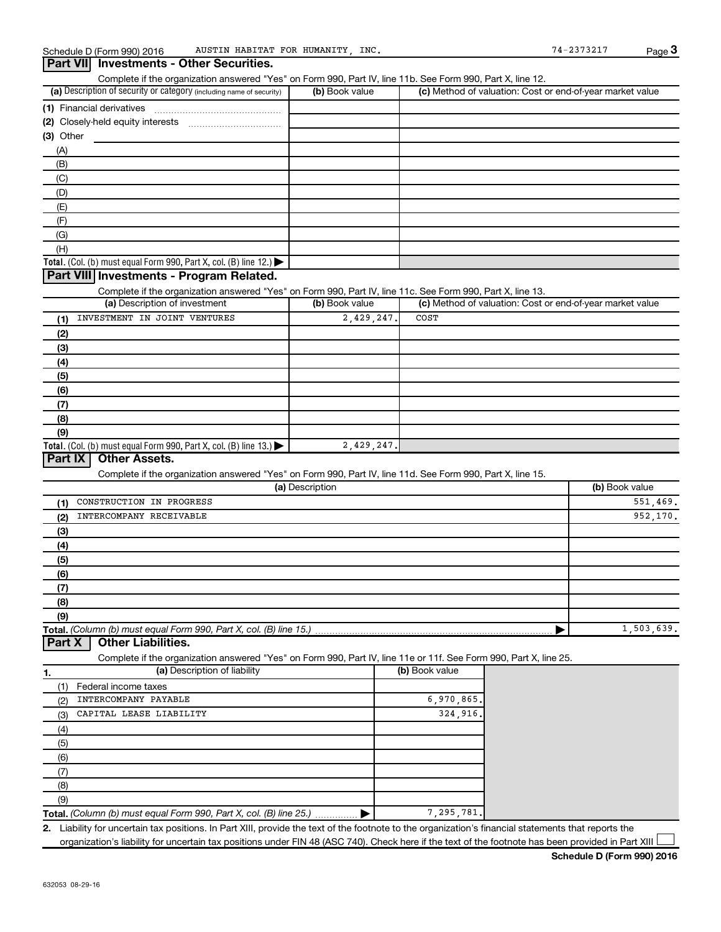#### (a) Description of security or category (including name of security)  $\vert$  (b) Book value  $\vert$  (c) **Total.** (Col. (b) must equal Form 990, Part X, col. (B) line 12.)  $\blacktriangleright$ **(1)** Financial derivatives ~~~~~~~~~~~~~~~ **(2)** Closely-held equity interests ~~~~~~~~~~~ **(3)** Other Complete if the organization answered "Yes" on Form 990, Part IV, line 11b. See Form 990, Part X, line 12.  $(b)$  Book value  $\vert$  (c) Method of valuation: Cost or end-of-year market value (A) (B) (C) (D) (E) (F) (G) (H)

#### **Part VIII Investments - Program Related.**

**Part VII Investments - Other Securities.**

Complete if the organization answered "Yes" on Form 990, Part IV, line 11c. See Form 990, Part X, line 13.

| (a) Description of investment                                                          | (b) Book value | (c) Method of valuation: Cost or end-of-year market value |
|----------------------------------------------------------------------------------------|----------------|-----------------------------------------------------------|
| INVESTMENT IN JOINT VENTURES<br>(1)                                                    | 2,429,247.     | COST                                                      |
| (2)                                                                                    |                |                                                           |
| (3)                                                                                    |                |                                                           |
| (4)                                                                                    |                |                                                           |
| (5)                                                                                    |                |                                                           |
| (6)                                                                                    |                |                                                           |
| (7)                                                                                    |                |                                                           |
| (8)                                                                                    |                |                                                           |
| (9)                                                                                    |                |                                                           |
| Total. (Col. (b) must equal Form 990, Part X, col. (B) line 13.) $\blacktriangleright$ | 2,429,247.     |                                                           |

#### **Part IX Other Assets.**

Complete if the organization answered "Yes" on Form 990, Part IV, line 11d. See Form 990, Part X, line 15.

| (a) Description                 | (b) Book value |
|---------------------------------|----------------|
| CONSTRUCTION IN PROGRESS<br>(1) | 551,469.       |
| INTERCOMPANY RECEIVABLE<br>(2)  | 952,170.       |
| (3)                             |                |
| (4)                             |                |
| (5)                             |                |
| (6)                             |                |
| (7)                             |                |
| (8)                             |                |
| (9)                             |                |
|                                 | 1,503,639.     |

#### **Part X Other Liabilities.**

Complete if the organization answered "Yes" on Form 990, Part IV, line 11e or 11f. See Form 990, Part X, line 25.

| 1.  | (a) Description of liability                                       | (b) Book value |
|-----|--------------------------------------------------------------------|----------------|
|     | Federal income taxes                                               |                |
| (2) | INTERCOMPANY PAYABLE                                               | 6,970,865.     |
| (3) | CAPITAL LEASE LIABILITY                                            | 324,916.       |
| (4) |                                                                    |                |
| (5) |                                                                    |                |
| (6) |                                                                    |                |
|     |                                                                    |                |
| (8) |                                                                    |                |
| (9) |                                                                    |                |
|     | Total. (Column (b) must equal Form 990, Part X, col. (B) line 25.) | 7, 295, 781.   |

**2.** Liability for uncertain tax positions. In Part XIII, provide the text of the footnote to the organization's financial statements that reports the organization's liability for uncertain tax positions under FIN 48 (ASC 740). Check here if the text of the footnote has been provided in Part XIII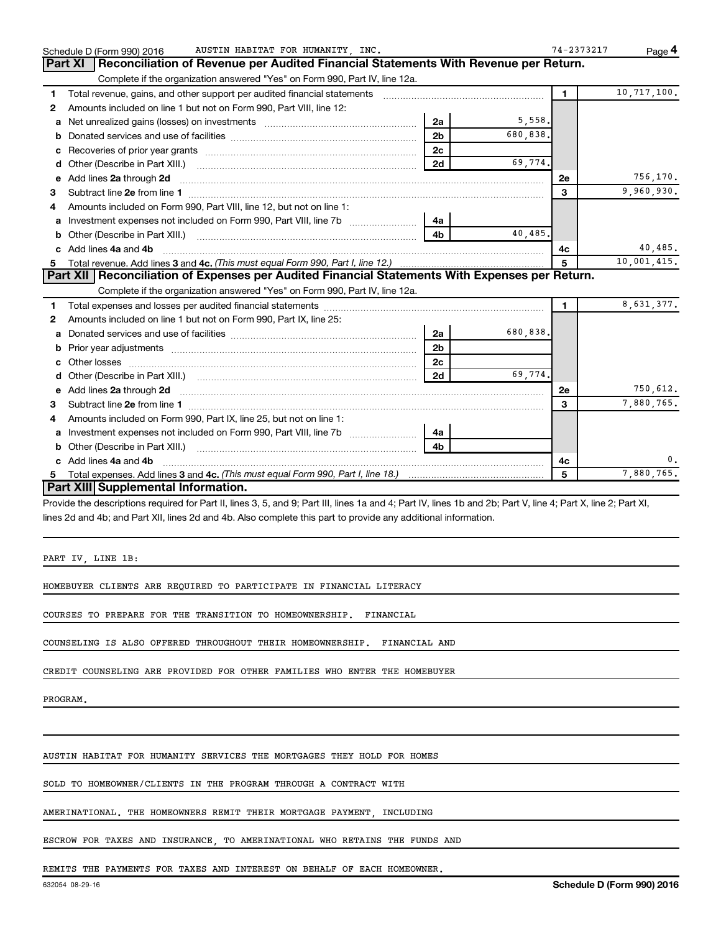|    | AUSTIN HABITAT FOR HUMANITY, INC.<br>Schedule D (Form 990) 2016                                                                                                                                                                |                |             | 74-2373217     | Page 4      |
|----|--------------------------------------------------------------------------------------------------------------------------------------------------------------------------------------------------------------------------------|----------------|-------------|----------------|-------------|
|    | Reconciliation of Revenue per Audited Financial Statements With Revenue per Return.<br>Part XI                                                                                                                                 |                |             |                |             |
|    | Complete if the organization answered "Yes" on Form 990, Part IV, line 12a.                                                                                                                                                    |                |             |                |             |
| 1  | Total revenue, gains, and other support per audited financial statements [111] [11] Total revenue, gains, and other support per audited financial statements                                                                   |                |             | $\blacksquare$ | 10,717,100. |
| 2  | Amounts included on line 1 but not on Form 990, Part VIII, line 12:                                                                                                                                                            |                |             |                |             |
| a  |                                                                                                                                                                                                                                | 2a             | 5,558.      |                |             |
| b  |                                                                                                                                                                                                                                | 2 <sub>b</sub> | 680,838.    |                |             |
| c  |                                                                                                                                                                                                                                | 2 <sub>c</sub> |             |                |             |
|    |                                                                                                                                                                                                                                | 2d             | 69,774.     |                |             |
|    | e Add lines 2a through 2d [11] manufactured and all the Add lines 2a through 2d [11] manufactured and all through 2d [11] manufactured and all through 2d [11] manufactured and all through 2d [11] manufactured and all throu |                |             | 2е             | 756,170.    |
| 3  |                                                                                                                                                                                                                                |                |             | 3              | 9,960,930.  |
| 4  | Amounts included on Form 990, Part VIII, line 12, but not on line 1:                                                                                                                                                           |                |             |                |             |
|    |                                                                                                                                                                                                                                | 4a             |             |                |             |
|    |                                                                                                                                                                                                                                | 4 <sub>b</sub> | 40.485.     |                |             |
|    | c Add lines 4a and 4b                                                                                                                                                                                                          |                |             | 4с             | 40,485.     |
|    |                                                                                                                                                                                                                                | 5              | 10,001,415. |                |             |
|    | Part XII   Reconciliation of Expenses per Audited Financial Statements With Expenses per Return.                                                                                                                               |                |             |                |             |
|    | Complete if the organization answered "Yes" on Form 990, Part IV, line 12a.                                                                                                                                                    |                |             |                |             |
| 1. |                                                                                                                                                                                                                                |                |             | $\mathbf{1}$   | 8,631,377.  |
| 2  | Amounts included on line 1 but not on Form 990, Part IX, line 25:                                                                                                                                                              |                |             |                |             |
| a  |                                                                                                                                                                                                                                | 2a             | 680,838.    |                |             |
|    |                                                                                                                                                                                                                                | 2 <sub>b</sub> |             |                |             |
| c  |                                                                                                                                                                                                                                | 2 <sub>c</sub> |             |                |             |
|    |                                                                                                                                                                                                                                | 2d             | 69.774.     |                |             |
|    | e Add lines 2a through 2d [11] manuscription contracts and the Add lines 2a through 2d [11] manuscription contracts and the Add lines 2a through 2d [11] manuscription contracts and the Add lines 2a through 2d [11] manuscri |                |             | 2е             | 750,612.    |
| 3  |                                                                                                                                                                                                                                |                |             | 3              | 7,880,765.  |
| 4  | Amounts included on Form 990, Part IX, line 25, but not on line 1:                                                                                                                                                             |                |             |                |             |
|    | a Investment expenses not included on Form 990, Part VIII, line 7b [11, 11, 11, 11, 11]                                                                                                                                        | 4a             |             |                |             |
|    |                                                                                                                                                                                                                                | 4b             |             |                |             |
|    | c Add lines 4a and 4b                                                                                                                                                                                                          |                |             | 4с             | 0.          |
|    |                                                                                                                                                                                                                                |                |             | 5              | 7,880,765.  |
|    | Part XIII Supplemental Information.                                                                                                                                                                                            |                |             |                |             |

Provide the descriptions required for Part II, lines 3, 5, and 9; Part III, lines 1a and 4; Part IV, lines 1b and 2b; Part V, line 4; Part X, line 2; Part XI, lines 2d and 4b; and Part XII, lines 2d and 4b. Also complete this part to provide any additional information.

PART IV, LINE 1B:

HOMEBUYER CLIENTS ARE REQUIRED TO PARTICIPATE IN FINANCIAL LITERACY

COURSES TO PREPARE FOR THE TRANSITION TO HOMEOWNERSHIP. FINANCIAL

COUNSELING IS ALSO OFFERED THROUGHOUT THEIR HOMEOWNERSHIP. FINANCIAL AND

CREDIT COUNSELING ARE PROVIDED FOR OTHER FAMILIES WHO ENTER THE HOMEBUYER

PROGRAM.

AUSTIN HABITAT FOR HUMANITY SERVICES THE MORTGAGES THEY HOLD FOR HOMES

SOLD TO HOMEOWNER/CLIENTS IN THE PROGRAM THROUGH A CONTRACT WITH

AMERINATIONAL. THE HOMEOWNERS REMIT THEIR MORTGAGE PAYMENT, INCLUDING

ESCROW FOR TAXES AND INSURANCE, TO AMERINATIONAL WHO RETAINS THE FUNDS AND

REMITS THE PAYMENTS FOR TAXES AND INTEREST ON BEHALF OF EACH HOMEOWNER.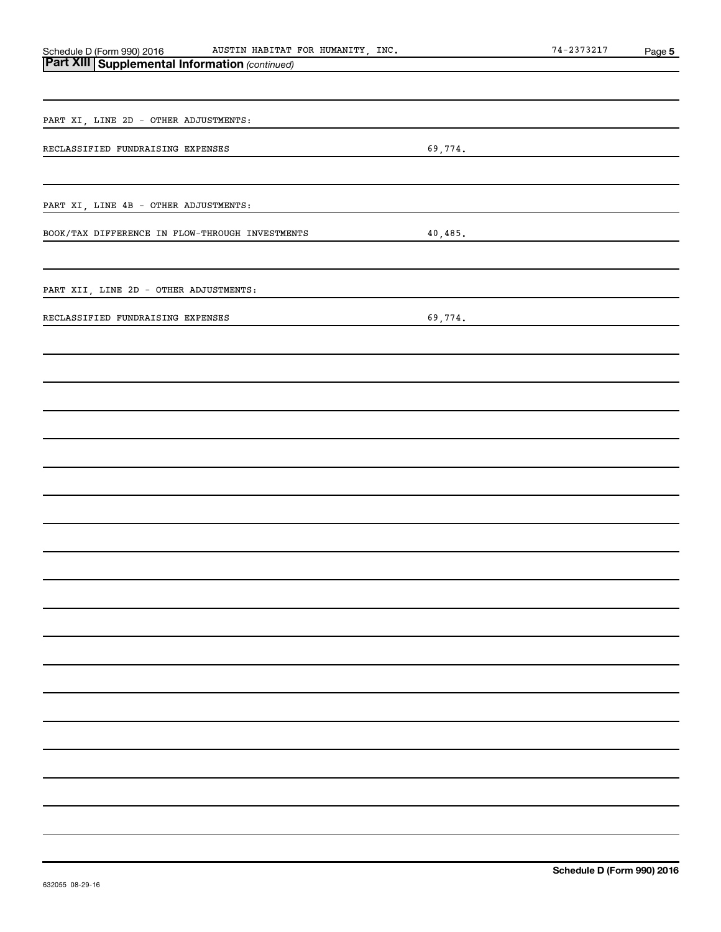| AUSTIN HABITAT FOR HUMANITY, INC.                                                           | $74 - 2373217$ | Page 5 |  |
|---------------------------------------------------------------------------------------------|----------------|--------|--|
| Schedule D (Form 990) 2016 AUSTIN HABITAT<br>Part XIII Supplemental Information (continued) |                |        |  |
|                                                                                             |                |        |  |
|                                                                                             |                |        |  |
| PART XI, LINE 2D - OTHER ADJUSTMENTS:                                                       |                |        |  |
|                                                                                             |                |        |  |
| RECLASSIFIED FUNDRAISING EXPENSES                                                           | 69,774.        |        |  |
|                                                                                             |                |        |  |
|                                                                                             |                |        |  |
| PART XI, LINE 4B - OTHER ADJUSTMENTS:                                                       |                |        |  |
| BOOK/TAX DIFFERENCE IN FLOW-THROUGH INVESTMENTS                                             | 40,485.        |        |  |
|                                                                                             |                |        |  |
|                                                                                             |                |        |  |
| PART XII, LINE 2D - OTHER ADJUSTMENTS:                                                      |                |        |  |
|                                                                                             |                |        |  |
| RECLASSIFIED FUNDRAISING EXPENSES                                                           | 69,774.        |        |  |
|                                                                                             |                |        |  |
|                                                                                             |                |        |  |
|                                                                                             |                |        |  |
|                                                                                             |                |        |  |
|                                                                                             |                |        |  |
|                                                                                             |                |        |  |
|                                                                                             |                |        |  |
|                                                                                             |                |        |  |
|                                                                                             |                |        |  |
|                                                                                             |                |        |  |
|                                                                                             |                |        |  |
|                                                                                             |                |        |  |
|                                                                                             |                |        |  |
|                                                                                             |                |        |  |
|                                                                                             |                |        |  |
|                                                                                             |                |        |  |
|                                                                                             |                |        |  |
|                                                                                             |                |        |  |
|                                                                                             |                |        |  |
|                                                                                             |                |        |  |
|                                                                                             |                |        |  |
|                                                                                             |                |        |  |
|                                                                                             |                |        |  |
|                                                                                             |                |        |  |
|                                                                                             |                |        |  |
|                                                                                             |                |        |  |
|                                                                                             |                |        |  |
|                                                                                             |                |        |  |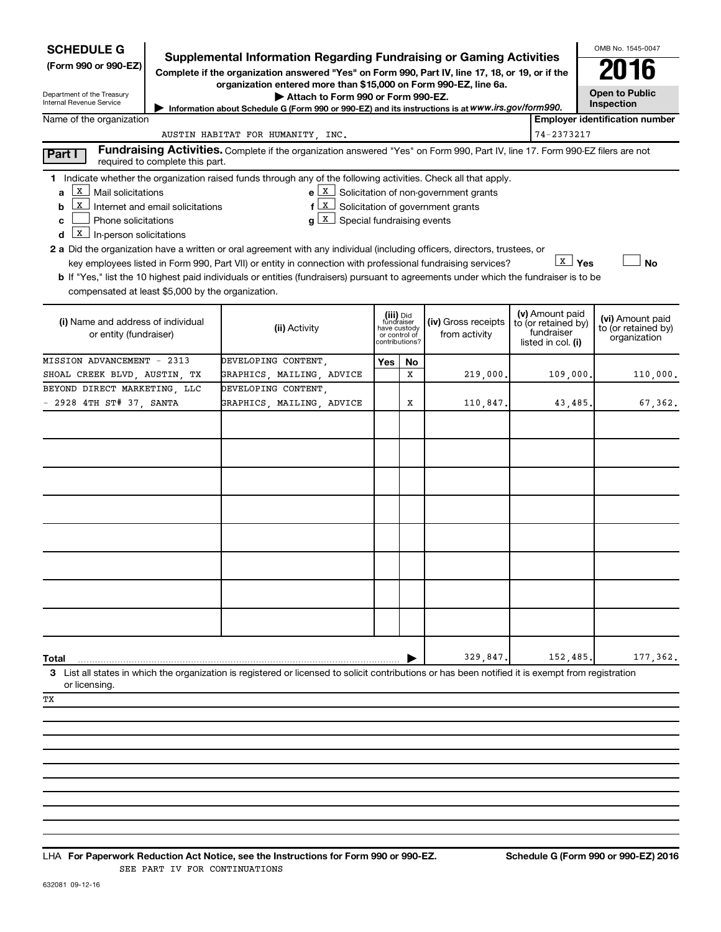| <b>SCHEDULE G</b><br><b>Supplemental Information Regarding Fundraising or Gaming Activities</b><br>(Form 990 or 990-EZ)<br>Complete if the organization answered "Yes" on Form 990, Part IV, line 17, 18, or 19, or if the<br>organization entered more than \$15,000 on Form 990-EZ, line 6a.<br>Department of the Treasury<br>Attach to Form 990 or Form 990-EZ.<br>Internal Revenue Service<br>Information about Schedule G (Form 990 or 990-EZ) and its instructions is at WWW.irs.gov/form990. |                                                                                                                                                                                                                                                                                                                                                                               |     |    |                                                         | OMB No. 1545-0047<br><b>Open to Public</b><br>Inspection |                                       |
|-----------------------------------------------------------------------------------------------------------------------------------------------------------------------------------------------------------------------------------------------------------------------------------------------------------------------------------------------------------------------------------------------------------------------------------------------------------------------------------------------------|-------------------------------------------------------------------------------------------------------------------------------------------------------------------------------------------------------------------------------------------------------------------------------------------------------------------------------------------------------------------------------|-----|----|---------------------------------------------------------|----------------------------------------------------------|---------------------------------------|
| Name of the organization                                                                                                                                                                                                                                                                                                                                                                                                                                                                            |                                                                                                                                                                                                                                                                                                                                                                               |     |    |                                                         |                                                          | <b>Employer identification number</b> |
|                                                                                                                                                                                                                                                                                                                                                                                                                                                                                                     | AUSTIN HABITAT FOR HUMANITY, INC.                                                                                                                                                                                                                                                                                                                                             |     |    |                                                         | 74-2373217                                               |                                       |
| Part I<br>required to complete this part.                                                                                                                                                                                                                                                                                                                                                                                                                                                           | Fundraising Activities. Complete if the organization answered "Yes" on Form 990, Part IV, line 17. Form 990-EZ filers are not                                                                                                                                                                                                                                                 |     |    |                                                         |                                                          |                                       |
| 1 Indicate whether the organization raised funds through any of the following activities. Check all that apply.<br>x  <br>Mail solicitations<br>a<br>x  <br>Internet and email solicitations<br>b<br>Phone solicitations<br>c<br>$\underline{x}$ In-person solicitations<br>d<br>2 a Did the organization have a written or oral agreement with any individual (including officers, directors, trustees, or<br>compensated at least \$5,000 by the organization.                                    | $f(X)$ Solicitation of government grants<br>$g\left[\begin{array}{c}\nX\end{array}\right]$ Special fundraising events<br>key employees listed in Form 990, Part VII) or entity in connection with professional fundraising services?<br>b If "Yes," list the 10 highest paid individuals or entities (fundraisers) pursuant to agreements under which the fundraiser is to be |     |    | $e \mid X$ Solicitation of non-government grants        | <b>X</b> Yes                                             | <b>No</b>                             |
| (i) Name and address of individual<br>or entity (fundraiser)                                                                                                                                                                                                                                                                                                                                                                                                                                        | (v) Amount paid<br>(iii) Did<br>(iv) Gross receipts<br>fundraiser<br>have custody<br>to (or retained by)<br>(ii) Activity<br>fundraiser<br>from activity<br>or control of<br>contributions?<br>listed in col. (i)                                                                                                                                                             |     |    | (vi) Amount paid<br>to (or retained by)<br>organization |                                                          |                                       |
| MISSION ADVANCEMENT - 2313                                                                                                                                                                                                                                                                                                                                                                                                                                                                          | DEVELOPING CONTENT,                                                                                                                                                                                                                                                                                                                                                           | Yes | No |                                                         |                                                          |                                       |
| SHOAL CREEK BLVD, AUSTIN, TX                                                                                                                                                                                                                                                                                                                                                                                                                                                                        | GRAPHICS, MAILING, ADVICE                                                                                                                                                                                                                                                                                                                                                     |     | x  | 219,000.                                                | 109,000.                                                 | 110,000.                              |
| BEYOND DIRECT MARKETING, LLC                                                                                                                                                                                                                                                                                                                                                                                                                                                                        | DEVELOPING CONTENT,                                                                                                                                                                                                                                                                                                                                                           |     |    |                                                         |                                                          |                                       |
| $-$ 2928 4TH ST# 37, SANTA                                                                                                                                                                                                                                                                                                                                                                                                                                                                          | GRAPHICS, MAILING, ADVICE                                                                                                                                                                                                                                                                                                                                                     |     | х  | 110,847.                                                | 43,485.                                                  | 67,362.                               |
| Total<br>3 List all states in which the organization is registered or licensed to solicit contributions or has been notified it is exempt from registration<br>or licensing.<br>TХ                                                                                                                                                                                                                                                                                                                  |                                                                                                                                                                                                                                                                                                                                                                               |     |    | 329,847                                                 | 152,485                                                  | 177,362.                              |

**For Paperwork Reduction Act Notice, see the Instructions for Form 990 or 990-EZ. Schedule G (Form 990 or 990-EZ) 2016** LHA SEE PART IV FOR CONTINUATIONS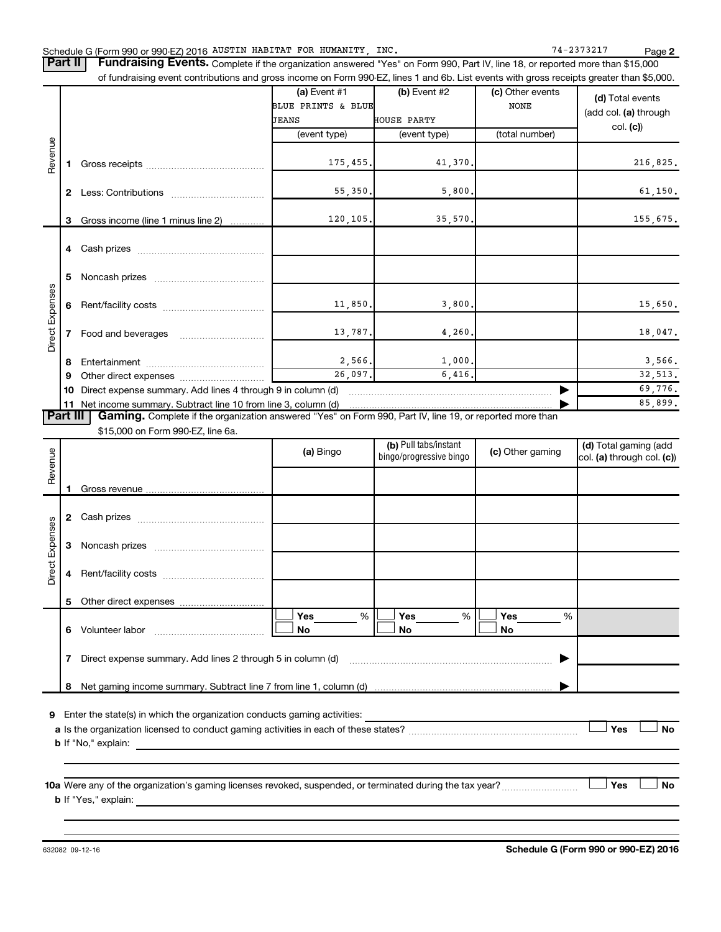Part II | Fundraising Events. Complete if the organization answered "Yes" on Form 990, Part IV, line 18, or reported more than \$15,000 of fundraising event contributions and gross income on Form 990-EZ, lines 1 and 6b. List events with gross receipts greater than \$5,000.

|                        |              |                                                                                                                                                                                     | (a) Event $#1$     | (b) Event #2       | (c) Other events |                       |
|------------------------|--------------|-------------------------------------------------------------------------------------------------------------------------------------------------------------------------------------|--------------------|--------------------|------------------|-----------------------|
|                        |              |                                                                                                                                                                                     | BLUE PRINTS & BLUE |                    | <b>NONE</b>      | (d) Total events      |
|                        |              |                                                                                                                                                                                     | <b>JEANS</b>       | <b>HOUSE PARTY</b> |                  | (add col. (a) through |
|                        |              |                                                                                                                                                                                     | (event type)       | (event type)       | (total number)   | col. (c)              |
|                        |              |                                                                                                                                                                                     |                    |                    |                  |                       |
| Revenue                |              |                                                                                                                                                                                     |                    |                    |                  |                       |
|                        |              |                                                                                                                                                                                     | 175, 455.          | 41,370.            |                  | 216,825.              |
|                        |              |                                                                                                                                                                                     |                    |                    |                  |                       |
|                        | $\mathbf{2}$ |                                                                                                                                                                                     | 55, 350.           | 5,800.             |                  | 61, 150.              |
|                        |              |                                                                                                                                                                                     |                    |                    |                  |                       |
|                        | 3            | Gross income (line 1 minus line 2)                                                                                                                                                  | 120, 105.          | 35,570.            |                  | 155,675.              |
|                        |              |                                                                                                                                                                                     |                    |                    |                  |                       |
|                        |              |                                                                                                                                                                                     |                    |                    |                  |                       |
|                        |              |                                                                                                                                                                                     |                    |                    |                  |                       |
| <b>Direct Expenses</b> | 5            |                                                                                                                                                                                     |                    |                    |                  |                       |
|                        |              |                                                                                                                                                                                     |                    |                    |                  |                       |
|                        | 6            |                                                                                                                                                                                     | 11,850.            | 3,800.             |                  | 15,650.               |
|                        |              |                                                                                                                                                                                     |                    |                    |                  |                       |
|                        |              | Food and beverages                                                                                                                                                                  | 13,787.            | 4,260.             |                  | 18,047.               |
|                        |              |                                                                                                                                                                                     |                    |                    |                  |                       |
|                        | 8            |                                                                                                                                                                                     | 2,566.             | 1,000.             |                  | 3,566.                |
|                        | 9            | 26,097.                                                                                                                                                                             |                    | 6.416.             |                  | 32,513.               |
|                        | 10           | Direct expense summary. Add lines 4 through 9 in column (d)                                                                                                                         |                    | 69,776.            |                  |                       |
|                        | 11           |                                                                                                                                                                                     | 85,899.            |                    |                  |                       |
|                        |              | Net income summary. Subtract line 10 from line 3, column (d)<br>Part III   Gaming. Complete if the organization answered "Yes" on Form 990, Part IV, line 19, or reported more than |                    |                    |                  |                       |

\$15,000 on Form 990-EZ, line 6a.

| Revenue         |                                                                                                                                                                                                                                                                                                                                                        |                                                             | (a) Bingo             | (b) Pull tabs/instant<br>(c) Other gaming<br>bingo/progressive bingo |                       | (d) Total gaming (add<br>col. (a) through col. (c)) |  |
|-----------------|--------------------------------------------------------------------------------------------------------------------------------------------------------------------------------------------------------------------------------------------------------------------------------------------------------------------------------------------------------|-------------------------------------------------------------|-----------------------|----------------------------------------------------------------------|-----------------------|-----------------------------------------------------|--|
|                 |                                                                                                                                                                                                                                                                                                                                                        |                                                             |                       |                                                                      |                       |                                                     |  |
|                 | 2                                                                                                                                                                                                                                                                                                                                                      |                                                             |                       |                                                                      |                       |                                                     |  |
|                 | 3                                                                                                                                                                                                                                                                                                                                                      |                                                             |                       |                                                                      |                       |                                                     |  |
| Direct Expenses | 4                                                                                                                                                                                                                                                                                                                                                      |                                                             |                       |                                                                      |                       |                                                     |  |
|                 | 5                                                                                                                                                                                                                                                                                                                                                      |                                                             |                       |                                                                      |                       |                                                     |  |
|                 | 6                                                                                                                                                                                                                                                                                                                                                      |                                                             | Yes<br>%<br><b>No</b> | Yes<br>%<br><b>No</b>                                                | Yes<br>%<br><b>No</b> |                                                     |  |
|                 |                                                                                                                                                                                                                                                                                                                                                        | Direct expense summary. Add lines 2 through 5 in column (d) |                       |                                                                      |                       |                                                     |  |
|                 | 8                                                                                                                                                                                                                                                                                                                                                      |                                                             |                       |                                                                      |                       |                                                     |  |
| 9               |                                                                                                                                                                                                                                                                                                                                                        |                                                             |                       |                                                                      |                       |                                                     |  |
|                 |                                                                                                                                                                                                                                                                                                                                                        |                                                             |                       |                                                                      |                       |                                                     |  |
|                 | 10a Were any of the organization's gaming licenses revoked, suspended, or terminated during the tax year?<br><b>b</b> If "Yes," explain: <b>contract to the explaint of the explanation of the explaint of the explanation of the explanation of the explanation of the explanation of the explanation of the explanation of the explanation of th</b> |                                                             |                       |                                                                      |                       |                                                     |  |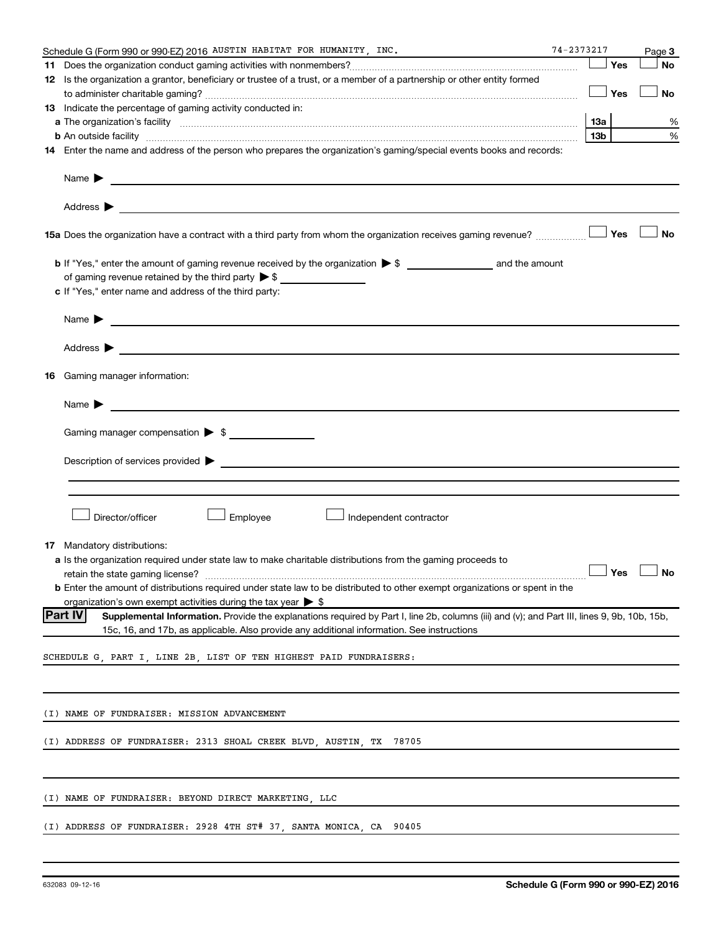| 74-2373217<br>Schedule G (Form 990 or 990-EZ) 2016 AUSTIN HABITAT FOR HUMANITY, INC.<br>the control of the control of the control of the control of                                                                                                         |     |            | Page 3    |
|-------------------------------------------------------------------------------------------------------------------------------------------------------------------------------------------------------------------------------------------------------------|-----|------------|-----------|
|                                                                                                                                                                                                                                                             |     | Yes        | <b>No</b> |
| 12 Is the organization a grantor, beneficiary or trustee of a trust, or a member of a partnership or other entity formed                                                                                                                                    |     |            |           |
|                                                                                                                                                                                                                                                             |     | $\Box$ Yes | No        |
| 13 Indicate the percentage of gaming activity conducted in:                                                                                                                                                                                                 |     |            |           |
|                                                                                                                                                                                                                                                             | 1За |            | %         |
| <b>b</b> An outside facility <i>www.communicality www.communicality.communicality www.communicality www.communicality.communicality www.communicality.com</i>                                                                                               | 13b |            | %         |
| 14 Enter the name and address of the person who prepares the organization's gaming/special events books and records:                                                                                                                                        |     |            |           |
| Name $\blacktriangleright$<br><u> 1989 - Johann John Stein, markin fan de Frysk kampen oantal fan de Fryske kampen oantal fan de Fryske kampen</u>                                                                                                          |     |            |           |
| Address $\blacktriangleright$<br>and the control of the control of the control of the control of the control of the control of the control of the                                                                                                           |     |            |           |
| 15a Does the organization have a contract with a third party from whom the organization receives gaming revenue?                                                                                                                                            |     | Yes        | <b>No</b> |
| of gaming revenue retained by the third party $\triangleright$ \$                                                                                                                                                                                           |     |            |           |
| c If "Yes," enter name and address of the third party:                                                                                                                                                                                                      |     |            |           |
| Name $\blacktriangleright$<br><u> 1989 - Johann John Stone, meilich aus der Stone († 1989)</u>                                                                                                                                                              |     |            |           |
| Address $\blacktriangleright$<br><u> 1989 - Johann Stoff, deutscher Stoff, der Stoff, der Stoff, der Stoff, der Stoff, der Stoff, der Stoff, der S</u>                                                                                                      |     |            |           |
| <b>16</b> Gaming manager information:                                                                                                                                                                                                                       |     |            |           |
| Name $\blacktriangleright$                                                                                                                                                                                                                                  |     |            |           |
| Gaming manager compensation > \$                                                                                                                                                                                                                            |     |            |           |
|                                                                                                                                                                                                                                                             |     |            |           |
|                                                                                                                                                                                                                                                             |     |            |           |
|                                                                                                                                                                                                                                                             |     |            |           |
| Director/officer<br>Employee<br>∫ Independent contractor                                                                                                                                                                                                    |     |            |           |
| <b>17</b> Mandatory distributions:                                                                                                                                                                                                                          |     |            |           |
| <b>a</b> Is the organization required under state law to make charitable distributions from the gaming proceeds to                                                                                                                                          |     |            |           |
|                                                                                                                                                                                                                                                             |     |            |           |
| <b>b</b> Enter the amount of distributions required under state law to be distributed to other exempt organizations or spent in the                                                                                                                         |     |            |           |
| organization's own exempt activities during the tax year $\triangleright$ \$                                                                                                                                                                                |     |            |           |
| <b>Part IV</b><br>Supplemental Information. Provide the explanations required by Part I, line 2b, columns (iii) and (v); and Part III, lines 9, 9b, 10b, 15b,<br>15c, 16, and 17b, as applicable. Also provide any additional information. See instructions |     |            |           |
| SCHEDULE G, PART I, LINE 2B, LIST OF TEN HIGHEST PAID FUNDRAISERS:                                                                                                                                                                                          |     |            |           |
|                                                                                                                                                                                                                                                             |     |            |           |
| (I) NAME OF FUNDRAISER: MISSION ADVANCEMENT                                                                                                                                                                                                                 |     |            |           |
|                                                                                                                                                                                                                                                             |     |            |           |
| (I) ADDRESS OF FUNDRAISER: 2313 SHOAL CREEK BLVD, AUSTIN, TX<br>78705                                                                                                                                                                                       |     |            |           |
|                                                                                                                                                                                                                                                             |     |            |           |
| (I) NAME OF FUNDRAISER: BEYOND DIRECT MARKETING, LLC                                                                                                                                                                                                        |     |            |           |
| (I) ADDRESS OF FUNDRAISER: 2928 4TH ST# 37, SANTA MONICA, CA 90405                                                                                                                                                                                          |     |            |           |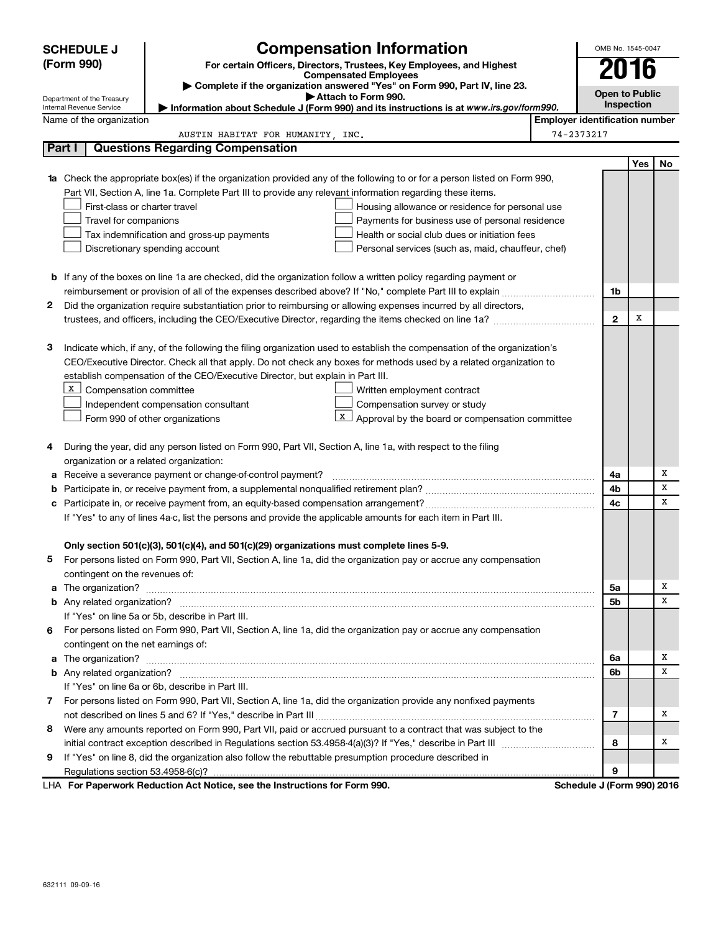|    | <b>SCHEDULE J</b>                                                                   | <b>Compensation Information</b>                                                                                                  |                                       | OMB No. 1545-0047     |     |    |  |  |
|----|-------------------------------------------------------------------------------------|----------------------------------------------------------------------------------------------------------------------------------|---------------------------------------|-----------------------|-----|----|--|--|
|    | (Form 990)<br>For certain Officers, Directors, Trustees, Key Employees, and Highest |                                                                                                                                  |                                       | 16                    |     |    |  |  |
|    |                                                                                     | <b>Compensated Employees</b><br>Complete if the organization answered "Yes" on Form 990, Part IV, line 23.                       |                                       |                       |     |    |  |  |
|    | Department of the Treasury                                                          | Attach to Form 990.                                                                                                              |                                       | <b>Open to Public</b> |     |    |  |  |
|    | Internal Revenue Service                                                            | Information about Schedule J (Form 990) and its instructions is at www.irs.gov/form990.                                          |                                       | Inspection            |     |    |  |  |
|    | Name of the organization                                                            |                                                                                                                                  | <b>Employer identification number</b> |                       |     |    |  |  |
|    | Part I                                                                              | AUSTIN HABITAT FOR HUMANITY, INC.<br><b>Questions Regarding Compensation</b>                                                     | 74-2373217                            |                       |     |    |  |  |
|    |                                                                                     |                                                                                                                                  |                                       |                       | Yes | No |  |  |
|    |                                                                                     | <b>1a</b> Check the appropriate box(es) if the organization provided any of the following to or for a person listed on Form 990, |                                       |                       |     |    |  |  |
|    |                                                                                     | Part VII, Section A, line 1a. Complete Part III to provide any relevant information regarding these items.                       |                                       |                       |     |    |  |  |
|    | First-class or charter travel                                                       | Housing allowance or residence for personal use                                                                                  |                                       |                       |     |    |  |  |
|    | Travel for companions                                                               | Payments for business use of personal residence                                                                                  |                                       |                       |     |    |  |  |
|    |                                                                                     | Tax indemnification and gross-up payments<br>Health or social club dues or initiation fees                                       |                                       |                       |     |    |  |  |
|    |                                                                                     | Discretionary spending account<br>Personal services (such as, maid, chauffeur, chef)                                             |                                       |                       |     |    |  |  |
|    |                                                                                     |                                                                                                                                  |                                       |                       |     |    |  |  |
|    |                                                                                     | <b>b</b> If any of the boxes on line 1a are checked, did the organization follow a written policy regarding payment or           |                                       |                       |     |    |  |  |
|    |                                                                                     |                                                                                                                                  |                                       | 1b                    |     |    |  |  |
| 2  |                                                                                     | Did the organization require substantiation prior to reimbursing or allowing expenses incurred by all directors,                 |                                       |                       |     |    |  |  |
|    |                                                                                     |                                                                                                                                  |                                       | $\mathbf{2}$          | Х   |    |  |  |
|    |                                                                                     |                                                                                                                                  |                                       |                       |     |    |  |  |
| з  |                                                                                     | Indicate which, if any, of the following the filing organization used to establish the compensation of the organization's        |                                       |                       |     |    |  |  |
|    |                                                                                     | CEO/Executive Director. Check all that apply. Do not check any boxes for methods used by a related organization to               |                                       |                       |     |    |  |  |
|    |                                                                                     | establish compensation of the CEO/Executive Director, but explain in Part III.                                                   |                                       |                       |     |    |  |  |
|    | X  <br>Compensation committee                                                       | Written employment contract                                                                                                      |                                       |                       |     |    |  |  |
|    |                                                                                     | Compensation survey or study<br>Independent compensation consultant                                                              |                                       |                       |     |    |  |  |
|    |                                                                                     | x<br>Approval by the board or compensation committee<br>Form 990 of other organizations                                          |                                       |                       |     |    |  |  |
|    |                                                                                     |                                                                                                                                  |                                       |                       |     |    |  |  |
| 4  | organization or a related organization:                                             | During the year, did any person listed on Form 990, Part VII, Section A, line 1a, with respect to the filing                     |                                       |                       |     |    |  |  |
| а  |                                                                                     | Receive a severance payment or change-of-control payment?                                                                        |                                       | 4a                    |     | х  |  |  |
| b  |                                                                                     |                                                                                                                                  |                                       | 4b                    |     | x  |  |  |
|    |                                                                                     |                                                                                                                                  |                                       | 4c                    |     | x  |  |  |
|    |                                                                                     | If "Yes" to any of lines 4a-c, list the persons and provide the applicable amounts for each item in Part III.                    |                                       |                       |     |    |  |  |
|    |                                                                                     |                                                                                                                                  |                                       |                       |     |    |  |  |
|    |                                                                                     | Only section 501(c)(3), 501(c)(4), and 501(c)(29) organizations must complete lines 5-9.                                         |                                       |                       |     |    |  |  |
|    |                                                                                     | For persons listed on Form 990, Part VII, Section A, line 1a, did the organization pay or accrue any compensation                |                                       |                       |     |    |  |  |
|    | contingent on the revenues of:                                                      |                                                                                                                                  |                                       |                       |     |    |  |  |
|    |                                                                                     |                                                                                                                                  |                                       | 5a                    |     | х  |  |  |
|    |                                                                                     |                                                                                                                                  |                                       | 5b                    |     | х  |  |  |
|    |                                                                                     | If "Yes" on line 5a or 5b, describe in Part III.                                                                                 |                                       |                       |     |    |  |  |
| 6. |                                                                                     | For persons listed on Form 990, Part VII, Section A, line 1a, did the organization pay or accrue any compensation                |                                       |                       |     |    |  |  |
|    | contingent on the net earnings of:                                                  |                                                                                                                                  |                                       |                       |     |    |  |  |
|    |                                                                                     |                                                                                                                                  |                                       | 6а                    |     | х  |  |  |
|    |                                                                                     |                                                                                                                                  |                                       | 6b                    |     | х  |  |  |
|    |                                                                                     | If "Yes" on line 6a or 6b, describe in Part III.                                                                                 |                                       |                       |     |    |  |  |
|    |                                                                                     | 7 For persons listed on Form 990, Part VII, Section A, line 1a, did the organization provide any nonfixed payments               |                                       |                       |     |    |  |  |
|    |                                                                                     |                                                                                                                                  |                                       | 7                     |     | х  |  |  |
| 8  |                                                                                     | Were any amounts reported on Form 990, Part VII, paid or accrued pursuant to a contract that was subject to the                  |                                       |                       |     |    |  |  |
|    |                                                                                     |                                                                                                                                  |                                       | 8                     |     | X  |  |  |
| 9  |                                                                                     | If "Yes" on line 8, did the organization also follow the rebuttable presumption procedure described in                           |                                       |                       |     |    |  |  |
|    |                                                                                     | <b>Department Reduction Act Notice, see the Instructions for Form 000</b>                                                        | Pohodulo I (Form 000) 2016            | 9                     |     |    |  |  |

**For Paperwork Reduction Act Notice, see the Instructions for Form 990. Schedule J (Form 990) 2016** LHA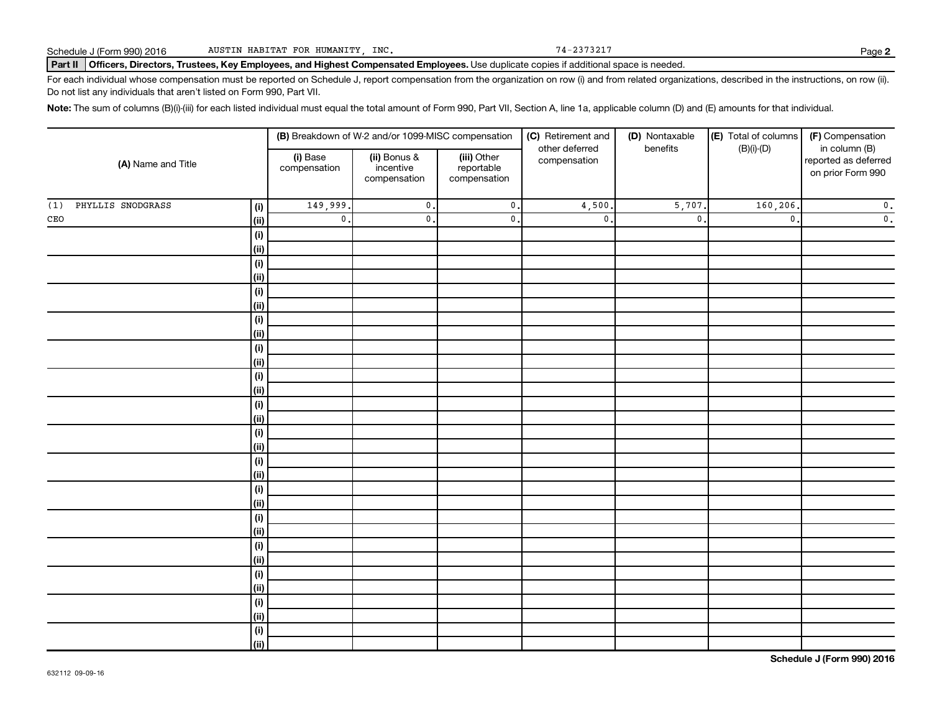#### Part II | Officers, Directors, Trustees, Key Employees, and Highest Compensated Employees. Use duplicate copies if additional space is needed.

For each individual whose compensation must be reported on Schedule J, report compensation from the organization on row (i) and from related organizations, described in the instructions, on row (ii). Do not list any individuals that aren't listed on Form 990, Part VII.

Note: The sum of columns (B)(i)-(iii) for each listed individual must equal the total amount of Form 990, Part VII, Section A, line 1a, applicable column (D) and (E) amounts for that individual.

|                                 |                          | (B) Breakdown of W-2 and/or 1099-MISC compensation |                                           | (C) Retirement and<br>other deferred | (D) Nontaxable<br>benefits | (E) Total of columns<br>$(B)(i)-(D)$ | (F) Compensation<br>in column (B)         |  |
|---------------------------------|--------------------------|----------------------------------------------------|-------------------------------------------|--------------------------------------|----------------------------|--------------------------------------|-------------------------------------------|--|
| (A) Name and Title              | (i) Base<br>compensation | (ii) Bonus &<br>incentive<br>compensation          | (iii) Other<br>reportable<br>compensation | compensation                         |                            |                                      | reported as deferred<br>on prior Form 990 |  |
| PHYLLIS SNODGRASS<br>(1)<br>(i) | 149,999.                 | $\mathfrak o$ .                                    | $\mathbf 0$ .                             | 4,500                                | $\overline{5,707}$         | 160,206,                             | $\mathfrak o$ .                           |  |
| (ii)<br>$\mathtt{CEO}$          | $\mathbf 0$ .            | $\mathfrak o$ .                                    | $\overline{\mathbf{0}}$ .                 | $\mathbf{0}$                         | $\pmb{0}$                  | $\mathsf{o}$ .                       | $\overline{\mathbf{0}}$ .                 |  |
| $(\sf{i})$                      |                          |                                                    |                                           |                                      |                            |                                      |                                           |  |
| (ii)                            |                          |                                                    |                                           |                                      |                            |                                      |                                           |  |
| $(\sf{i})$                      |                          |                                                    |                                           |                                      |                            |                                      |                                           |  |
| (ii)                            |                          |                                                    |                                           |                                      |                            |                                      |                                           |  |
| $(\sf{i})$                      |                          |                                                    |                                           |                                      |                            |                                      |                                           |  |
| (ii)                            |                          |                                                    |                                           |                                      |                            |                                      |                                           |  |
| $(\sf{i})$                      |                          |                                                    |                                           |                                      |                            |                                      |                                           |  |
| (ii)                            |                          |                                                    |                                           |                                      |                            |                                      |                                           |  |
| $(\sf{i})$                      |                          |                                                    |                                           |                                      |                            |                                      |                                           |  |
| (ii)                            |                          |                                                    |                                           |                                      |                            |                                      |                                           |  |
| $(\sf{i})$                      |                          |                                                    |                                           |                                      |                            |                                      |                                           |  |
| (ii)                            |                          |                                                    |                                           |                                      |                            |                                      |                                           |  |
| $(\sf{i})$                      |                          |                                                    |                                           |                                      |                            |                                      |                                           |  |
| (ii)                            |                          |                                                    |                                           |                                      |                            |                                      |                                           |  |
| $(\sf{i})$<br>(ii)              |                          |                                                    |                                           |                                      |                            |                                      |                                           |  |
| $(\sf{i})$                      |                          |                                                    |                                           |                                      |                            |                                      |                                           |  |
| (ii)                            |                          |                                                    |                                           |                                      |                            |                                      |                                           |  |
| $(\sf{i})$                      |                          |                                                    |                                           |                                      |                            |                                      |                                           |  |
| (ii)                            |                          |                                                    |                                           |                                      |                            |                                      |                                           |  |
| $(\sf{i})$                      |                          |                                                    |                                           |                                      |                            |                                      |                                           |  |
| (ii)                            |                          |                                                    |                                           |                                      |                            |                                      |                                           |  |
| $(\sf{i})$                      |                          |                                                    |                                           |                                      |                            |                                      |                                           |  |
| (ii)                            |                          |                                                    |                                           |                                      |                            |                                      |                                           |  |
| $(\sf{i})$                      |                          |                                                    |                                           |                                      |                            |                                      |                                           |  |
| (ii)                            |                          |                                                    |                                           |                                      |                            |                                      |                                           |  |
| $(\sf{i})$                      |                          |                                                    |                                           |                                      |                            |                                      |                                           |  |
| (ii)                            |                          |                                                    |                                           |                                      |                            |                                      |                                           |  |
| $(\sf{i})$                      |                          |                                                    |                                           |                                      |                            |                                      |                                           |  |
| (ii)                            |                          |                                                    |                                           |                                      |                            |                                      |                                           |  |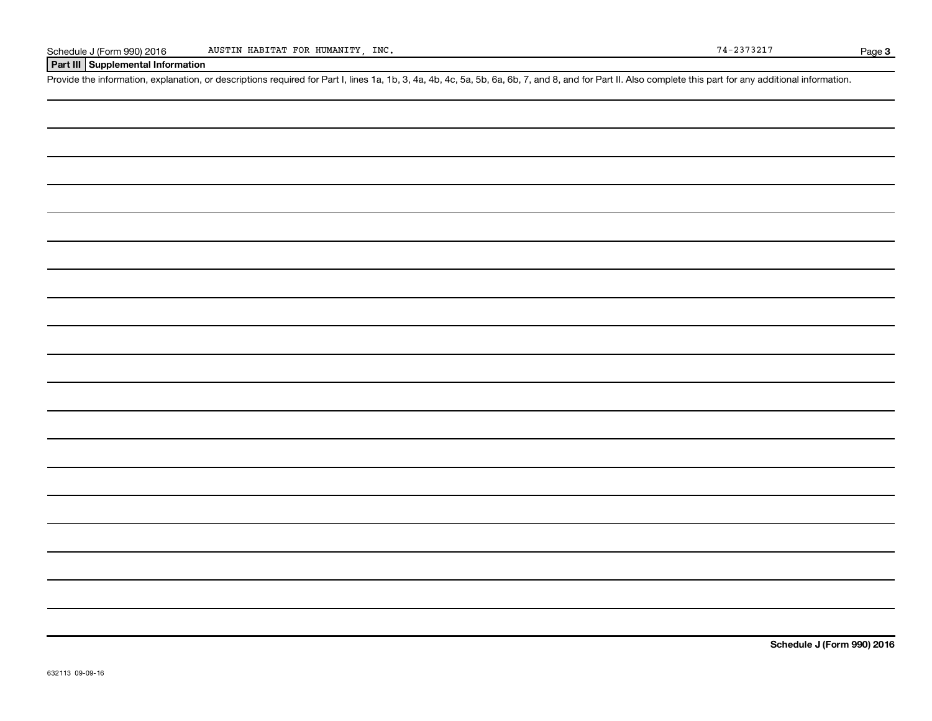#### **Part III Supplemental Information**

Provide the information, explanation, or descriptions required for Part I, lines 1a, 1b, 3, 4a, 4b, 4c, 5a, 5b, 6a, 6b, 7, and 8, and for Part II. Also complete this part for any additional information.

**Schedule J (Form 990) 2016**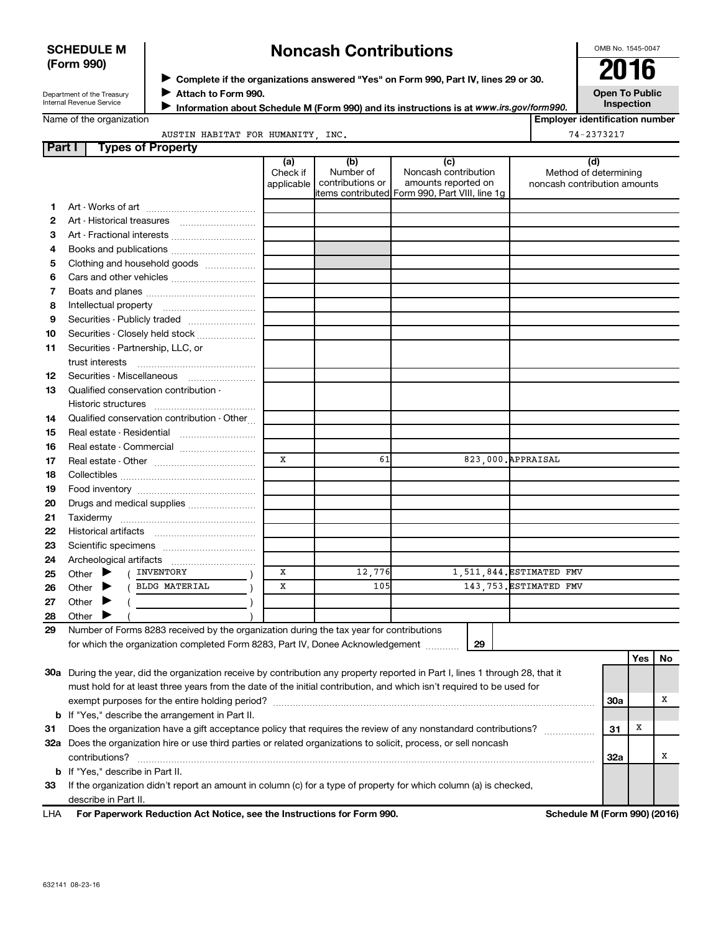#### **SCHEDULE M (Form 990)**

## **Noncash Contributions**

OMB No. 1545-0047

| Department of the Treasury |
|----------------------------|
| Internal Revenue Service   |

◆ Complete if the organizations answered "Yes" on Form 990, Part IV, lines 29 or 30.<br>● Complete if the organizations answered "Yes" on Form 990, Part IV, lines 29 or 30. **Attach to Form 990.** J

**Open To Public Inspection**

Name of the organization

**Information about Schedule M (Form 990) and its instructions is at www.irs.gov/form990. Employer identification number**

AUSTIN HABITAT FOR HUMANITY, INC. 74-2373217

| <b>Part I</b> | <b>Types of Property</b>                                                                                                            |                               |                                      |                                                                                                      |                                                              |            |    |  |
|---------------|-------------------------------------------------------------------------------------------------------------------------------------|-------------------------------|--------------------------------------|------------------------------------------------------------------------------------------------------|--------------------------------------------------------------|------------|----|--|
|               |                                                                                                                                     | (a)<br>Check if<br>applicable | (b)<br>Number of<br>contributions or | (c)<br>Noncash contribution<br>amounts reported on<br>items contributed Form 990, Part VIII, line 1g | (d)<br>Method of determining<br>noncash contribution amounts |            |    |  |
| 1             |                                                                                                                                     |                               |                                      |                                                                                                      |                                                              |            |    |  |
| 2             |                                                                                                                                     |                               |                                      |                                                                                                      |                                                              |            |    |  |
| З             |                                                                                                                                     |                               |                                      |                                                                                                      |                                                              |            |    |  |
| 4             |                                                                                                                                     |                               |                                      |                                                                                                      |                                                              |            |    |  |
| 5             | Clothing and household goods                                                                                                        |                               |                                      |                                                                                                      |                                                              |            |    |  |
| 6             |                                                                                                                                     |                               |                                      |                                                                                                      |                                                              |            |    |  |
| 7             |                                                                                                                                     |                               |                                      |                                                                                                      |                                                              |            |    |  |
| 8             |                                                                                                                                     |                               |                                      |                                                                                                      |                                                              |            |    |  |
| 9             | Securities - Publicly traded                                                                                                        |                               |                                      |                                                                                                      |                                                              |            |    |  |
| 10            | Securities - Closely held stock                                                                                                     |                               |                                      |                                                                                                      |                                                              |            |    |  |
| 11            | Securities - Partnership, LLC, or<br>trust interests                                                                                |                               |                                      |                                                                                                      |                                                              |            |    |  |
| 12            | Securities - Miscellaneous                                                                                                          |                               |                                      |                                                                                                      |                                                              |            |    |  |
| 13            | Qualified conservation contribution -                                                                                               |                               |                                      |                                                                                                      |                                                              |            |    |  |
|               |                                                                                                                                     |                               |                                      |                                                                                                      |                                                              |            |    |  |
| 14            | Qualified conservation contribution - Other                                                                                         |                               |                                      |                                                                                                      |                                                              |            |    |  |
| 15            | Real estate - Residential                                                                                                           |                               |                                      |                                                                                                      |                                                              |            |    |  |
| 16            | Real estate - Commercial                                                                                                            |                               |                                      |                                                                                                      |                                                              |            |    |  |
| 17            |                                                                                                                                     |                               | 61                                   |                                                                                                      | 823,000. APPRAISAL                                           |            |    |  |
| 18            |                                                                                                                                     |                               |                                      |                                                                                                      |                                                              |            |    |  |
| 19            |                                                                                                                                     |                               |                                      |                                                                                                      |                                                              |            |    |  |
| 20            | Drugs and medical supplies                                                                                                          |                               |                                      |                                                                                                      |                                                              |            |    |  |
| 21            |                                                                                                                                     |                               |                                      |                                                                                                      |                                                              |            |    |  |
| 22            |                                                                                                                                     |                               |                                      |                                                                                                      |                                                              |            |    |  |
| 23            |                                                                                                                                     |                               |                                      |                                                                                                      |                                                              |            |    |  |
| 24            |                                                                                                                                     |                               |                                      |                                                                                                      |                                                              |            |    |  |
| 25            | ( INVENTORY<br>Other $\blacktriangleright$                                                                                          | X                             | 12,776                               |                                                                                                      | 1,511,844. ESTIMATED FMV                                     |            |    |  |
| 26            | ( BLDG MATERIAL<br>Other $\blacktriangleright$                                                                                      | X                             | 105                                  |                                                                                                      | 143,753. ESTIMATED FMV                                       |            |    |  |
| 27            | Other $\blacktriangleright$                                                                                                         |                               |                                      |                                                                                                      |                                                              |            |    |  |
| 28            | Other $\blacktriangleright$                                                                                                         |                               |                                      |                                                                                                      |                                                              |            |    |  |
| 29            | Number of Forms 8283 received by the organization during the tax year for contributions                                             |                               |                                      |                                                                                                      |                                                              |            |    |  |
|               | for which the organization completed Form 8283, Part IV, Donee Acknowledgement                                                      |                               |                                      | 29                                                                                                   |                                                              |            |    |  |
|               |                                                                                                                                     |                               |                                      |                                                                                                      |                                                              | Yes        | No |  |
|               | 30a During the year, did the organization receive by contribution any property reported in Part I, lines 1 through 28, that it      |                               |                                      |                                                                                                      |                                                              |            |    |  |
|               | must hold for at least three years from the date of the initial contribution, and which isn't required to be used for               |                               |                                      |                                                                                                      |                                                              |            |    |  |
|               |                                                                                                                                     |                               |                                      |                                                                                                      |                                                              | <b>30a</b> | х  |  |
|               | <b>b</b> If "Yes," describe the arrangement in Part II.                                                                             |                               |                                      |                                                                                                      |                                                              | х          |    |  |
| 31            | Does the organization have a gift acceptance policy that requires the review of any nonstandard contributions?                      |                               |                                      |                                                                                                      |                                                              | 31         |    |  |
|               | 32a Does the organization hire or use third parties or related organizations to solicit, process, or sell noncash<br>contributions? |                               |                                      |                                                                                                      |                                                              | 32a        | х  |  |
|               | <b>b</b> If "Yes," describe in Part II.                                                                                             |                               |                                      |                                                                                                      |                                                              |            |    |  |
| 33            | If the organization didn't report an amount in column (c) for a type of property for which column (a) is checked,                   |                               |                                      |                                                                                                      |                                                              |            |    |  |
|               | describe in Part II.                                                                                                                |                               |                                      |                                                                                                      |                                                              |            |    |  |
|               |                                                                                                                                     |                               |                                      |                                                                                                      |                                                              |            |    |  |

**For Paperwork Reduction Act Notice, see the Instructions for Form 990. Schedule M (Form 990) (2016)** LHA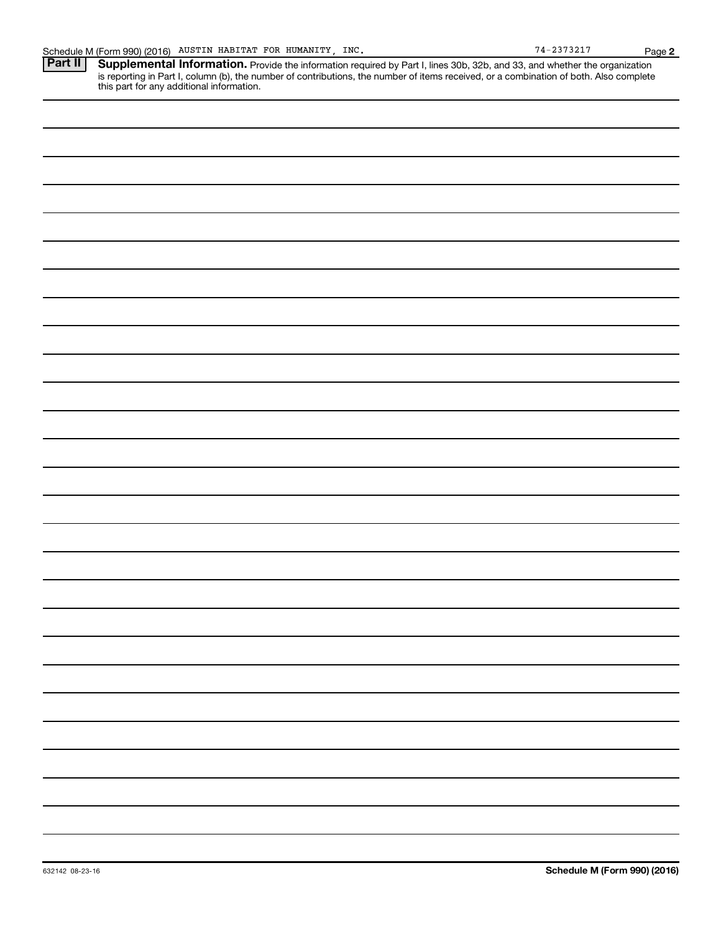Provide the information required by Part I, lines 30b, 32b, and 33, and whether the organization is reporting in Part I, column (b), the number of contributions, the number of items received, or a combination of both. Also complete this part for any additional information. **Part II Supplemental Information.**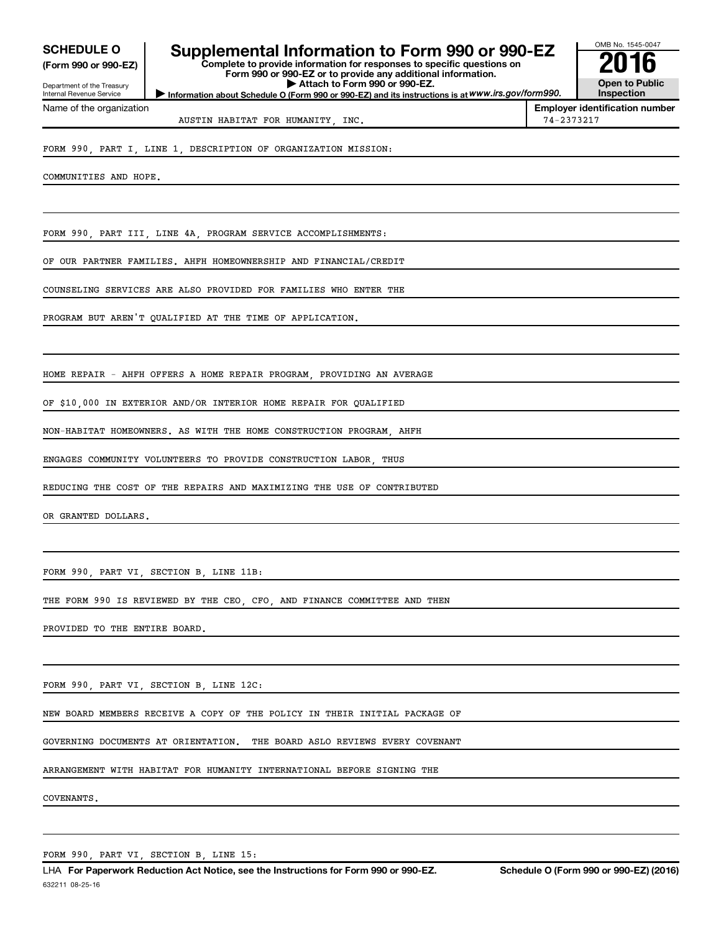**(Form 990 or 990-EZ)**

Department of the Treasury Internal Revenue Service Name of the organization

## SCHEDULE O **Supplemental Information to Form 990 or 990-EZ** 2016<br>(Form 990 or 990-EZ)

**Complete to provide information for responses to specific questions on Form 990 or 990-EZ or to provide any additional information. | Attach to Form 990 or 990-EZ.**



**Information about Schedule O (Form 990 or 990-EZ) and its instructions is at WWW.irs.gov/form990.** 

**Employer identification number** AUSTIN HABITAT FOR HUMANITY, INC. 74-2373217

FORM 990, PART I, LINE 1, DESCRIPTION OF ORGANIZATION MISSION:

COMMUNITIES AND HOPE.

FORM 990, PART III, LINE 4A, PROGRAM SERVICE ACCOMPLISHMENTS:

OF OUR PARTNER FAMILIES. AHFH HOMEOWNERSHIP AND FINANCIAL/CREDIT

COUNSELING SERVICES ARE ALSO PROVIDED FOR FAMILIES WHO ENTER THE

PROGRAM BUT AREN'T QUALIFIED AT THE TIME OF APPLICATION.

HOME REPAIR - AHFH OFFERS A HOME REPAIR PROGRAM, PROVIDING AN AVERAGE

OF \$10,000 IN EXTERIOR AND/OR INTERIOR HOME REPAIR FOR QUALIFIED

NON-HABITAT HOMEOWNERS. AS WITH THE HOME CONSTRUCTION PROGRAM, AHFH

ENGAGES COMMUNITY VOLUNTEERS TO PROVIDE CONSTRUCTION LABOR, THUS

REDUCING THE COST OF THE REPAIRS AND MAXIMIZING THE USE OF CONTRIBUTED

OR GRANTED DOLLARS.

FORM 990, PART VI, SECTION B, LINE 11B:

THE FORM 990 IS REVIEWED BY THE CEO, CFO, AND FINANCE COMMITTEE AND THEN

PROVIDED TO THE ENTIRE BOARD.

FORM 990, PART VI, SECTION B, LINE 12C:

NEW BOARD MEMBERS RECEIVE A COPY OF THE POLICY IN THEIR INITIAL PACKAGE OF

GOVERNING DOCUMENTS AT ORIENTATION. THE BOARD ASLO REVIEWS EVERY COVENANT

ARRANGEMENT WITH HABITAT FOR HUMANITY INTERNATIONAL BEFORE SIGNING THE

COVENANTS.

FORM 990, PART VI, SECTION B, LINE 15: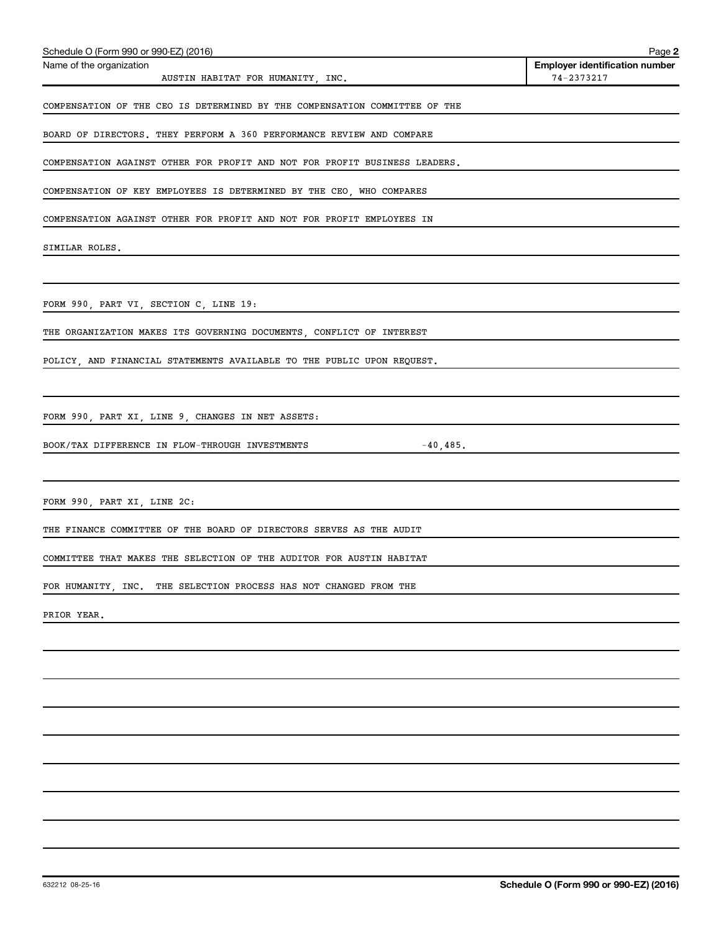| Schedule O (Form 990 or 990-EZ) (2016)                                                                                                                          | Page 2                                              |
|-----------------------------------------------------------------------------------------------------------------------------------------------------------------|-----------------------------------------------------|
| Name of the organization                                                                                                                                        | <b>Employer identification number</b><br>74-2373217 |
| AUSTIN HABITAT FOR HUMANITY, INC.                                                                                                                               |                                                     |
| COMPENSATION OF THE CEO IS DETERMINED BY THE COMPENSATION COMMITTEE OF THE                                                                                      |                                                     |
| BOARD OF DIRECTORS. THEY PERFORM A 360 PERFORMANCE REVIEW AND COMPARE                                                                                           |                                                     |
| COMPENSATION AGAINST OTHER FOR PROFIT AND NOT FOR PROFIT BUSINESS LEADERS.                                                                                      |                                                     |
| COMPENSATION OF KEY EMPLOYEES IS DETERMINED BY THE CEO, WHO COMPARES                                                                                            |                                                     |
| COMPENSATION AGAINST OTHER FOR PROFIT AND NOT FOR PROFIT EMPLOYEES IN                                                                                           |                                                     |
| SIMILAR ROLES.                                                                                                                                                  |                                                     |
|                                                                                                                                                                 |                                                     |
| FORM 990, PART VI, SECTION C, LINE 19:<br><u> 1980 - Andrea Station Barbara, actor a component de la componentación de la componentación de la componentaci</u> |                                                     |
| THE ORGANIZATION MAKES ITS GOVERNING DOCUMENTS, CONFLICT OF INTEREST                                                                                            |                                                     |
| POLICY, AND FINANCIAL STATEMENTS AVAILABLE TO THE PUBLIC UPON REQUEST.                                                                                          |                                                     |
|                                                                                                                                                                 |                                                     |
| FORM 990, PART XI, LINE 9, CHANGES IN NET ASSETS:                                                                                                               |                                                     |
| BOOK/TAX DIFFERENCE IN FLOW-THROUGH INVESTMENTS                                                                                                                 | $-40,485.$                                          |
|                                                                                                                                                                 |                                                     |
| FORM 990, PART XI, LINE 2C:                                                                                                                                     |                                                     |
| THE FINANCE COMMITTEE OF THE BOARD OF DIRECTORS SERVES AS THE AUDIT                                                                                             |                                                     |
| COMMITTEE THAT MAKES THE SELECTION OF THE AUDITOR FOR AUSTIN HABITAT                                                                                            |                                                     |
| FOR HUMANITY, INC.<br>THE SELECTION PROCESS HAS NOT CHANGED FROM THE                                                                                            |                                                     |
| PRIOR YEAR.                                                                                                                                                     |                                                     |
|                                                                                                                                                                 |                                                     |
|                                                                                                                                                                 |                                                     |
|                                                                                                                                                                 |                                                     |
|                                                                                                                                                                 |                                                     |
|                                                                                                                                                                 |                                                     |
|                                                                                                                                                                 |                                                     |
|                                                                                                                                                                 |                                                     |
|                                                                                                                                                                 |                                                     |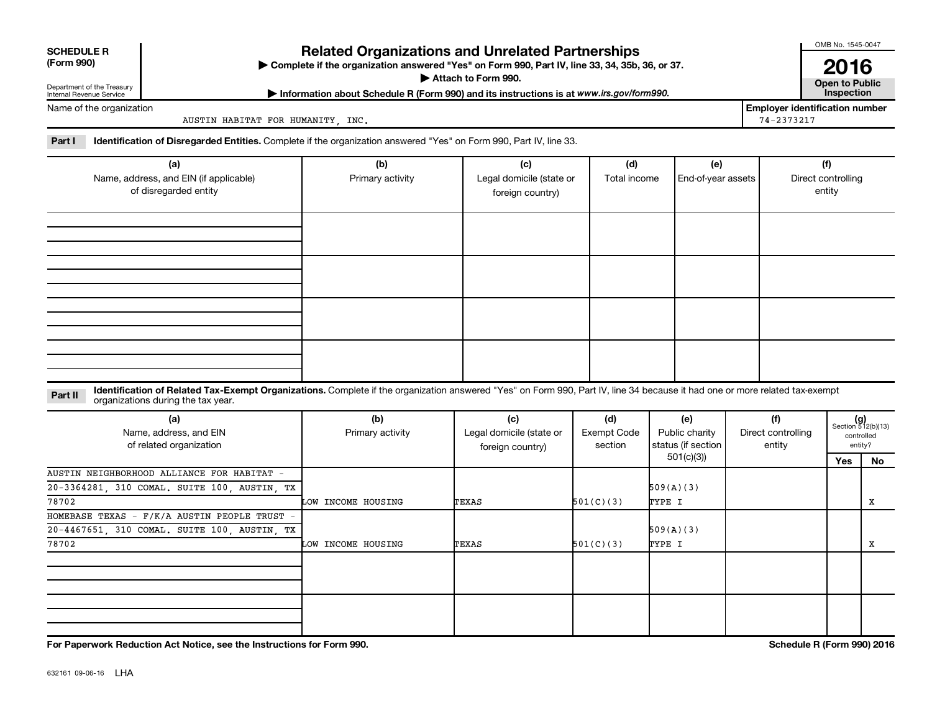| <b>SCHEDULE R</b>                                                      |                                                                                                                                                                                                                   | <b>Related Organizations and Unrelated Partnerships</b>                                          |                                                     |                                                     |                                                          |                                     | OMB No. 1545-0047                   |                                                      |
|------------------------------------------------------------------------|-------------------------------------------------------------------------------------------------------------------------------------------------------------------------------------------------------------------|--------------------------------------------------------------------------------------------------|-----------------------------------------------------|-----------------------------------------------------|----------------------------------------------------------|-------------------------------------|-------------------------------------|------------------------------------------------------|
| (Form 990)                                                             |                                                                                                                                                                                                                   | > Complete if the organization answered "Yes" on Form 990, Part IV, line 33, 34, 35b, 36, or 37. | Attach to Form 990.                                 |                                                     |                                                          |                                     | 2016<br><b>Open to Public</b>       |                                                      |
| Department of the Treasury<br>Internal Revenue Service                 |                                                                                                                                                                                                                   | Information about Schedule R (Form 990) and its instructions is at www.irs.gov/form990.          |                                                     |                                                     |                                                          |                                     | Inspection                          |                                                      |
| Name of the organization                                               | AUSTIN HABITAT FOR HUMANITY, INC.                                                                                                                                                                                 |                                                                                                  |                                                     | <b>Employer identification number</b><br>74-2373217 |                                                          |                                     |                                     |                                                      |
| Part I                                                                 | Identification of Disregarded Entities. Complete if the organization answered "Yes" on Form 990, Part IV, line 33.                                                                                                |                                                                                                  |                                                     |                                                     |                                                          |                                     |                                     |                                                      |
| (a)<br>Name, address, and EIN (if applicable)<br>of disregarded entity |                                                                                                                                                                                                                   | (b)<br>Primary activity                                                                          | (c)<br>Legal domicile (state or<br>foreign country) | (d)<br>Total income                                 | (e)<br>End-of-year assets                                |                                     | (f)<br>Direct controlling<br>entity |                                                      |
|                                                                        |                                                                                                                                                                                                                   |                                                                                                  |                                                     |                                                     |                                                          |                                     |                                     |                                                      |
|                                                                        |                                                                                                                                                                                                                   |                                                                                                  |                                                     |                                                     |                                                          |                                     |                                     |                                                      |
|                                                                        |                                                                                                                                                                                                                   |                                                                                                  |                                                     |                                                     |                                                          |                                     |                                     |                                                      |
|                                                                        |                                                                                                                                                                                                                   |                                                                                                  |                                                     |                                                     |                                                          |                                     |                                     |                                                      |
| Part II                                                                | Identification of Related Tax-Exempt Organizations. Complete if the organization answered "Yes" on Form 990, Part IV, line 34 because it had one or more related tax-exempt<br>organizations during the tax year. |                                                                                                  |                                                     |                                                     |                                                          |                                     |                                     |                                                      |
|                                                                        | (a)<br>Name, address, and EIN<br>of related organization                                                                                                                                                          | (b)<br>Primary activity                                                                          | (c)<br>Legal domicile (state or<br>foreign country) | (d)<br><b>Exempt Code</b><br>section                | (e)<br>Public charity<br>status (if section<br>501(c)(3) | (f)<br>Direct controlling<br>entity |                                     | $(g)$<br>Section 512(b)(13)<br>controlled<br>entity? |
|                                                                        | AUSTIN NEIGHBORHOOD ALLIANCE FOR HABITAT -                                                                                                                                                                        |                                                                                                  |                                                     |                                                     |                                                          |                                     | Yes                                 | No                                                   |
|                                                                        | 20-3364281, 310 COMAL. SUITE 100, AUSTIN, TX                                                                                                                                                                      |                                                                                                  |                                                     |                                                     | 509(A)(3)                                                |                                     |                                     |                                                      |
| 78702                                                                  |                                                                                                                                                                                                                   | LOW INCOME HOUSING                                                                               | TEXAS                                               | 501(C)(3)                                           | TYPE I                                                   |                                     |                                     | х                                                    |
|                                                                        | HOMEBASE TEXAS - F/K/A AUSTIN PEOPLE TRUST -                                                                                                                                                                      |                                                                                                  |                                                     |                                                     |                                                          |                                     |                                     |                                                      |

LOW INCOME HOUSING TEXAS 501(C)(3) TYPE I THE I X

 $\begin{array}{|l|l|}\n\hline\n20-4467651, 310 COMAL. SUITE 100, AUSTIN, TX\n\hline\n78702\n\end{array}$   $\begin{array}{|l|l|}\n\hline\n\end{array}$   $\begin{array}{|l|l|}\n\hline\n\end{array}$  509(A)(3)

**For Paperwork Reduction Act Notice, see the Instructions for Form 990. Schedule R (Form 990) 2016**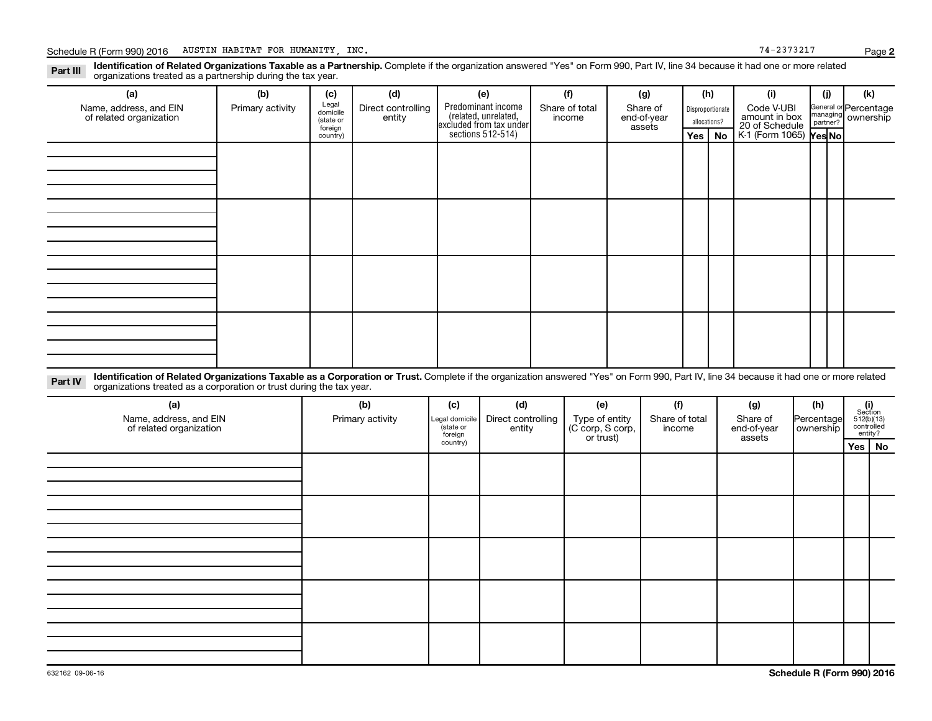Part III Identification of Related Organizations Taxable as a Partnership. Complete if the organization answered "Yes" on Form 990, Part IV, line 34 because it had one or more related<br>Read to the organizations tracted as a organizations treated as a partnership during the tax year.

| (a)                                                                                                                                                                                       | (b)              | (c)                                       | (d)                          | (e)                                                                                        | (f)                      | (g)                               |         | (h)                              | (i)                                           | (j) | (k)                                         |
|-------------------------------------------------------------------------------------------------------------------------------------------------------------------------------------------|------------------|-------------------------------------------|------------------------------|--------------------------------------------------------------------------------------------|--------------------------|-----------------------------------|---------|----------------------------------|-----------------------------------------------|-----|---------------------------------------------|
| Name, address, and EIN<br>of related organization                                                                                                                                         | Primary activity | Legal<br>domicile<br>(state or<br>foreign | Direct controlling<br>entity | Predominant income<br>(related, unrelated,<br>excluded from tax under<br>sections 512-514) | Share of total<br>income | Share of<br>end-of-year<br>assets |         | Disproportionate<br>allocations? | Code V-UBI<br>amount in box<br>20 of Schedule |     | General or Percentage<br>managing ownership |
|                                                                                                                                                                                           |                  | country)                                  |                              |                                                                                            |                          |                                   | Yes $ $ | No                               | K-1 (Form 1065) Yes No                        |     |                                             |
|                                                                                                                                                                                           |                  |                                           |                              |                                                                                            |                          |                                   |         |                                  |                                               |     |                                             |
|                                                                                                                                                                                           |                  |                                           |                              |                                                                                            |                          |                                   |         |                                  |                                               |     |                                             |
|                                                                                                                                                                                           |                  |                                           |                              |                                                                                            |                          |                                   |         |                                  |                                               |     |                                             |
|                                                                                                                                                                                           |                  |                                           |                              |                                                                                            |                          |                                   |         |                                  |                                               |     |                                             |
|                                                                                                                                                                                           |                  |                                           |                              |                                                                                            |                          |                                   |         |                                  |                                               |     |                                             |
|                                                                                                                                                                                           |                  |                                           |                              |                                                                                            |                          |                                   |         |                                  |                                               |     |                                             |
|                                                                                                                                                                                           |                  |                                           |                              |                                                                                            |                          |                                   |         |                                  |                                               |     |                                             |
|                                                                                                                                                                                           |                  |                                           |                              |                                                                                            |                          |                                   |         |                                  |                                               |     |                                             |
|                                                                                                                                                                                           |                  |                                           |                              |                                                                                            |                          |                                   |         |                                  |                                               |     |                                             |
|                                                                                                                                                                                           |                  |                                           |                              |                                                                                            |                          |                                   |         |                                  |                                               |     |                                             |
|                                                                                                                                                                                           |                  |                                           |                              |                                                                                            |                          |                                   |         |                                  |                                               |     |                                             |
|                                                                                                                                                                                           |                  |                                           |                              |                                                                                            |                          |                                   |         |                                  |                                               |     |                                             |
|                                                                                                                                                                                           |                  |                                           |                              |                                                                                            |                          |                                   |         |                                  |                                               |     |                                             |
|                                                                                                                                                                                           |                  |                                           |                              |                                                                                            |                          |                                   |         |                                  |                                               |     |                                             |
|                                                                                                                                                                                           |                  |                                           |                              |                                                                                            |                          |                                   |         |                                  |                                               |     |                                             |
|                                                                                                                                                                                           |                  |                                           |                              |                                                                                            |                          |                                   |         |                                  |                                               |     |                                             |
| o the TY service of Related Organizations Taxable as a Corporation or Trust. Complete if the organization answered "Yes" on Form 990. Part IV. line 34 because it had one or more related |                  |                                           |                              |                                                                                            |                          |                                   |         |                                  |                                               |     |                                             |

**Part IV** Identification of Related Organizations Taxable as a Corporation or Trust.<br>
organizations treated as a corporation or trust during the tax year. Complete if the organization answered "Yes" on Form 990, Part IV, line 34 because it had one or more related

| (a)<br>Name, address, and EIN<br>of related organization | (b)<br>Primary activity | (d)<br>(f)<br>(c)<br>(e)<br>(g)<br>Share of total<br>Direct controlling<br>Type of entity<br>(C corp, S corp,<br>or trust)<br>Share of<br>Legal domicile<br>state or<br>entity<br>end-of-year<br>income<br>foreign<br>assets |  | (h)<br>Percentage<br>  ownership | $\begin{array}{c} \textbf{(i)}\\ \text{Section}\\ 512 \textcolor{red}{(b)} \textcolor{red}{(13)}\\ \text{controlled} \\ \text{entity?} \end{array}$ |  |          |
|----------------------------------------------------------|-------------------------|------------------------------------------------------------------------------------------------------------------------------------------------------------------------------------------------------------------------------|--|----------------------------------|-----------------------------------------------------------------------------------------------------------------------------------------------------|--|----------|
|                                                          |                         | country)                                                                                                                                                                                                                     |  |                                  |                                                                                                                                                     |  | Yes   No |
|                                                          |                         |                                                                                                                                                                                                                              |  |                                  |                                                                                                                                                     |  |          |
|                                                          |                         |                                                                                                                                                                                                                              |  |                                  |                                                                                                                                                     |  |          |
|                                                          |                         |                                                                                                                                                                                                                              |  |                                  |                                                                                                                                                     |  |          |
|                                                          |                         |                                                                                                                                                                                                                              |  |                                  |                                                                                                                                                     |  |          |
|                                                          |                         |                                                                                                                                                                                                                              |  |                                  |                                                                                                                                                     |  |          |
|                                                          |                         |                                                                                                                                                                                                                              |  |                                  |                                                                                                                                                     |  |          |
|                                                          |                         |                                                                                                                                                                                                                              |  |                                  |                                                                                                                                                     |  |          |
|                                                          |                         |                                                                                                                                                                                                                              |  |                                  |                                                                                                                                                     |  |          |
|                                                          |                         |                                                                                                                                                                                                                              |  |                                  |                                                                                                                                                     |  |          |
|                                                          |                         |                                                                                                                                                                                                                              |  |                                  |                                                                                                                                                     |  |          |
|                                                          |                         |                                                                                                                                                                                                                              |  |                                  |                                                                                                                                                     |  |          |
|                                                          |                         |                                                                                                                                                                                                                              |  |                                  |                                                                                                                                                     |  |          |
|                                                          |                         |                                                                                                                                                                                                                              |  |                                  |                                                                                                                                                     |  |          |
|                                                          |                         |                                                                                                                                                                                                                              |  |                                  |                                                                                                                                                     |  |          |
|                                                          |                         |                                                                                                                                                                                                                              |  |                                  |                                                                                                                                                     |  |          |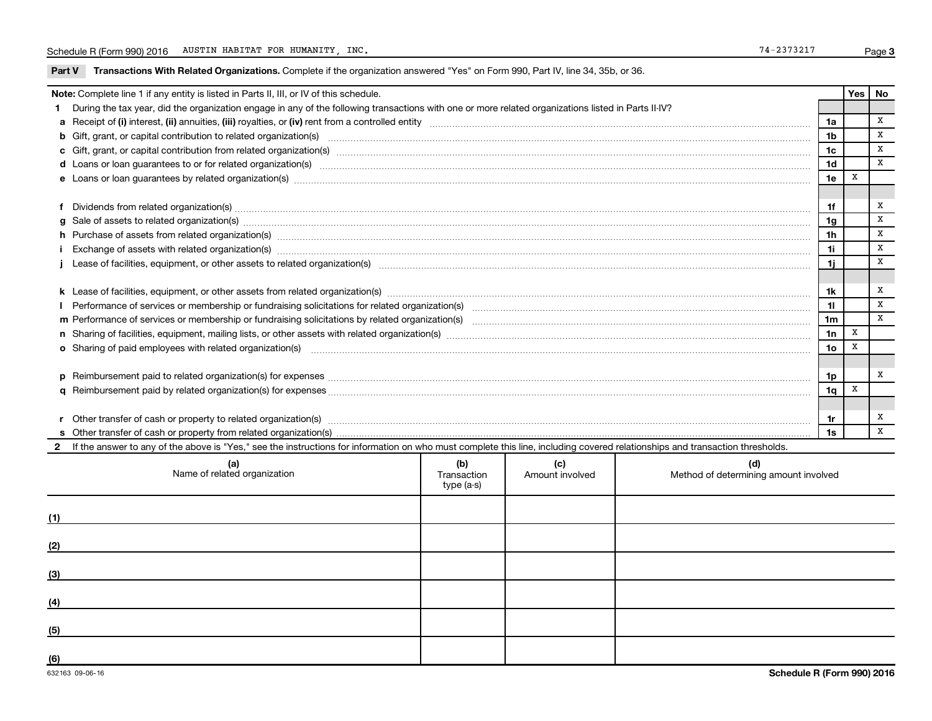Part V Transactions With Related Organizations. Complete if the organization answered "Yes" on Form 990, Part IV, line 34, 35b, or 36.

|  | Note: Complete line 1 if any entity is listed in Parts II, III, or IV of this schedule.                                                                                                                                        |  |  |  |                | Yes | No           |  |
|--|--------------------------------------------------------------------------------------------------------------------------------------------------------------------------------------------------------------------------------|--|--|--|----------------|-----|--------------|--|
|  | During the tax year, did the organization engage in any of the following transactions with one or more related organizations listed in Parts II-IV?                                                                            |  |  |  |                |     |              |  |
|  |                                                                                                                                                                                                                                |  |  |  | 1a             |     | x            |  |
|  | b Gift, grant, or capital contribution to related organization(s) manufaction contracts and contribution to related organization(s) manufaction contribution to related organization(s) manufactured contracts and contributio |  |  |  | 1 <sub>b</sub> |     | $\mathbf{x}$ |  |
|  |                                                                                                                                                                                                                                |  |  |  | 1c             |     | X            |  |
|  |                                                                                                                                                                                                                                |  |  |  | 1 <sub>d</sub> |     | X            |  |
|  | e Loans or loan guarantees by related organization(s) manufaction content to content the manufacture content of the manufacture content of the manufacture content of the manufacture content of the local manufacture content |  |  |  | 1e             | x   |              |  |
|  |                                                                                                                                                                                                                                |  |  |  |                |     |              |  |
|  |                                                                                                                                                                                                                                |  |  |  |                |     |              |  |
|  | g Sale of assets to related organization(s) manufactured assembly contained as a set of assets to related organization(s) manufactured assets to related organization(s)                                                       |  |  |  | 1g             |     | X            |  |
|  | h Purchase of assets from related organization(s) manufactured and content to content the content of assets from related organization(s) manufactured and content of the content of the content of the content of the content  |  |  |  | 1 <sub>h</sub> |     | X            |  |
|  |                                                                                                                                                                                                                                |  |  |  | 1i             |     | $\mathbf{x}$ |  |
|  |                                                                                                                                                                                                                                |  |  |  |                |     |              |  |
|  |                                                                                                                                                                                                                                |  |  |  |                |     |              |  |
|  |                                                                                                                                                                                                                                |  |  |  |                |     |              |  |
|  |                                                                                                                                                                                                                                |  |  |  |                |     |              |  |
|  |                                                                                                                                                                                                                                |  |  |  | 1 <sub>m</sub> |     | $\mathbf{x}$ |  |
|  |                                                                                                                                                                                                                                |  |  |  | 1n             | X   |              |  |
|  | o Sharing of paid employees with related organization(s) manufactured content to the content of the content of the content of the content of the content of the content of the content of the content of the content of the co |  |  |  | 1 <sub>o</sub> | X   |              |  |
|  |                                                                                                                                                                                                                                |  |  |  |                |     |              |  |
|  |                                                                                                                                                                                                                                |  |  |  | 1p             |     | x            |  |
|  |                                                                                                                                                                                                                                |  |  |  | 1q             | X   |              |  |
|  |                                                                                                                                                                                                                                |  |  |  |                |     |              |  |
|  |                                                                                                                                                                                                                                |  |  |  | 1r             |     | X            |  |
|  |                                                                                                                                                                                                                                |  |  |  | 1s             |     | $\mathbf{x}$ |  |
|  | If the answer to any of the above is "Yes," see the instructions for information on who must complete this line, including covered relationships and transaction thresholds.                                                   |  |  |  |                |     |              |  |
|  | (b)<br>(c)<br>(d)<br>(a)<br>Name of related organization<br>Transaction<br>Amount involved<br>Method of determining amount involved<br>type (a-s)                                                                              |  |  |  |                |     |              |  |
|  |                                                                                                                                                                                                                                |  |  |  |                |     |              |  |

| (1) |  |  |
|-----|--|--|
| (2) |  |  |
| (3) |  |  |
| (4) |  |  |
| (5) |  |  |
| (6) |  |  |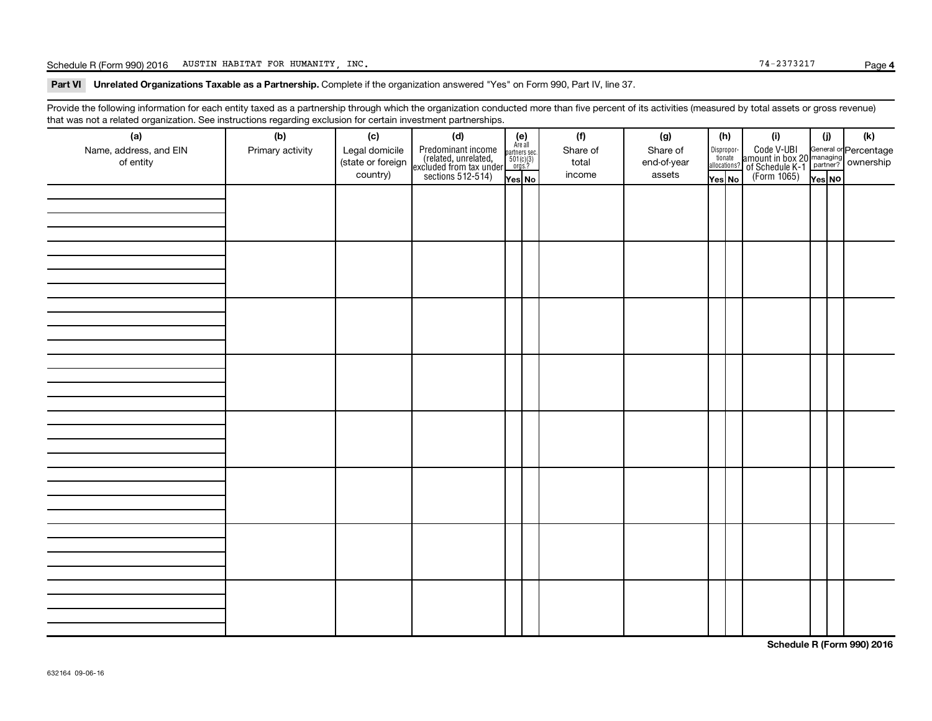Schedule R (Form 990) 2016 AUSTIN HABITAT FOR HUMANITY, INC.

Part VI Unrelated Organizations Taxable as a Partnership. Complete if the organization answered "Yes" on Form 990, Part IV, line 37.

Provide the following information for each entity taxed as a partnership through which the organization conducted more than five percent of its activities (measured by total assets or gross revenue) that was not a related organization. See instructions regarding exclusion for certain investment partnerships.

| hat neo hot a rolatod organization. Ooo inotraotiono rogaranty oxolaolon for oortain invootmont partnolompo.<br>(a) | (b)              | (c)               | (d)                                                                                        |                                                          | (f)      | (g)         | (h)    |                                                                  | (i)                                                                                                | (j)    | (k) |
|---------------------------------------------------------------------------------------------------------------------|------------------|-------------------|--------------------------------------------------------------------------------------------|----------------------------------------------------------|----------|-------------|--------|------------------------------------------------------------------|----------------------------------------------------------------------------------------------------|--------|-----|
| Name, address, and EIN                                                                                              | Primary activity | Legal domicile    |                                                                                            | (e)<br>Are all<br>partners sec.<br>$501(c)(3)$<br>orgs.? | Share of | Share of    |        |                                                                  |                                                                                                    |        |     |
| of entity                                                                                                           |                  | (state or foreign |                                                                                            |                                                          | total    | end-of-year |        | $\begin{tabular}{c} Dispropor-tionateallocations? \end{tabular}$ |                                                                                                    |        |     |
|                                                                                                                     |                  | country)          | Predominant income<br>(related, unrelated,<br>excluded from tax under<br>sections 512-514) | Yes No                                                   | income   | assets      | Yes No |                                                                  | Code V-UBI<br>amount in box 20 managing<br>of Schedule K-1<br>(Form 1065)<br>$\overline{V}$ ves No | Yes NO |     |
|                                                                                                                     |                  |                   |                                                                                            |                                                          |          |             |        |                                                                  |                                                                                                    |        |     |
|                                                                                                                     |                  |                   |                                                                                            |                                                          |          |             |        |                                                                  |                                                                                                    |        |     |
|                                                                                                                     |                  |                   |                                                                                            |                                                          |          |             |        |                                                                  |                                                                                                    |        |     |
|                                                                                                                     |                  |                   |                                                                                            |                                                          |          |             |        |                                                                  |                                                                                                    |        |     |
|                                                                                                                     |                  |                   |                                                                                            |                                                          |          |             |        |                                                                  |                                                                                                    |        |     |
|                                                                                                                     |                  |                   |                                                                                            |                                                          |          |             |        |                                                                  |                                                                                                    |        |     |
|                                                                                                                     |                  |                   |                                                                                            |                                                          |          |             |        |                                                                  |                                                                                                    |        |     |
|                                                                                                                     |                  |                   |                                                                                            |                                                          |          |             |        |                                                                  |                                                                                                    |        |     |
|                                                                                                                     |                  |                   |                                                                                            |                                                          |          |             |        |                                                                  |                                                                                                    |        |     |
|                                                                                                                     |                  |                   |                                                                                            |                                                          |          |             |        |                                                                  |                                                                                                    |        |     |
|                                                                                                                     |                  |                   |                                                                                            |                                                          |          |             |        |                                                                  |                                                                                                    |        |     |
|                                                                                                                     |                  |                   |                                                                                            |                                                          |          |             |        |                                                                  |                                                                                                    |        |     |
|                                                                                                                     |                  |                   |                                                                                            |                                                          |          |             |        |                                                                  |                                                                                                    |        |     |
|                                                                                                                     |                  |                   |                                                                                            |                                                          |          |             |        |                                                                  |                                                                                                    |        |     |
|                                                                                                                     |                  |                   |                                                                                            |                                                          |          |             |        |                                                                  |                                                                                                    |        |     |
|                                                                                                                     |                  |                   |                                                                                            |                                                          |          |             |        |                                                                  |                                                                                                    |        |     |
|                                                                                                                     |                  |                   |                                                                                            |                                                          |          |             |        |                                                                  |                                                                                                    |        |     |
|                                                                                                                     |                  |                   |                                                                                            |                                                          |          |             |        |                                                                  |                                                                                                    |        |     |
|                                                                                                                     |                  |                   |                                                                                            |                                                          |          |             |        |                                                                  |                                                                                                    |        |     |
|                                                                                                                     |                  |                   |                                                                                            |                                                          |          |             |        |                                                                  |                                                                                                    |        |     |
|                                                                                                                     |                  |                   |                                                                                            |                                                          |          |             |        |                                                                  |                                                                                                    |        |     |
|                                                                                                                     |                  |                   |                                                                                            |                                                          |          |             |        |                                                                  |                                                                                                    |        |     |
|                                                                                                                     |                  |                   |                                                                                            |                                                          |          |             |        |                                                                  |                                                                                                    |        |     |
|                                                                                                                     |                  |                   |                                                                                            |                                                          |          |             |        |                                                                  |                                                                                                    |        |     |
|                                                                                                                     |                  |                   |                                                                                            |                                                          |          |             |        |                                                                  |                                                                                                    |        |     |
|                                                                                                                     |                  |                   |                                                                                            |                                                          |          |             |        |                                                                  |                                                                                                    |        |     |
|                                                                                                                     |                  |                   |                                                                                            |                                                          |          |             |        |                                                                  |                                                                                                    |        |     |
|                                                                                                                     |                  |                   |                                                                                            |                                                          |          |             |        |                                                                  |                                                                                                    |        |     |
|                                                                                                                     |                  |                   |                                                                                            |                                                          |          |             |        |                                                                  |                                                                                                    |        |     |
|                                                                                                                     |                  |                   |                                                                                            |                                                          |          |             |        |                                                                  |                                                                                                    |        |     |
|                                                                                                                     |                  |                   |                                                                                            |                                                          |          |             |        |                                                                  |                                                                                                    |        |     |
|                                                                                                                     |                  |                   |                                                                                            |                                                          |          |             |        |                                                                  |                                                                                                    |        |     |
|                                                                                                                     |                  |                   |                                                                                            |                                                          |          |             |        |                                                                  |                                                                                                    |        |     |

**Schedule R (Form 990) 2016**